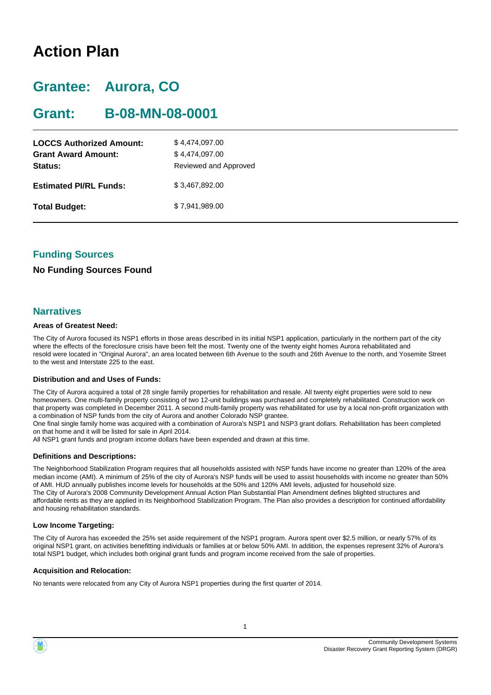# **Action Plan**

# **Grantee: Aurora, CO**

# **Grant: B-08-MN-08-0001**

| <b>LOCCS Authorized Amount:</b><br><b>Grant Award Amount:</b><br>Status: | \$4,474,097.00<br>\$4,474,097.00<br>Reviewed and Approved |
|--------------------------------------------------------------------------|-----------------------------------------------------------|
| <b>Estimated PI/RL Funds:</b>                                            | \$3,467,892.00                                            |
| <b>Total Budget:</b>                                                     | \$7,941,989.00                                            |

## **Funding Sources**

## **No Funding Sources Found**

### **Narratives**

#### **Areas of Greatest Need:**

The City of Aurora focused its NSP1 efforts in those areas described in its initial NSP1 application, particularly in the northern part of the city where the effects of the foreclosure crisis have been felt the most. Twenty one of the twenty eight homes Aurora rehabilitated and resold were located in "Original Aurora", an area located between 6th Avenue to the south and 26th Avenue to the north, and Yosemite Street to the west and Interstate 225 to the east.

#### **Distribution and and Uses of Funds:**

The City of Aurora acquired a total of 28 single family properties for rehabilitation and resale. All twenty eight properties were sold to new homeowners. One multi-family property consisting of two 12-unit buildings was purchased and completely rehabilitated. Construction work on that property was completed in December 2011. A second multi-family property was rehabilitated for use by a local non-profit organization with a combination of NSP funds from the city of Aurora and another Colorado NSP grantee.

One final single family home was acquired with a combination of Aurora's NSP1 and NSP3 grant dollars. Rehabilitation has been completed on that home and it will be listed for sale in April 2014.

All NSP1 grant funds and program income dollars have been expended and drawn at this time.

#### **Definitions and Descriptions:**

The Neighborhood Stabilization Program requires that all households assisted with NSP funds have income no greater than 120% of the area median income (AMI). A minimum of 25% of the city of Aurora's NSP funds will be used to assist households with income no greater than 50% of AMI. HUD annually publishes income levels for households at the 50% and 120% AMI levels, adjusted for household size. The City of Aurora's 2008 Community Development Annual Action Plan Substantial Plan Amendment defines blighted structures and affordable rents as they are applied in its Neighborhood Stabilization Program. The Plan also provides a description for continued affordability and housing rehabilitation standards.

#### **Low Income Targeting:**

The City of Aurora has exceeded the 25% set aside requirement of the NSP1 program. Aurora spent over \$2.5 million, or nearly 57% of its original NSP1 grant, on activities benefitting individuals or families at or below 50% AMI. In addition, the expenses represent 32% of Aurora's total NSP1 budget, which includes both original grant funds and program income received from the sale of properties.

#### **Acquisition and Relocation:**

No tenants were relocated from any City of Aurora NSP1 properties during the first quarter of 2014.

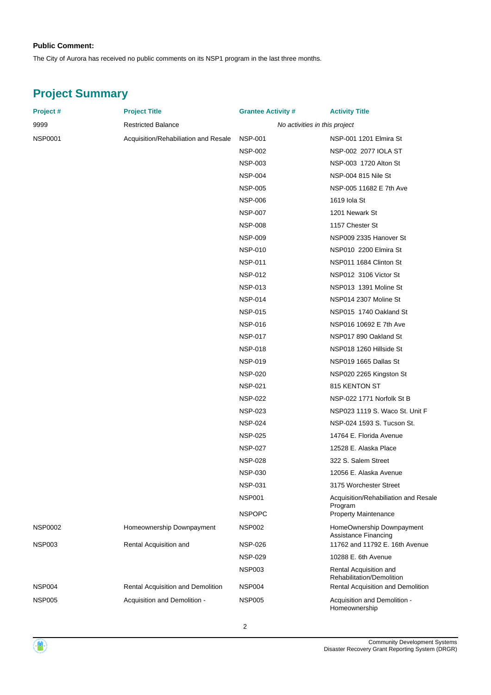#### **Public Comment:**

The City of Aurora has received no public comments on its NSP1 program in the last three months.

# **Project Summary**

| Project #      | <b>Project Title</b>                 | <b>Grantee Activity #</b> | <b>Activity Title</b>                               |
|----------------|--------------------------------------|---------------------------|-----------------------------------------------------|
| 9999           | <b>Restricted Balance</b>            |                           | No activities in this project                       |
| NSP0001        | Acquisition/Rehabiliation and Resale | <b>NSP-001</b>            | NSP-001 1201 Elmira St                              |
|                |                                      | <b>NSP-002</b>            | NSP-002 2077 IOLA ST                                |
|                |                                      | <b>NSP-003</b>            | NSP-003 1720 Alton St                               |
|                |                                      | <b>NSP-004</b>            | NSP-004 815 Nile St                                 |
|                |                                      | <b>NSP-005</b>            | NSP-005 11682 E 7th Ave                             |
|                |                                      | <b>NSP-006</b>            | 1619 Iola St                                        |
|                |                                      | <b>NSP-007</b>            | 1201 Newark St                                      |
|                |                                      | <b>NSP-008</b>            | 1157 Chester St                                     |
|                |                                      | <b>NSP-009</b>            | NSP009 2335 Hanover St                              |
|                |                                      | <b>NSP-010</b>            | NSP010 2200 Elmira St                               |
|                |                                      | <b>NSP-011</b>            | NSP011 1684 Clinton St                              |
|                |                                      | <b>NSP-012</b>            | NSP012 3106 Victor St                               |
|                |                                      | <b>NSP-013</b>            | NSP013 1391 Moline St                               |
|                |                                      | <b>NSP-014</b>            | NSP014 2307 Moline St                               |
|                |                                      | <b>NSP-015</b>            | NSP015 1740 Oakland St                              |
|                |                                      | <b>NSP-016</b>            | NSP016 10692 E 7th Ave                              |
|                |                                      | <b>NSP-017</b>            | NSP017 890 Oakland St                               |
|                |                                      | <b>NSP-018</b>            | NSP018 1260 Hillside St                             |
|                |                                      | <b>NSP-019</b>            | NSP019 1665 Dallas St                               |
|                |                                      | <b>NSP-020</b>            | NSP020 2265 Kingston St                             |
|                |                                      | <b>NSP-021</b>            | 815 KENTON ST                                       |
|                |                                      | <b>NSP-022</b>            | NSP-022 1771 Norfolk St B                           |
|                |                                      | <b>NSP-023</b>            | NSP023 1119 S. Waco St. Unit F                      |
|                |                                      | <b>NSP-024</b>            | NSP-024 1593 S. Tucson St.                          |
|                |                                      | <b>NSP-025</b>            | 14764 E. Florida Avenue                             |
|                |                                      | <b>NSP-027</b>            | 12528 E. Alaska Place                               |
|                |                                      | <b>NSP-028</b>            | 322 S. Salem Street                                 |
|                |                                      | <b>NSP-030</b>            | 12056 E. Alaska Avenue                              |
|                |                                      | <b>NSP-031</b>            | 3175 Worchester Street                              |
|                |                                      | <b>NSP001</b>             | Acquisition/Rehabiliation and Resale                |
|                |                                      | <b>NSPOPC</b>             | Program<br><b>Property Maintenance</b>              |
| <b>NSP0002</b> | Homeownership Downpayment            | <b>NSP002</b>             | HomeOwnership Downpayment<br>Assistance Financing   |
| NSP003         | Rental Acquisition and               | <b>NSP-026</b>            | 11762 and 11792 E. 16th Avenue                      |
|                |                                      | <b>NSP-029</b>            | 10288 E. 6th Avenue                                 |
|                |                                      | <b>NSP003</b>             | Rental Acquisition and<br>Rehabilitation/Demolition |
| NSP004         | Rental Acquisition and Demolition    | <b>NSP004</b>             | Rental Acquisition and Demolition                   |
| NSP005         | Acquisition and Demolition -         | <b>NSP005</b>             | Acquisition and Demolition -<br>Homeownership       |

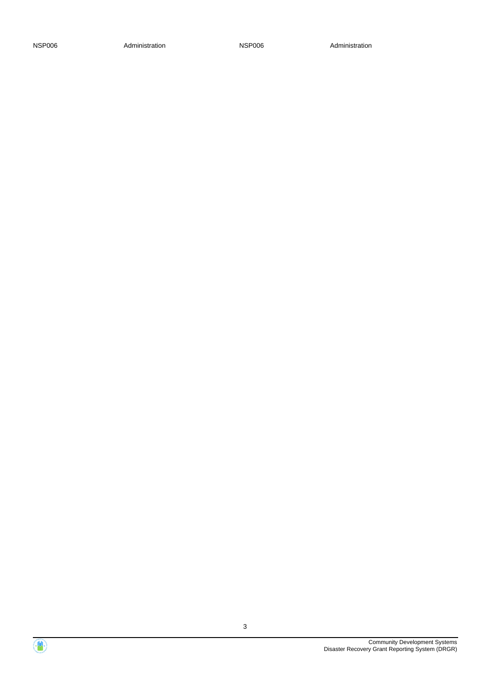NSP006 Administration Administration NSP006 Administration

Community Development Systems Disaster Recovery Grant Reporting System (DRGR)



 $\langle \mathbf{0} \rangle$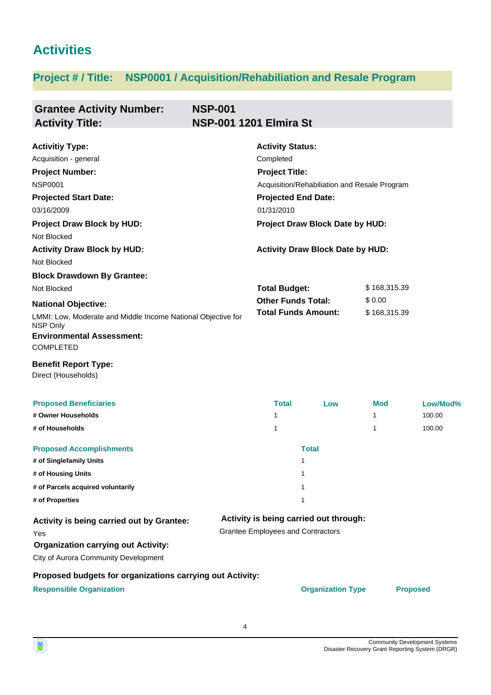# **Activities**

# **Project # / Title: NSP0001 / Acquisition/Rehabiliation and Resale Program**

| <b>Grantee Activity Number:</b><br><b>Activity Title:</b>                                                                                                                                                          | <b>NSP-001</b> | <b>NSP-001 1201 Elmira St</b>                                                            |                                        |          |                                        |  |  |
|--------------------------------------------------------------------------------------------------------------------------------------------------------------------------------------------------------------------|----------------|------------------------------------------------------------------------------------------|----------------------------------------|----------|----------------------------------------|--|--|
| <b>Activitiy Type:</b><br>Acquisition - general<br><b>Project Number:</b>                                                                                                                                          |                | <b>Activity Status:</b><br>Completed<br><b>Project Title:</b>                            |                                        |          |                                        |  |  |
| <b>NSP0001</b><br><b>Projected Start Date:</b><br>03/16/2009                                                                                                                                                       |                | Acquisition/Rehabiliation and Resale Program<br><b>Projected End Date:</b><br>01/31/2010 |                                        |          |                                        |  |  |
| <b>Project Draw Block by HUD:</b><br>Not Blocked                                                                                                                                                                   |                | Project Draw Block Date by HUD:                                                          |                                        |          |                                        |  |  |
| <b>Activity Draw Block by HUD:</b><br>Not Blocked                                                                                                                                                                  |                | <b>Activity Draw Block Date by HUD:</b>                                                  |                                        |          |                                        |  |  |
| <b>Block Drawdown By Grantee:</b><br>Not Blocked<br><b>National Objective:</b><br>LMMI: Low, Moderate and Middle Income National Objective for<br>NSP Only<br><b>Environmental Assessment:</b><br><b>COMPLETED</b> |                | <b>Total Budget:</b><br><b>Other Funds Total:</b><br><b>Total Funds Amount:</b>          |                                        |          | \$168,315.39<br>\$0.00<br>\$168,315.39 |  |  |
| <b>Benefit Report Type:</b><br>Direct (Households)                                                                                                                                                                 |                |                                                                                          |                                        |          |                                        |  |  |
| <b>Proposed Beneficiaries</b><br># Owner Households                                                                                                                                                                |                | <b>Total</b><br>1                                                                        | Low                                    | Mod<br>1 | Low/Mod%<br>100.00                     |  |  |
| # of Households                                                                                                                                                                                                    |                | 1                                                                                        |                                        | 1        | 100.00                                 |  |  |
| <b>Proposed Accomplishments</b><br># of Singlefamily Units<br># of Housing Units<br># of Parcels acquired voluntarily<br># of Properties                                                                           |                | 1<br>1<br>1<br>1                                                                         | <b>Total</b>                           |          |                                        |  |  |
| Activity is being carried out by Grantee:<br>Yes<br><b>Organization carrying out Activity:</b><br>City of Aurora Community Development                                                                             |                | <b>Grantee Employees and Contractors</b>                                                 | Activity is being carried out through: |          |                                        |  |  |
| Proposed budgets for organizations carrying out Activity:<br><b>Responsible Organization</b>                                                                                                                       |                |                                                                                          | <b>Organization Type</b>               |          | <b>Proposed</b>                        |  |  |

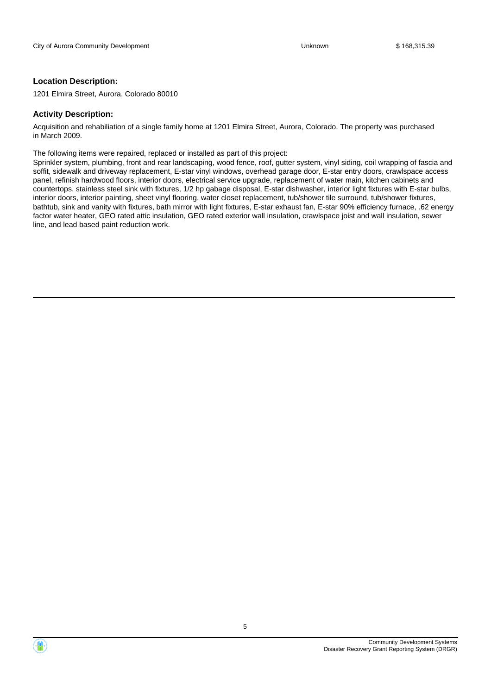#### **Location Description:**

1201 Elmira Street, Aurora, Colorado 80010

#### **Activity Description:**

Acquisition and rehabiliation of a single family home at 1201 Elmira Street, Aurora, Colorado. The property was purchased in March 2009.

The following items were repaired, replaced or installed as part of this project:

Sprinkler system, plumbing, front and rear landscaping, wood fence, roof, gutter system, vinyl siding, coil wrapping of fascia and soffit, sidewalk and driveway replacement, E-star vinyl windows, overhead garage door, E-star entry doors, crawlspace access panel, refinish hardwood floors, interior doors, electrical service upgrade, replacement of water main, kitchen cabinets and countertops, stainless steel sink with fixtures, 1/2 hp gabage disposal, E-star dishwasher, interior light fixtures with E-star bulbs, interior doors, interior painting, sheet vinyl flooring, water closet replacement, tub/shower tile surround, tub/shower fixtures, bathtub, sink and vanity with fixtures, bath mirror with light fixtures, E-star exhaust fan, E-star 90% efficiency furnace, .62 energy factor water heater, GEO rated attic insulation, GEO rated exterior wall insulation, crawlspace joist and wall insulation, sewer line, and lead based paint reduction work.



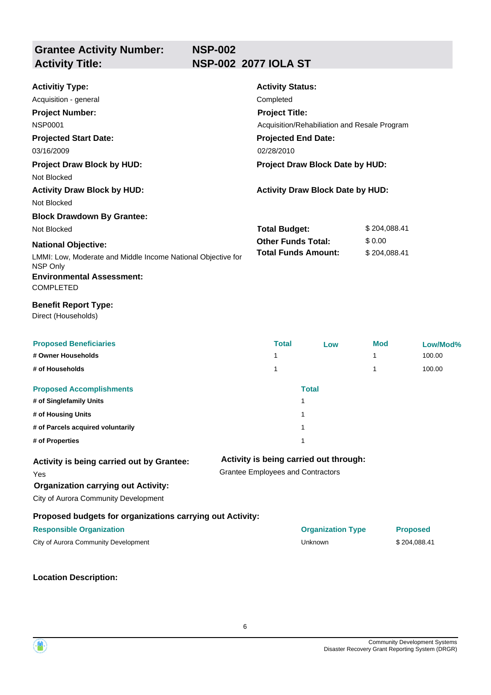| <b>Activitiy Type:</b><br>Acquisition - general<br><b>Project Number:</b><br><b>NSP0001</b><br><b>Projected Start Date:</b><br>03/16/2009<br><b>Project Draw Block by HUD:</b> | <b>Activity Status:</b><br>Completed<br><b>Project Title:</b><br>Acquisition/Rehabiliation and Resale Program<br><b>Projected End Date:</b><br>02/28/2010<br>Project Draw Block Date by HUD: |                                         |              |                 |  |
|--------------------------------------------------------------------------------------------------------------------------------------------------------------------------------|----------------------------------------------------------------------------------------------------------------------------------------------------------------------------------------------|-----------------------------------------|--------------|-----------------|--|
| Not Blocked                                                                                                                                                                    |                                                                                                                                                                                              |                                         |              |                 |  |
| <b>Activity Draw Block by HUD:</b>                                                                                                                                             |                                                                                                                                                                                              | <b>Activity Draw Block Date by HUD:</b> |              |                 |  |
| Not Blocked                                                                                                                                                                    |                                                                                                                                                                                              |                                         |              |                 |  |
| <b>Block Drawdown By Grantee:</b>                                                                                                                                              |                                                                                                                                                                                              |                                         |              |                 |  |
| Not Blocked                                                                                                                                                                    | <b>Total Budget:</b>                                                                                                                                                                         |                                         | \$204,088.41 |                 |  |
| <b>National Objective:</b>                                                                                                                                                     | <b>Other Funds Total:</b>                                                                                                                                                                    |                                         | \$0.00       |                 |  |
| LMMI: Low, Moderate and Middle Income National Objective for<br>NSP Only                                                                                                       |                                                                                                                                                                                              | <b>Total Funds Amount:</b>              | \$204,088.41 |                 |  |
| <b>Environmental Assessment:</b><br><b>COMPLETED</b>                                                                                                                           |                                                                                                                                                                                              |                                         |              |                 |  |
| <b>Benefit Report Type:</b><br>Direct (Households)                                                                                                                             |                                                                                                                                                                                              |                                         |              |                 |  |
| <b>Proposed Beneficiaries</b>                                                                                                                                                  | <b>Total</b>                                                                                                                                                                                 | Low                                     | <b>Mod</b>   | Low/Mod%        |  |
| # Owner Households                                                                                                                                                             | 1                                                                                                                                                                                            |                                         | 1            | 100.00          |  |
| # of Households                                                                                                                                                                | 1                                                                                                                                                                                            |                                         | 1            | 100.00          |  |
| <b>Proposed Accomplishments</b>                                                                                                                                                |                                                                                                                                                                                              | <b>Total</b>                            |              |                 |  |
| # of Singlefamily Units                                                                                                                                                        |                                                                                                                                                                                              | 1                                       |              |                 |  |
| # of Housing Units                                                                                                                                                             |                                                                                                                                                                                              | 1                                       |              |                 |  |
| # of Parcels acquired voluntarily                                                                                                                                              |                                                                                                                                                                                              | 1                                       |              |                 |  |
| # of Properties                                                                                                                                                                |                                                                                                                                                                                              | 1                                       |              |                 |  |
| Activity is being carried out by Grantee:<br>Yes<br><b>Organization carrying out Activity:</b><br>City of Aurora Community Development                                         | <b>Grantee Employees and Contractors</b>                                                                                                                                                     | Activity is being carried out through:  |              |                 |  |
| Proposed budgets for organizations carrying out Activity:                                                                                                                      |                                                                                                                                                                                              |                                         |              |                 |  |
| <b>Responsible Organization</b>                                                                                                                                                |                                                                                                                                                                                              | <b>Organization Type</b>                |              | <b>Proposed</b> |  |
| City of Aurora Community Development                                                                                                                                           |                                                                                                                                                                                              | Unknown                                 |              | \$204,088.41    |  |
|                                                                                                                                                                                |                                                                                                                                                                                              |                                         |              |                 |  |



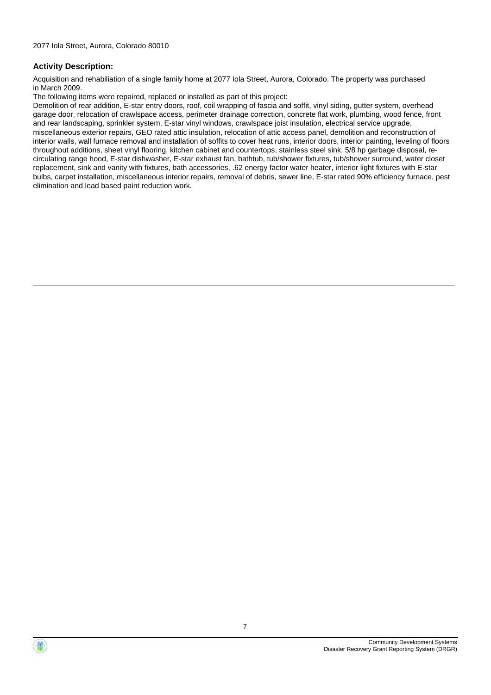Acquisition and rehabiliation of a single family home at 2077 Iola Street, Aurora, Colorado. The property was purchased in March 2009.

The following items were repaired, replaced or installed as part of this project:

Demolition of rear addition, E-star entry doors, roof, coil wrapping of fascia and soffit, vinyl siding, gutter system, overhead garage door, relocation of crawlspace access, perimeter drainage correction, concrete flat work, plumbing, wood fence, front and rear landscaping, sprinkler system, E-star vinyl windows, crawlspace joist insulation, electrical service upgrade, miscellaneous exterior repairs, GEO rated attic insulation, relocation of attic access panel, demolition and reconstruction of interior walls, wall furnace removal and installation of soffits to cover heat runs, interior doors, interior painting, leveling of floors throughout additions, sheet vinyl flooring, kitchen cabinet and countertops, stainless steel sink, 5/8 hp garbage disposal, recirculating range hood, E-star dishwasher, E-star exhaust fan, bathtub, tub/shower fixtures, tub/shower surround, water closet replacement, sink and vanity with fixtures, bath accessories, .62 energy factor water heater, interior light fixtures with E-star bulbs, carpet installation, miscellaneous interior repairs, removal of debris, sewer line, E-star rated 90% efficiency furnace, pest elimination and lead based paint reduction work.



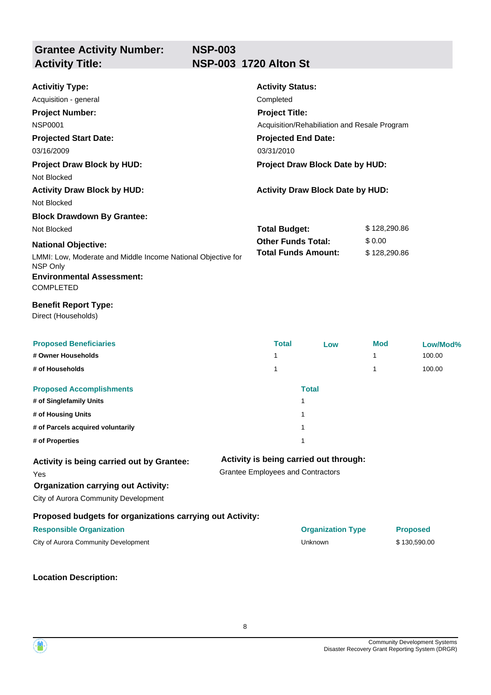| <b>Activitiy Type:</b>                                                   | <b>Activity Status:</b>                      |                                         |              |                 |
|--------------------------------------------------------------------------|----------------------------------------------|-----------------------------------------|--------------|-----------------|
| Acquisition - general                                                    | Completed                                    |                                         |              |                 |
| <b>Project Number:</b>                                                   | <b>Project Title:</b>                        |                                         |              |                 |
| <b>NSP0001</b>                                                           | Acquisition/Rehabiliation and Resale Program |                                         |              |                 |
| <b>Projected Start Date:</b>                                             | <b>Projected End Date:</b>                   |                                         |              |                 |
| 03/16/2009                                                               | 03/31/2010                                   |                                         |              |                 |
| <b>Project Draw Block by HUD:</b>                                        | Project Draw Block Date by HUD:              |                                         |              |                 |
| Not Blocked                                                              |                                              |                                         |              |                 |
| <b>Activity Draw Block by HUD:</b>                                       |                                              | <b>Activity Draw Block Date by HUD:</b> |              |                 |
| Not Blocked                                                              |                                              |                                         |              |                 |
| <b>Block Drawdown By Grantee:</b>                                        |                                              |                                         |              |                 |
| Not Blocked                                                              | <b>Total Budget:</b>                         |                                         | \$128,290.86 |                 |
| <b>National Objective:</b>                                               | <b>Other Funds Total:</b>                    |                                         | \$0.00       |                 |
| LMMI: Low, Moderate and Middle Income National Objective for<br>NSP Only | <b>Total Funds Amount:</b>                   |                                         | \$128,290.86 |                 |
| <b>Environmental Assessment:</b><br><b>COMPLETED</b>                     |                                              |                                         |              |                 |
| <b>Benefit Report Type:</b><br>Direct (Households)                       |                                              |                                         |              |                 |
| <b>Proposed Beneficiaries</b>                                            | <b>Total</b>                                 | Low                                     | Mod          | Low/Mod%        |
| # Owner Households                                                       | 1                                            |                                         | 1            | 100.00          |
| # of Households                                                          | 1                                            |                                         | 1            | 100.00          |
| <b>Proposed Accomplishments</b>                                          |                                              | <b>Total</b>                            |              |                 |
| # of Singlefamily Units                                                  |                                              | $\mathbf{1}$                            |              |                 |
| # of Housing Units                                                       |                                              | 1                                       |              |                 |
| # of Parcels acquired voluntarily                                        |                                              | 1                                       |              |                 |
| # of Properties                                                          |                                              | 1                                       |              |                 |
| Activity is being carried out by Grantee:                                |                                              | Activity is being carried out through:  |              |                 |
| Yes                                                                      | <b>Grantee Employees and Contractors</b>     |                                         |              |                 |
| <b>Organization carrying out Activity:</b>                               |                                              |                                         |              |                 |
| City of Aurora Community Development                                     |                                              |                                         |              |                 |
| Proposed budgets for organizations carrying out Activity:                |                                              |                                         |              |                 |
| <b>Responsible Organization</b>                                          |                                              | <b>Organization Type</b>                |              | <b>Proposed</b> |
| City of Aurora Community Development                                     |                                              | Unknown                                 |              | \$130,590.00    |
|                                                                          |                                              |                                         |              |                 |



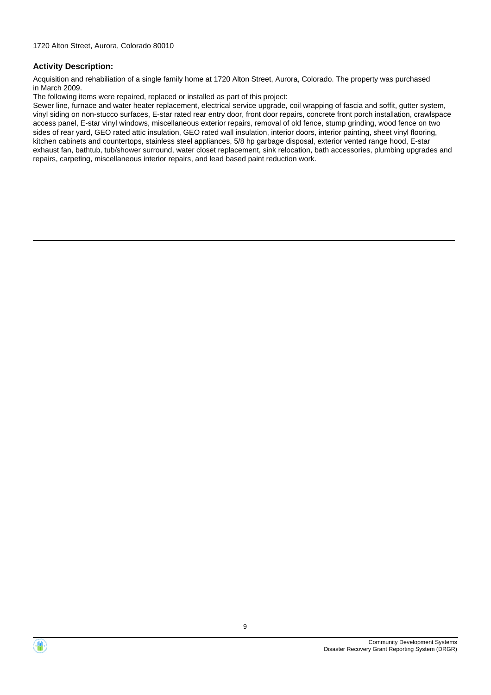Acquisition and rehabiliation of a single family home at 1720 Alton Street, Aurora, Colorado. The property was purchased in March 2009.

The following items were repaired, replaced or installed as part of this project:

Sewer line, furnace and water heater replacement, electrical service upgrade, coil wrapping of fascia and soffit, gutter system, vinyl siding on non-stucco surfaces, E-star rated rear entry door, front door repairs, concrete front porch installation, crawlspace access panel, E-star vinyl windows, miscellaneous exterior repairs, removal of old fence, stump grinding, wood fence on two sides of rear yard, GEO rated attic insulation, GEO rated wall insulation, interior doors, interior painting, sheet vinyl flooring, kitchen cabinets and countertops, stainless steel appliances, 5/8 hp garbage disposal, exterior vented range hood, E-star exhaust fan, bathtub, tub/shower surround, water closet replacement, sink relocation, bath accessories, plumbing upgrades and repairs, carpeting, miscellaneous interior repairs, and lead based paint reduction work.



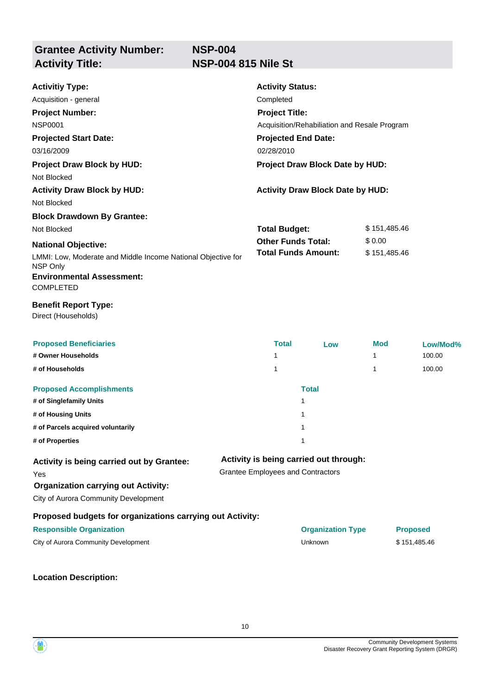| <b>Activitiy Type:</b><br>Acquisition - general<br><b>Project Number:</b><br><b>NSP0001</b><br><b>Projected Start Date:</b><br>03/16/2009<br><b>Project Draw Block by HUD:</b><br>Not Blocked | <b>Activity Status:</b><br>Completed<br><b>Project Title:</b><br>Acquisition/Rehabiliation and Resale Program<br><b>Projected End Date:</b><br>02/28/2010<br>Project Draw Block Date by HUD: |                                         |              |                 |
|-----------------------------------------------------------------------------------------------------------------------------------------------------------------------------------------------|----------------------------------------------------------------------------------------------------------------------------------------------------------------------------------------------|-----------------------------------------|--------------|-----------------|
| <b>Activity Draw Block by HUD:</b><br>Not Blocked                                                                                                                                             |                                                                                                                                                                                              | <b>Activity Draw Block Date by HUD:</b> |              |                 |
| <b>Block Drawdown By Grantee:</b>                                                                                                                                                             |                                                                                                                                                                                              |                                         |              |                 |
| Not Blocked                                                                                                                                                                                   | <b>Total Budget:</b>                                                                                                                                                                         |                                         | \$151,485.46 |                 |
| <b>National Objective:</b>                                                                                                                                                                    | <b>Other Funds Total:</b>                                                                                                                                                                    |                                         | \$0.00       |                 |
| LMMI: Low, Moderate and Middle Income National Objective for<br>NSP Only<br><b>Environmental Assessment:</b><br><b>COMPLETED</b>                                                              | <b>Total Funds Amount:</b>                                                                                                                                                                   |                                         | \$151,485.46 |                 |
| <b>Benefit Report Type:</b><br>Direct (Households)                                                                                                                                            |                                                                                                                                                                                              |                                         |              |                 |
| <b>Proposed Beneficiaries</b>                                                                                                                                                                 | <b>Total</b>                                                                                                                                                                                 | Low                                     | Mod          | Low/Mod%        |
| # Owner Households                                                                                                                                                                            | 1                                                                                                                                                                                            |                                         | 1            | 100.00          |
| # of Households                                                                                                                                                                               | 1                                                                                                                                                                                            |                                         | 1            | 100.00          |
| <b>Proposed Accomplishments</b>                                                                                                                                                               |                                                                                                                                                                                              | <b>Total</b>                            |              |                 |
| # of Singlefamily Units                                                                                                                                                                       |                                                                                                                                                                                              | 1                                       |              |                 |
| # of Housing Units                                                                                                                                                                            |                                                                                                                                                                                              | 1                                       |              |                 |
| # of Parcels acquired voluntarily                                                                                                                                                             |                                                                                                                                                                                              | $\mathbf{1}$                            |              |                 |
| # of Properties                                                                                                                                                                               |                                                                                                                                                                                              | 1                                       |              |                 |
| Activity is being carried out by Grantee:                                                                                                                                                     |                                                                                                                                                                                              | Activity is being carried out through:  |              |                 |
| Yes                                                                                                                                                                                           | <b>Grantee Employees and Contractors</b>                                                                                                                                                     |                                         |              |                 |
| <b>Organization carrying out Activity:</b>                                                                                                                                                    |                                                                                                                                                                                              |                                         |              |                 |
| City of Aurora Community Development                                                                                                                                                          |                                                                                                                                                                                              |                                         |              |                 |
| Proposed budgets for organizations carrying out Activity:                                                                                                                                     |                                                                                                                                                                                              |                                         |              |                 |
| <b>Responsible Organization</b>                                                                                                                                                               |                                                                                                                                                                                              | <b>Organization Type</b>                |              | <b>Proposed</b> |
| City of Aurora Community Development                                                                                                                                                          |                                                                                                                                                                                              | Unknown                                 |              | \$151,485.46    |
|                                                                                                                                                                                               |                                                                                                                                                                                              |                                         |              |                 |



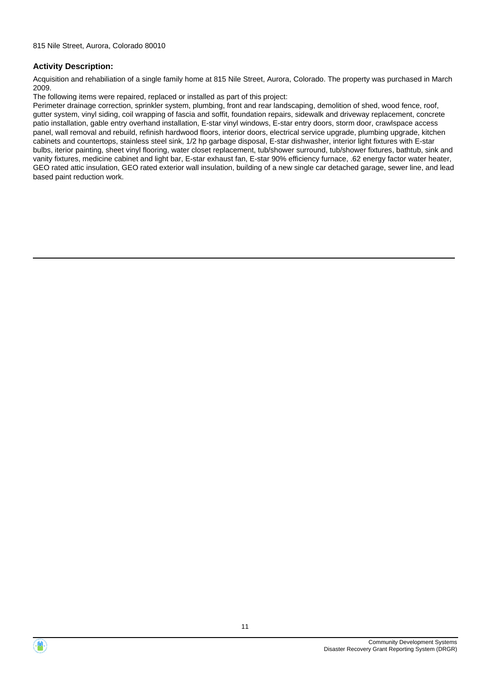Acquisition and rehabiliation of a single family home at 815 Nile Street, Aurora, Colorado. The property was purchased in March 2009.

The following items were repaired, replaced or installed as part of this project:

Perimeter drainage correction, sprinkler system, plumbing, front and rear landscaping, demolition of shed, wood fence, roof, gutter system, vinyl siding, coil wrapping of fascia and soffit, foundation repairs, sidewalk and driveway replacement, concrete patio installation, gable entry overhand installation, E-star vinyl windows, E-star entry doors, storm door, crawlspace access panel, wall removal and rebuild, refinish hardwood floors, interior doors, electrical service upgrade, plumbing upgrade, kitchen cabinets and countertops, stainless steel sink, 1/2 hp garbage disposal, E-star dishwasher, interior light fixtures with E-star bulbs, iterior painting, sheet vinyl flooring, water closet replacement, tub/shower surround, tub/shower fixtures, bathtub, sink and vanity fixtures, medicine cabinet and light bar, E-star exhaust fan, E-star 90% efficiency furnace, .62 energy factor water heater, GEO rated attic insulation, GEO rated exterior wall insulation, building of a new single car detached garage, sewer line, and lead based paint reduction work.



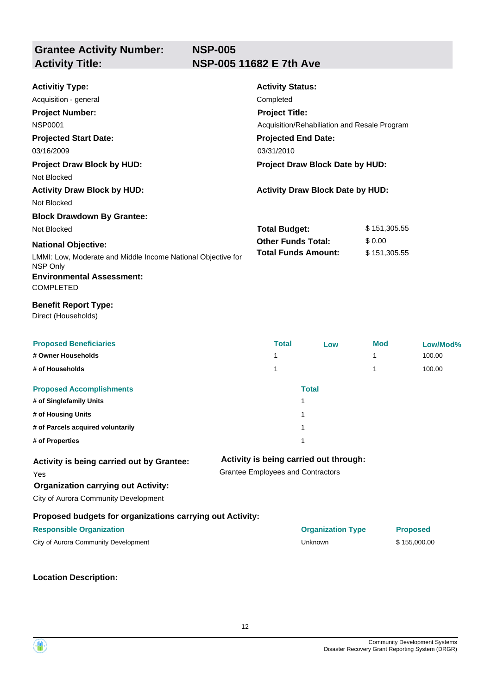**NSP-005 Activity Title: NSP-005 11682 E 7th Ave**

| <b>Activitiy Type:</b><br>Acquisition - general<br><b>Project Number:</b><br><b>NSP0001</b><br><b>Projected Start Date:</b><br>03/16/2009<br><b>Project Draw Block by HUD:</b><br>Not Blocked | <b>Activity Status:</b><br>Completed<br><b>Project Title:</b><br>Acquisition/Rehabiliation and Resale Program<br><b>Projected End Date:</b><br>03/31/2010<br>Project Draw Block Date by HUD: |                                         |              |                 |
|-----------------------------------------------------------------------------------------------------------------------------------------------------------------------------------------------|----------------------------------------------------------------------------------------------------------------------------------------------------------------------------------------------|-----------------------------------------|--------------|-----------------|
| <b>Activity Draw Block by HUD:</b><br>Not Blocked                                                                                                                                             |                                                                                                                                                                                              | <b>Activity Draw Block Date by HUD:</b> |              |                 |
| <b>Block Drawdown By Grantee:</b>                                                                                                                                                             |                                                                                                                                                                                              |                                         |              |                 |
| Not Blocked                                                                                                                                                                                   | <b>Total Budget:</b>                                                                                                                                                                         |                                         | \$151,305.55 |                 |
| <b>National Objective:</b>                                                                                                                                                                    | <b>Other Funds Total:</b>                                                                                                                                                                    |                                         | \$0.00       |                 |
| LMMI: Low, Moderate and Middle Income National Objective for<br>NSP Only                                                                                                                      | <b>Total Funds Amount:</b>                                                                                                                                                                   |                                         | \$151,305.55 |                 |
| <b>Environmental Assessment:</b><br><b>COMPLETED</b>                                                                                                                                          |                                                                                                                                                                                              |                                         |              |                 |
| <b>Benefit Report Type:</b><br>Direct (Households)                                                                                                                                            |                                                                                                                                                                                              |                                         |              |                 |
| <b>Proposed Beneficiaries</b>                                                                                                                                                                 | <b>Total</b>                                                                                                                                                                                 | Low                                     | <b>Mod</b>   | Low/Mod%        |
| # Owner Households                                                                                                                                                                            | 1                                                                                                                                                                                            |                                         | 1            | 100.00          |
| # of Households                                                                                                                                                                               | 1                                                                                                                                                                                            |                                         | 1            | 100.00          |
| <b>Proposed Accomplishments</b>                                                                                                                                                               |                                                                                                                                                                                              | <b>Total</b>                            |              |                 |
| # of Singlefamily Units                                                                                                                                                                       |                                                                                                                                                                                              | 1                                       |              |                 |
| # of Housing Units                                                                                                                                                                            |                                                                                                                                                                                              | 1                                       |              |                 |
| # of Parcels acquired voluntarily                                                                                                                                                             |                                                                                                                                                                                              | 1                                       |              |                 |
| # of Properties                                                                                                                                                                               |                                                                                                                                                                                              | 1                                       |              |                 |
| Activity is being carried out by Grantee:<br>Yes<br><b>Organization carrying out Activity:</b><br>City of Aurora Community Development                                                        | <b>Grantee Employees and Contractors</b>                                                                                                                                                     | Activity is being carried out through:  |              |                 |
| Proposed budgets for organizations carrying out Activity:                                                                                                                                     |                                                                                                                                                                                              |                                         |              |                 |
| <b>Responsible Organization</b>                                                                                                                                                               |                                                                                                                                                                                              | <b>Organization Type</b>                |              | <b>Proposed</b> |
| City of Aurora Community Development                                                                                                                                                          |                                                                                                                                                                                              | Unknown                                 |              | \$155,000.00    |
|                                                                                                                                                                                               |                                                                                                                                                                                              |                                         |              |                 |



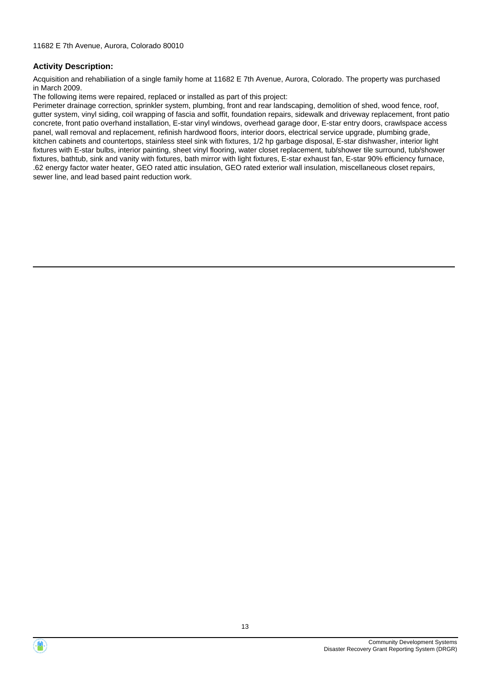Acquisition and rehabiliation of a single family home at 11682 E 7th Avenue, Aurora, Colorado. The property was purchased in March 2009.

The following items were repaired, replaced or installed as part of this project:

Perimeter drainage correction, sprinkler system, plumbing, front and rear landscaping, demolition of shed, wood fence, roof, gutter system, vinyl siding, coil wrapping of fascia and soffit, foundation repairs, sidewalk and driveway replacement, front patio concrete, front patio overhand installation, E-star vinyl windows, overhead garage door, E-star entry doors, crawlspace access panel, wall removal and replacement, refinish hardwood floors, interior doors, electrical service upgrade, plumbing grade, kitchen cabinets and countertops, stainless steel sink with fixtures, 1/2 hp garbage disposal, E-star dishwasher, interior light fixtures with E-star bulbs, interior painting, sheet vinyl flooring, water closet replacement, tub/shower tile surround, tub/shower fixtures, bathtub, sink and vanity with fixtures, bath mirror with light fixtures, E-star exhaust fan, E-star 90% efficiency furnace, .62 energy factor water heater, GEO rated attic insulation, GEO rated exterior wall insulation, miscellaneous closet repairs, sewer line, and lead based paint reduction work.

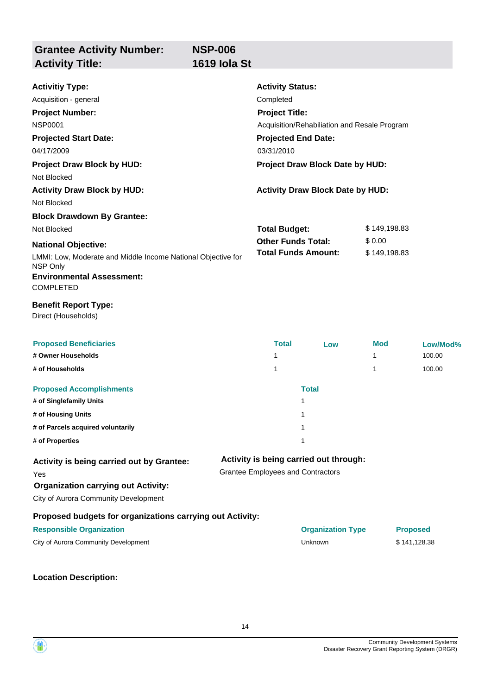**Grantee Activity Number: NSP-006 Activity Title: 1619 Iola St**

| <b>Activitiy Type:</b>                                                   |                                          | <b>Activity Status:</b>                                               |                                         |              |                 |  |  |
|--------------------------------------------------------------------------|------------------------------------------|-----------------------------------------------------------------------|-----------------------------------------|--------------|-----------------|--|--|
| Acquisition - general                                                    | Completed                                |                                                                       |                                         |              |                 |  |  |
| <b>Project Number:</b>                                                   |                                          | <b>Project Title:</b><br>Acquisition/Rehabiliation and Resale Program |                                         |              |                 |  |  |
| <b>NSP0001</b>                                                           |                                          |                                                                       |                                         |              |                 |  |  |
| <b>Projected Start Date:</b>                                             |                                          | <b>Projected End Date:</b>                                            |                                         |              |                 |  |  |
| 04/17/2009                                                               |                                          | 03/31/2010                                                            |                                         |              |                 |  |  |
| <b>Project Draw Block by HUD:</b>                                        | <b>Project Draw Block Date by HUD:</b>   |                                                                       |                                         |              |                 |  |  |
| Not Blocked                                                              |                                          |                                                                       |                                         |              |                 |  |  |
| <b>Activity Draw Block by HUD:</b>                                       |                                          |                                                                       | <b>Activity Draw Block Date by HUD:</b> |              |                 |  |  |
| Not Blocked                                                              |                                          |                                                                       |                                         |              |                 |  |  |
| <b>Block Drawdown By Grantee:</b>                                        |                                          |                                                                       |                                         |              |                 |  |  |
| Not Blocked                                                              |                                          | <b>Total Budget:</b>                                                  |                                         | \$149,198.83 |                 |  |  |
| <b>National Objective:</b>                                               |                                          | <b>Other Funds Total:</b>                                             |                                         | \$0.00       |                 |  |  |
| LMMI: Low, Moderate and Middle Income National Objective for<br>NSP Only |                                          | <b>Total Funds Amount:</b>                                            |                                         | \$149,198.83 |                 |  |  |
| <b>Environmental Assessment:</b><br><b>COMPLETED</b>                     |                                          |                                                                       |                                         |              |                 |  |  |
| <b>Benefit Report Type:</b><br>Direct (Households)                       |                                          |                                                                       |                                         |              |                 |  |  |
| <b>Proposed Beneficiaries</b>                                            |                                          | <b>Total</b>                                                          | Low                                     | Mod          | Low/Mod%        |  |  |
| # Owner Households                                                       | 1                                        |                                                                       |                                         | 1            | 100.00          |  |  |
| # of Households                                                          | 1                                        |                                                                       |                                         | 1            | 100.00          |  |  |
| <b>Proposed Accomplishments</b>                                          |                                          |                                                                       | <b>Total</b>                            |              |                 |  |  |
| # of Singlefamily Units                                                  |                                          | 1                                                                     |                                         |              |                 |  |  |
| # of Housing Units                                                       |                                          | 1                                                                     |                                         |              |                 |  |  |
| # of Parcels acquired voluntarily                                        |                                          | 1                                                                     |                                         |              |                 |  |  |
| # of Properties                                                          |                                          | 1                                                                     |                                         |              |                 |  |  |
| Activity is being carried out by Grantee:                                |                                          |                                                                       | Activity is being carried out through:  |              |                 |  |  |
| Yes                                                                      | <b>Grantee Employees and Contractors</b> |                                                                       |                                         |              |                 |  |  |
| <b>Organization carrying out Activity:</b>                               |                                          |                                                                       |                                         |              |                 |  |  |
| City of Aurora Community Development                                     |                                          |                                                                       |                                         |              |                 |  |  |
| Proposed budgets for organizations carrying out Activity:                |                                          |                                                                       |                                         |              |                 |  |  |
| <b>Responsible Organization</b>                                          |                                          |                                                                       | <b>Organization Type</b>                |              | <b>Proposed</b> |  |  |
| City of Aurora Community Development                                     |                                          |                                                                       | Unknown                                 |              | \$141,128.38    |  |  |
|                                                                          |                                          |                                                                       |                                         |              |                 |  |  |



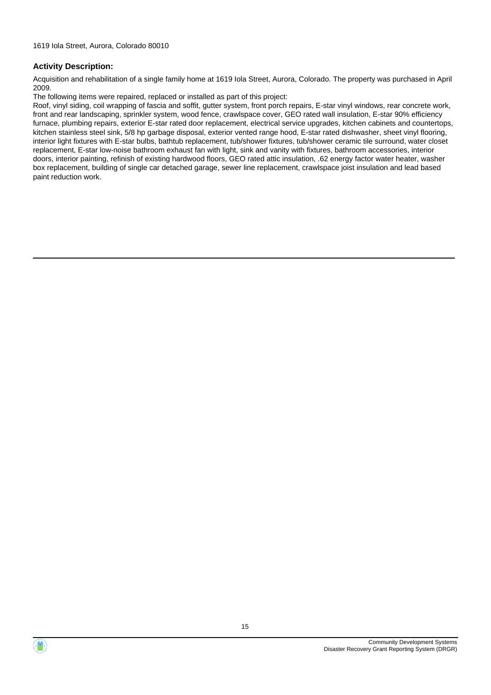Acquisition and rehabilitation of a single family home at 1619 Iola Street, Aurora, Colorado. The property was purchased in April 2009.

The following items were repaired, replaced or installed as part of this project:

Roof, vinyl siding, coil wrapping of fascia and soffit, gutter system, front porch repairs, E-star vinyl windows, rear concrete work, front and rear landscaping, sprinkler system, wood fence, crawlspace cover, GEO rated wall insulation, E-star 90% efficiency furnace, plumbing repairs, exterior E-star rated door replacement, electrical service upgrades, kitchen cabinets and countertops, kitchen stainless steel sink, 5/8 hp garbage disposal, exterior vented range hood, E-star rated dishwasher, sheet vinyl flooring, interior light fixtures with E-star bulbs, bathtub replacement, tub/shower fixtures, tub/shower ceramic tile surround, water closet replacement, E-star low-noise bathroom exhaust fan with light, sink and vanity with fixtures, bathroom accessories, interior doors, interior painting, refinish of existing hardwood floors, GEO rated attic insulation, .62 energy factor water heater, washer box replacement, building of single car detached garage, sewer line replacement, crawlspace joist insulation and lead based paint reduction work.



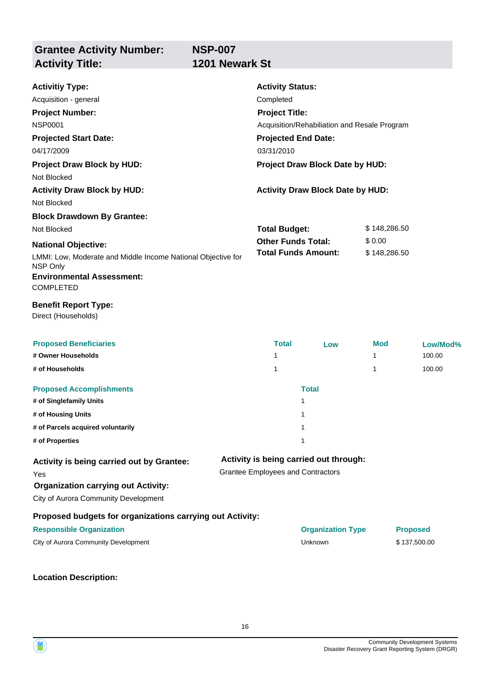**NSP-007 1201 Newark St** 

| <b>Activitiy Type:</b>                                                                                                           |                                                                                    | <b>Activity Status:</b>                                               |                                         |              |                 |  |  |
|----------------------------------------------------------------------------------------------------------------------------------|------------------------------------------------------------------------------------|-----------------------------------------------------------------------|-----------------------------------------|--------------|-----------------|--|--|
| Acquisition - general                                                                                                            | Completed                                                                          |                                                                       |                                         |              |                 |  |  |
| <b>Project Number:</b>                                                                                                           |                                                                                    | <b>Project Title:</b><br>Acquisition/Rehabiliation and Resale Program |                                         |              |                 |  |  |
| <b>NSP0001</b>                                                                                                                   |                                                                                    |                                                                       |                                         |              |                 |  |  |
| <b>Projected Start Date:</b>                                                                                                     | <b>Projected End Date:</b>                                                         | 03/31/2010                                                            |                                         |              |                 |  |  |
| 04/17/2009                                                                                                                       |                                                                                    |                                                                       |                                         |              |                 |  |  |
| <b>Project Draw Block by HUD:</b>                                                                                                |                                                                                    |                                                                       | Project Draw Block Date by HUD:         |              |                 |  |  |
| Not Blocked                                                                                                                      |                                                                                    |                                                                       |                                         |              |                 |  |  |
| <b>Activity Draw Block by HUD:</b>                                                                                               |                                                                                    |                                                                       | <b>Activity Draw Block Date by HUD:</b> |              |                 |  |  |
| Not Blocked                                                                                                                      |                                                                                    |                                                                       |                                         |              |                 |  |  |
| <b>Block Drawdown By Grantee:</b>                                                                                                |                                                                                    |                                                                       |                                         |              |                 |  |  |
| Not Blocked                                                                                                                      |                                                                                    | <b>Total Budget:</b>                                                  |                                         | \$148,286.50 |                 |  |  |
| <b>National Objective:</b>                                                                                                       |                                                                                    | <b>Other Funds Total:</b>                                             |                                         |              | \$0.00          |  |  |
| LMMI: Low, Moderate and Middle Income National Objective for<br>NSP Only<br><b>Environmental Assessment:</b><br><b>COMPLETED</b> |                                                                                    |                                                                       | <b>Total Funds Amount:</b>              | \$148,286.50 |                 |  |  |
| <b>Benefit Report Type:</b><br>Direct (Households)                                                                               |                                                                                    |                                                                       |                                         |              |                 |  |  |
| <b>Proposed Beneficiaries</b>                                                                                                    |                                                                                    | <b>Total</b>                                                          | Low                                     | Mod          | Low/Mod%        |  |  |
| # Owner Households                                                                                                               |                                                                                    | 1                                                                     |                                         | 1            | 100.00          |  |  |
| # of Households                                                                                                                  |                                                                                    | 1                                                                     |                                         | 1            | 100.00          |  |  |
| <b>Proposed Accomplishments</b>                                                                                                  |                                                                                    |                                                                       | <b>Total</b>                            |              |                 |  |  |
| # of Singlefamily Units                                                                                                          |                                                                                    | 1                                                                     |                                         |              |                 |  |  |
| # of Housing Units                                                                                                               |                                                                                    | 1                                                                     |                                         |              |                 |  |  |
| # of Parcels acquired voluntarily                                                                                                |                                                                                    | 1                                                                     |                                         |              |                 |  |  |
| # of Properties                                                                                                                  |                                                                                    | 1                                                                     |                                         |              |                 |  |  |
| Activity is being carried out by Grantee:<br>Yes                                                                                 | Activity is being carried out through:<br><b>Grantee Employees and Contractors</b> |                                                                       |                                         |              |                 |  |  |
| <b>Organization carrying out Activity:</b>                                                                                       |                                                                                    |                                                                       |                                         |              |                 |  |  |
| City of Aurora Community Development                                                                                             |                                                                                    |                                                                       |                                         |              |                 |  |  |
| Proposed budgets for organizations carrying out Activity:                                                                        |                                                                                    |                                                                       |                                         |              |                 |  |  |
| <b>Responsible Organization</b>                                                                                                  |                                                                                    |                                                                       | <b>Organization Type</b>                |              | <b>Proposed</b> |  |  |
| City of Aurora Community Development                                                                                             |                                                                                    |                                                                       | Unknown                                 |              | \$137,500.00    |  |  |
| <b>Location Description:</b>                                                                                                     |                                                                                    |                                                                       |                                         |              |                 |  |  |



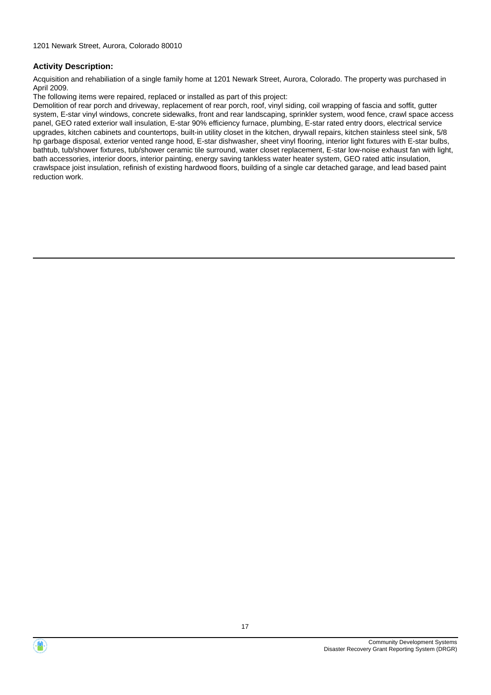Acquisition and rehabiliation of a single family home at 1201 Newark Street, Aurora, Colorado. The property was purchased in April 2009.

The following items were repaired, replaced or installed as part of this project:

Demolition of rear porch and driveway, replacement of rear porch, roof, vinyl siding, coil wrapping of fascia and soffit, gutter system, E-star vinyl windows, concrete sidewalks, front and rear landscaping, sprinkler system, wood fence, crawl space access panel, GEO rated exterior wall insulation, E-star 90% efficiency furnace, plumbing, E-star rated entry doors, electrical service upgrades, kitchen cabinets and countertops, built-in utility closet in the kitchen, drywall repairs, kitchen stainless steel sink, 5/8 hp garbage disposal, exterior vented range hood, E-star dishwasher, sheet vinyl flooring, interior light fixtures with E-star bulbs, bathtub, tub/shower fixtures, tub/shower ceramic tile surround, water closet replacement, E-star low-noise exhaust fan with light, bath accessories, interior doors, interior painting, energy saving tankless water heater system, GEO rated attic insulation, crawlspace joist insulation, refinish of existing hardwood floors, building of a single car detached garage, and lead based paint reduction work.



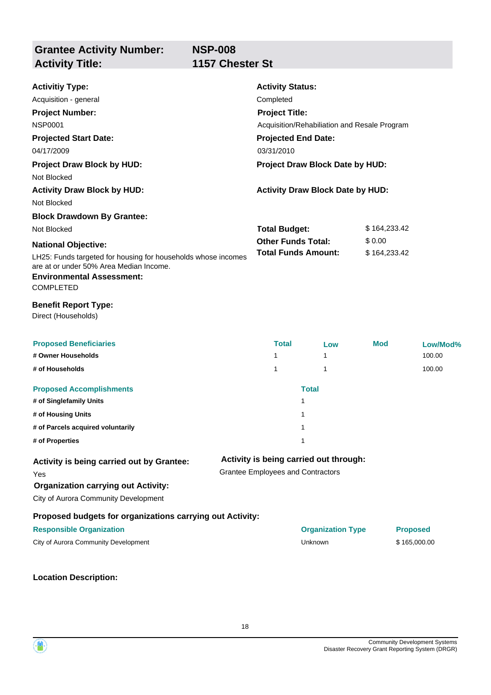| <b>Activitiy Type:</b><br>Acquisition - general<br><b>Project Number:</b><br><b>NSP0001</b><br><b>Projected Start Date:</b>                                      |                            | <b>Activity Status:</b><br>Completed<br><b>Project Title:</b><br>Acquisition/Rehabiliation and Resale Program<br><b>Projected End Date:</b> |                                         |              |                 |
|------------------------------------------------------------------------------------------------------------------------------------------------------------------|----------------------------|---------------------------------------------------------------------------------------------------------------------------------------------|-----------------------------------------|--------------|-----------------|
| 04/17/2009                                                                                                                                                       |                            | 03/31/2010                                                                                                                                  |                                         |              |                 |
| <b>Project Draw Block by HUD:</b><br>Not Blocked                                                                                                                 |                            |                                                                                                                                             | Project Draw Block Date by HUD:         |              |                 |
| <b>Activity Draw Block by HUD:</b><br>Not Blocked                                                                                                                |                            |                                                                                                                                             | <b>Activity Draw Block Date by HUD:</b> |              |                 |
| <b>Block Drawdown By Grantee:</b>                                                                                                                                |                            |                                                                                                                                             |                                         |              |                 |
| Not Blocked                                                                                                                                                      |                            | <b>Total Budget:</b>                                                                                                                        |                                         | \$164,233.42 |                 |
| <b>National Objective:</b>                                                                                                                                       |                            | <b>Other Funds Total:</b>                                                                                                                   |                                         | \$0.00       |                 |
| LH25: Funds targeted for housing for households whose incomes<br>are at or under 50% Area Median Income.<br><b>Environmental Assessment:</b><br><b>COMPLETED</b> | <b>Total Funds Amount:</b> |                                                                                                                                             |                                         | \$164,233.42 |                 |
| <b>Benefit Report Type:</b><br>Direct (Households)                                                                                                               |                            |                                                                                                                                             |                                         |              |                 |
| <b>Proposed Beneficiaries</b>                                                                                                                                    |                            | <b>Total</b>                                                                                                                                | Low                                     | <b>Mod</b>   | Low/Mod%        |
| # Owner Households                                                                                                                                               |                            | $\mathbf{1}$                                                                                                                                | 1                                       |              | 100.00          |
| # of Households                                                                                                                                                  |                            | 1                                                                                                                                           | 1                                       |              | 100.00          |
| <b>Proposed Accomplishments</b>                                                                                                                                  |                            |                                                                                                                                             | <b>Total</b>                            |              |                 |
| # of Singlefamily Units                                                                                                                                          |                            |                                                                                                                                             | 1                                       |              |                 |
| # of Housing Units                                                                                                                                               |                            |                                                                                                                                             | 1                                       |              |                 |
| # of Parcels acquired voluntarily                                                                                                                                |                            |                                                                                                                                             | 1                                       |              |                 |
| # of Properties                                                                                                                                                  |                            |                                                                                                                                             | 1                                       |              |                 |
| Activity is being carried out by Grantee:<br>Yes<br><b>Organization carrying out Activity:</b><br>City of Aurora Community Development                           |                            | <b>Grantee Employees and Contractors</b>                                                                                                    | Activity is being carried out through:  |              |                 |
| Proposed budgets for organizations carrying out Activity:                                                                                                        |                            |                                                                                                                                             |                                         |              |                 |
| <b>Responsible Organization</b>                                                                                                                                  |                            |                                                                                                                                             | <b>Organization Type</b>                |              | <b>Proposed</b> |
| City of Aurora Community Development                                                                                                                             |                            |                                                                                                                                             | Unknown                                 |              | \$165,000.00    |
|                                                                                                                                                                  |                            |                                                                                                                                             |                                         |              |                 |

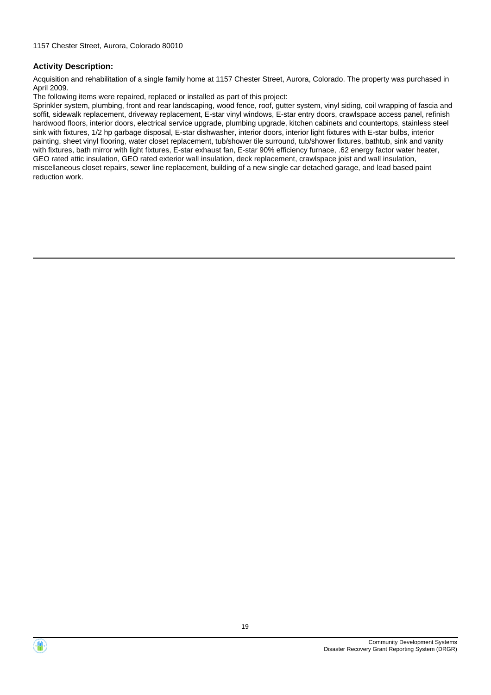Acquisition and rehabilitation of a single family home at 1157 Chester Street, Aurora, Colorado. The property was purchased in April 2009.

The following items were repaired, replaced or installed as part of this project:

Sprinkler system, plumbing, front and rear landscaping, wood fence, roof, gutter system, vinyl siding, coil wrapping of fascia and soffit, sidewalk replacement, driveway replacement, E-star vinyl windows, E-star entry doors, crawlspace access panel, refinish hardwood floors, interior doors, electrical service upgrade, plumbing upgrade, kitchen cabinets and countertops, stainless steel sink with fixtures, 1/2 hp garbage disposal, E-star dishwasher, interior doors, interior light fixtures with E-star bulbs, interior painting, sheet vinyl flooring, water closet replacement, tub/shower tile surround, tub/shower fixtures, bathtub, sink and vanity with fixtures, bath mirror with light fixtures, E-star exhaust fan, E-star 90% efficiency furnace, .62 energy factor water heater, GEO rated attic insulation, GEO rated exterior wall insulation, deck replacement, crawlspace joist and wall insulation, miscellaneous closet repairs, sewer line replacement, building of a new single car detached garage, and lead based paint reduction work.

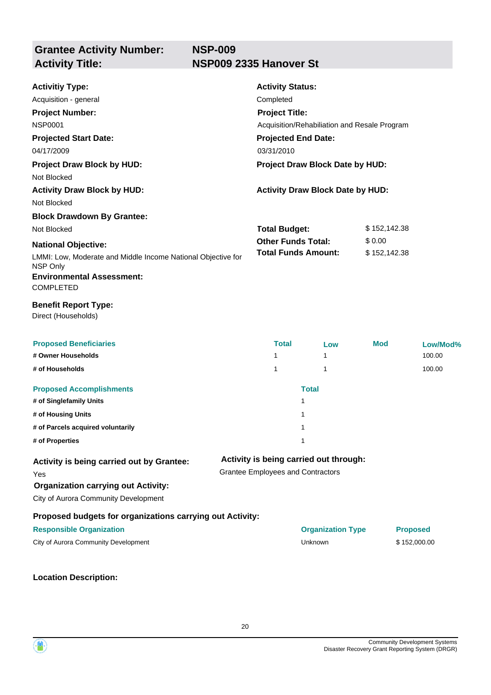| <b>Activitiy Type:</b>                                                   | <b>Activity Status:</b>                      |                                         |              |                 |
|--------------------------------------------------------------------------|----------------------------------------------|-----------------------------------------|--------------|-----------------|
| Acquisition - general                                                    | Completed                                    |                                         |              |                 |
| <b>Project Number:</b>                                                   | <b>Project Title:</b>                        |                                         |              |                 |
| <b>NSP0001</b>                                                           | Acquisition/Rehabiliation and Resale Program |                                         |              |                 |
| <b>Projected Start Date:</b>                                             | <b>Projected End Date:</b>                   |                                         |              |                 |
| 04/17/2009                                                               | 03/31/2010                                   |                                         |              |                 |
| <b>Project Draw Block by HUD:</b>                                        |                                              | Project Draw Block Date by HUD:         |              |                 |
| Not Blocked                                                              |                                              |                                         |              |                 |
| <b>Activity Draw Block by HUD:</b>                                       |                                              | <b>Activity Draw Block Date by HUD:</b> |              |                 |
| Not Blocked                                                              |                                              |                                         |              |                 |
| <b>Block Drawdown By Grantee:</b>                                        |                                              |                                         |              |                 |
| Not Blocked                                                              | <b>Total Budget:</b>                         |                                         | \$152,142.38 |                 |
| <b>National Objective:</b>                                               | <b>Other Funds Total:</b>                    |                                         | \$0.00       |                 |
| LMMI: Low, Moderate and Middle Income National Objective for<br>NSP Only |                                              | <b>Total Funds Amount:</b>              | \$152,142.38 |                 |
| <b>Environmental Assessment:</b><br><b>COMPLETED</b>                     |                                              |                                         |              |                 |
| <b>Benefit Report Type:</b><br>Direct (Households)                       |                                              |                                         |              |                 |
| <b>Proposed Beneficiaries</b>                                            | <b>Total</b>                                 | Low                                     | Mod          | Low/Mod%        |
| # Owner Households                                                       | 1                                            | 1                                       |              | 100.00          |
| # of Households                                                          | 1                                            | 1                                       |              | 100.00          |
| <b>Proposed Accomplishments</b>                                          |                                              | <b>Total</b>                            |              |                 |
| # of Singlefamily Units                                                  |                                              | 1                                       |              |                 |
| # of Housing Units                                                       |                                              | 1                                       |              |                 |
| # of Parcels acquired voluntarily                                        |                                              | 1                                       |              |                 |
| # of Properties                                                          |                                              | 1                                       |              |                 |
| Activity is being carried out by Grantee:                                |                                              | Activity is being carried out through:  |              |                 |
| Yes                                                                      | <b>Grantee Employees and Contractors</b>     |                                         |              |                 |
| <b>Organization carrying out Activity:</b>                               |                                              |                                         |              |                 |
| City of Aurora Community Development                                     |                                              |                                         |              |                 |
| Proposed budgets for organizations carrying out Activity:                |                                              |                                         |              |                 |
| <b>Responsible Organization</b>                                          |                                              | <b>Organization Type</b>                |              | <b>Proposed</b> |
| City of Aurora Community Development                                     |                                              | Unknown                                 |              | \$152,000.00    |
|                                                                          |                                              |                                         |              |                 |

**Location Description:**

Community Development Systems Disaster Recovery Grant Reporting System (DRGR)

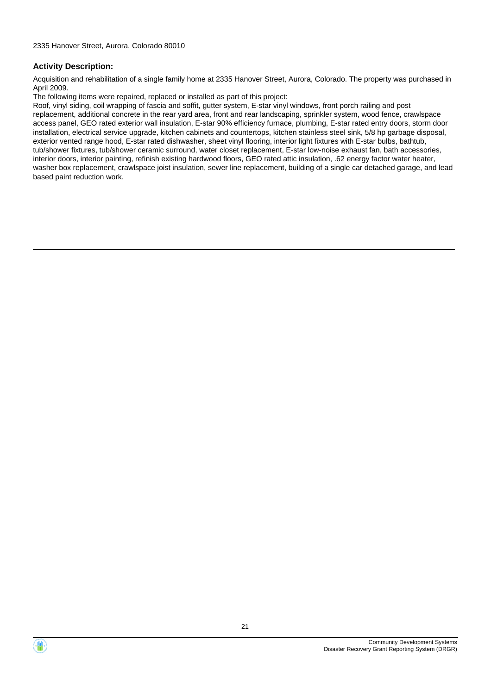Acquisition and rehabilitation of a single family home at 2335 Hanover Street, Aurora, Colorado. The property was purchased in April 2009.

The following items were repaired, replaced or installed as part of this project:

Roof, vinyl siding, coil wrapping of fascia and soffit, gutter system, E-star vinyl windows, front porch railing and post replacement, additional concrete in the rear yard area, front and rear landscaping, sprinkler system, wood fence, crawlspace access panel, GEO rated exterior wall insulation, E-star 90% efficiency furnace, plumbing, E-star rated entry doors, storm door installation, electrical service upgrade, kitchen cabinets and countertops, kitchen stainless steel sink, 5/8 hp garbage disposal, exterior vented range hood, E-star rated dishwasher, sheet vinyl flooring, interior light fixtures with E-star bulbs, bathtub, tub/shower fixtures, tub/shower ceramic surround, water closet replacement, E-star low-noise exhaust fan, bath accessories, interior doors, interior painting, refinish existing hardwood floors, GEO rated attic insulation, .62 energy factor water heater, washer box replacement, crawlspace joist insulation, sewer line replacement, building of a single car detached garage, and lead based paint reduction work.



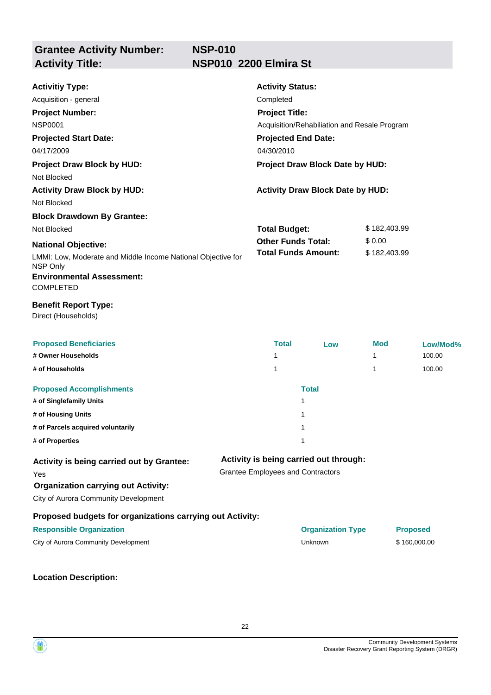## **NSP-010 Activity Title: NSP010 2200 Elmira St**

| <b>Activitiy Type:</b>                                                   | <b>Activity Status:</b>                      |                                         |              |                 |  |  |
|--------------------------------------------------------------------------|----------------------------------------------|-----------------------------------------|--------------|-----------------|--|--|
| Acquisition - general                                                    | Completed                                    |                                         |              |                 |  |  |
| <b>Project Number:</b>                                                   | <b>Project Title:</b>                        |                                         |              |                 |  |  |
| <b>NSP0001</b>                                                           | Acquisition/Rehabiliation and Resale Program |                                         |              |                 |  |  |
| <b>Projected Start Date:</b>                                             | <b>Projected End Date:</b>                   |                                         |              |                 |  |  |
| 04/17/2009                                                               | 04/30/2010                                   |                                         |              |                 |  |  |
| <b>Project Draw Block by HUD:</b>                                        |                                              | Project Draw Block Date by HUD:         |              |                 |  |  |
| Not Blocked                                                              |                                              |                                         |              |                 |  |  |
| <b>Activity Draw Block by HUD:</b>                                       |                                              | <b>Activity Draw Block Date by HUD:</b> |              |                 |  |  |
| Not Blocked                                                              |                                              |                                         |              |                 |  |  |
| <b>Block Drawdown By Grantee:</b>                                        |                                              |                                         |              |                 |  |  |
| Not Blocked                                                              | <b>Total Budget:</b>                         |                                         |              | \$182,403.99    |  |  |
| <b>National Objective:</b>                                               | <b>Other Funds Total:</b>                    |                                         | \$0.00       |                 |  |  |
| LMMI: Low, Moderate and Middle Income National Objective for<br>NSP Only | <b>Total Funds Amount:</b>                   |                                         | \$182,403.99 |                 |  |  |
| <b>Environmental Assessment:</b><br><b>COMPLETED</b>                     |                                              |                                         |              |                 |  |  |
| <b>Benefit Report Type:</b><br>Direct (Households)                       |                                              |                                         |              |                 |  |  |
| <b>Proposed Beneficiaries</b>                                            | <b>Total</b>                                 | Low                                     | <b>Mod</b>   | Low/Mod%        |  |  |
| # Owner Households                                                       | 1                                            |                                         | 1            | 100.00          |  |  |
| # of Households                                                          | 1                                            |                                         | 1            | 100.00          |  |  |
| <b>Proposed Accomplishments</b>                                          |                                              | <b>Total</b>                            |              |                 |  |  |
| # of Singlefamily Units                                                  |                                              | 1                                       |              |                 |  |  |
| # of Housing Units                                                       |                                              | 1                                       |              |                 |  |  |
| # of Parcels acquired voluntarily                                        |                                              | 1                                       |              |                 |  |  |
| # of Properties                                                          |                                              | 1                                       |              |                 |  |  |
| Activity is being carried out by Grantee:                                |                                              | Activity is being carried out through:  |              |                 |  |  |
| Yes                                                                      | <b>Grantee Employees and Contractors</b>     |                                         |              |                 |  |  |
| <b>Organization carrying out Activity:</b>                               |                                              |                                         |              |                 |  |  |
| City of Aurora Community Development                                     |                                              |                                         |              |                 |  |  |
| Proposed budgets for organizations carrying out Activity:                |                                              |                                         |              |                 |  |  |
| <b>Responsible Organization</b>                                          |                                              | <b>Organization Type</b>                |              | <b>Proposed</b> |  |  |
| City of Aurora Community Development                                     |                                              | Unknown                                 |              | \$160,000.00    |  |  |
|                                                                          |                                              |                                         |              |                 |  |  |

**Location Description:**



22

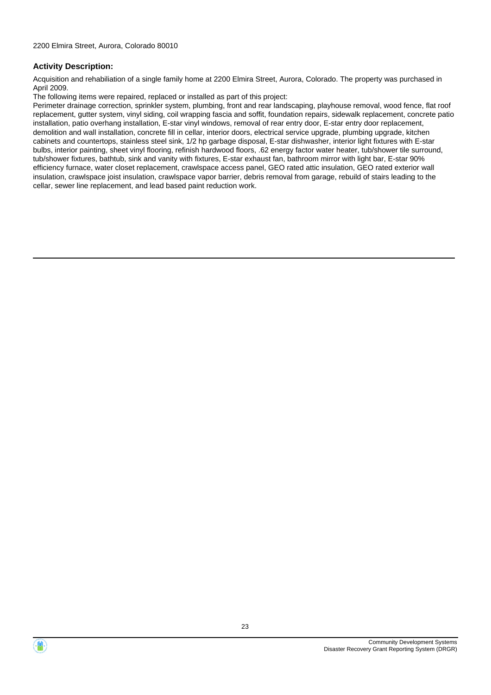Acquisition and rehabiliation of a single family home at 2200 Elmira Street, Aurora, Colorado. The property was purchased in April 2009.

The following items were repaired, replaced or installed as part of this project:

Perimeter drainage correction, sprinkler system, plumbing, front and rear landscaping, playhouse removal, wood fence, flat roof replacement, gutter system, vinyl siding, coil wrapping fascia and soffit, foundation repairs, sidewalk replacement, concrete patio installation, patio overhang installation, E-star vinyl windows, removal of rear entry door, E-star entry door replacement, demolition and wall installation, concrete fill in cellar, interior doors, electrical service upgrade, plumbing upgrade, kitchen cabinets and countertops, stainless steel sink, 1/2 hp garbage disposal, E-star dishwasher, interior light fixtures with E-star bulbs, interior painting, sheet vinyl flooring, refinish hardwood floors, .62 energy factor water heater, tub/shower tile surround, tub/shower fixtures, bathtub, sink and vanity with fixtures, E-star exhaust fan, bathroom mirror with light bar, E-star 90% efficiency furnace, water closet replacement, crawlspace access panel, GEO rated attic insulation, GEO rated exterior wall insulation, crawlspace joist insulation, crawlspace vapor barrier, debris removal from garage, rebuild of stairs leading to the cellar, sewer line replacement, and lead based paint reduction work.



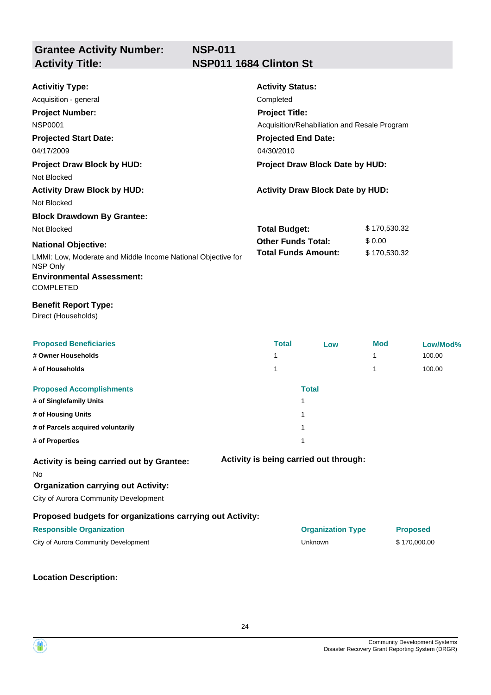## **NSP-011 NSP011 1684 Clinton St**

| <b>Activitiy Type:</b>                                                   | <b>Activity Status:</b>                      |                                         |              |                 |
|--------------------------------------------------------------------------|----------------------------------------------|-----------------------------------------|--------------|-----------------|
| Acquisition - general                                                    | Completed                                    |                                         |              |                 |
| <b>Project Number:</b>                                                   | <b>Project Title:</b>                        |                                         |              |                 |
| <b>NSP0001</b>                                                           | Acquisition/Rehabiliation and Resale Program |                                         |              |                 |
| <b>Projected Start Date:</b>                                             | <b>Projected End Date:</b>                   |                                         |              |                 |
| 04/17/2009                                                               | 04/30/2010                                   |                                         |              |                 |
| <b>Project Draw Block by HUD:</b>                                        |                                              | Project Draw Block Date by HUD:         |              |                 |
| Not Blocked                                                              |                                              |                                         |              |                 |
| <b>Activity Draw Block by HUD:</b>                                       |                                              | <b>Activity Draw Block Date by HUD:</b> |              |                 |
| Not Blocked                                                              |                                              |                                         |              |                 |
| <b>Block Drawdown By Grantee:</b>                                        |                                              |                                         |              |                 |
| Not Blocked                                                              | <b>Total Budget:</b>                         |                                         | \$170,530.32 |                 |
| <b>National Objective:</b>                                               | <b>Other Funds Total:</b>                    |                                         | \$0.00       |                 |
| LMMI: Low, Moderate and Middle Income National Objective for<br>NSP Only | <b>Total Funds Amount:</b>                   |                                         | \$170,530.32 |                 |
| <b>Environmental Assessment:</b><br>COMPLETED                            |                                              |                                         |              |                 |
| <b>Benefit Report Type:</b><br>Direct (Households)                       |                                              |                                         |              |                 |
| <b>Proposed Beneficiaries</b>                                            | <b>Total</b>                                 | Low                                     | <b>Mod</b>   | Low/Mod%        |
| # Owner Households                                                       | 1                                            |                                         | 1            | 100.00          |
| # of Households                                                          | 1                                            |                                         | 1            | 100.00          |
| <b>Proposed Accomplishments</b>                                          |                                              | <b>Total</b>                            |              |                 |
| # of Singlefamily Units                                                  |                                              | 1                                       |              |                 |
| # of Housing Units                                                       |                                              | 1                                       |              |                 |
| # of Parcels acquired voluntarily                                        |                                              | 1                                       |              |                 |
| # of Properties                                                          |                                              | 1                                       |              |                 |
| Activity is being carried out by Grantee:<br>No                          |                                              | Activity is being carried out through:  |              |                 |
| <b>Organization carrying out Activity:</b>                               |                                              |                                         |              |                 |
| City of Aurora Community Development                                     |                                              |                                         |              |                 |
| Proposed budgets for organizations carrying out Activity:                |                                              |                                         |              |                 |
| <b>Responsible Organization</b>                                          |                                              | <b>Organization Type</b>                |              | <b>Proposed</b> |
| City of Aurora Community Development                                     |                                              | Unknown                                 |              | \$170,000.00    |
|                                                                          |                                              |                                         |              |                 |

**Location Description:**

Community Development Systems Disaster Recovery Grant Reporting System (DRGR)

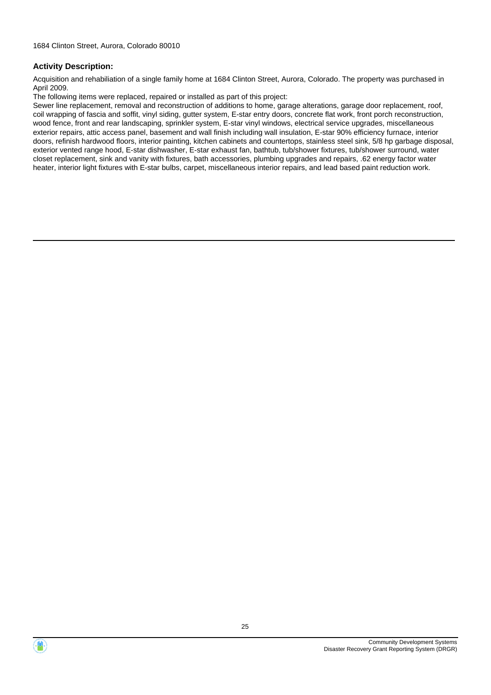Acquisition and rehabiliation of a single family home at 1684 Clinton Street, Aurora, Colorado. The property was purchased in April 2009.

The following items were replaced, repaired or installed as part of this project:

Sewer line replacement, removal and reconstruction of additions to home, garage alterations, garage door replacement, roof, coil wrapping of fascia and soffit, vinyl siding, gutter system, E-star entry doors, concrete flat work, front porch reconstruction, wood fence, front and rear landscaping, sprinkler system, E-star vinyl windows, electrical service upgrades, miscellaneous exterior repairs, attic access panel, basement and wall finish including wall insulation, E-star 90% efficiency furnace, interior doors, refinish hardwood floors, interior painting, kitchen cabinets and countertops, stainless steel sink, 5/8 hp garbage disposal, exterior vented range hood, E-star dishwasher, E-star exhaust fan, bathtub, tub/shower fixtures, tub/shower surround, water closet replacement, sink and vanity with fixtures, bath accessories, plumbing upgrades and repairs, .62 energy factor water heater, interior light fixtures with E-star bulbs, carpet, miscellaneous interior repairs, and lead based paint reduction work.



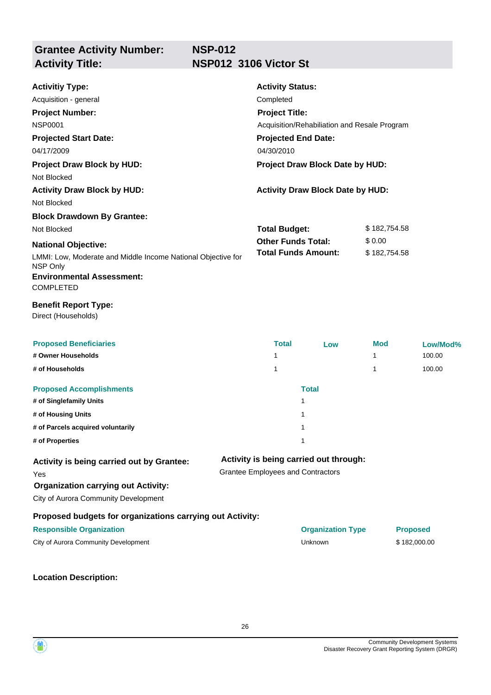## **NSP-012 Activity Title: NSP012 3106 Victor St**

| <b>Activitiy Type:</b><br>Acquisition - general<br><b>Project Number:</b><br><b>NSP0001</b><br><b>Projected Start Date:</b><br>04/17/2009 | <b>Activity Status:</b><br>Completed<br><b>Project Title:</b><br>Acquisition/Rehabiliation and Resale Program<br><b>Projected End Date:</b><br>04/30/2010 |                                         |              |                 |
|-------------------------------------------------------------------------------------------------------------------------------------------|-----------------------------------------------------------------------------------------------------------------------------------------------------------|-----------------------------------------|--------------|-----------------|
| <b>Project Draw Block by HUD:</b>                                                                                                         |                                                                                                                                                           | Project Draw Block Date by HUD:         |              |                 |
| Not Blocked<br><b>Activity Draw Block by HUD:</b><br>Not Blocked                                                                          |                                                                                                                                                           | <b>Activity Draw Block Date by HUD:</b> |              |                 |
| <b>Block Drawdown By Grantee:</b>                                                                                                         |                                                                                                                                                           |                                         |              |                 |
| Not Blocked                                                                                                                               | <b>Total Budget:</b>                                                                                                                                      |                                         | \$182,754.58 |                 |
| <b>National Objective:</b>                                                                                                                | <b>Other Funds Total:</b><br><b>Total Funds Amount:</b>                                                                                                   |                                         | \$0.00       |                 |
| LMMI: Low, Moderate and Middle Income National Objective for<br>NSP Only<br><b>Environmental Assessment:</b>                              |                                                                                                                                                           |                                         | \$182,754.58 |                 |
| <b>COMPLETED</b>                                                                                                                          |                                                                                                                                                           |                                         |              |                 |
| <b>Benefit Report Type:</b><br>Direct (Households)                                                                                        |                                                                                                                                                           |                                         |              |                 |
| <b>Proposed Beneficiaries</b>                                                                                                             | <b>Total</b>                                                                                                                                              | Low                                     | <b>Mod</b>   | Low/Mod%        |
| # Owner Households                                                                                                                        | 1                                                                                                                                                         |                                         | 1            | 100.00          |
| # of Households                                                                                                                           | 1                                                                                                                                                         |                                         | 1            | 100.00          |
| <b>Proposed Accomplishments</b>                                                                                                           |                                                                                                                                                           | <b>Total</b>                            |              |                 |
| # of Singlefamily Units                                                                                                                   |                                                                                                                                                           | 1                                       |              |                 |
| # of Housing Units                                                                                                                        |                                                                                                                                                           | 1                                       |              |                 |
| # of Parcels acquired voluntarily                                                                                                         |                                                                                                                                                           | 1                                       |              |                 |
| # of Properties                                                                                                                           |                                                                                                                                                           | 1                                       |              |                 |
| Activity is being carried out by Grantee:<br>Yes<br><b>Organization carrying out Activity:</b><br>City of Aurora Community Development    | <b>Grantee Employees and Contractors</b>                                                                                                                  | Activity is being carried out through:  |              |                 |
| Proposed budgets for organizations carrying out Activity:                                                                                 |                                                                                                                                                           |                                         |              |                 |
| <b>Responsible Organization</b>                                                                                                           |                                                                                                                                                           | <b>Organization Type</b>                |              | <b>Proposed</b> |
| City of Aurora Community Development                                                                                                      |                                                                                                                                                           | Unknown                                 |              | \$182,000.00    |
|                                                                                                                                           |                                                                                                                                                           |                                         |              |                 |



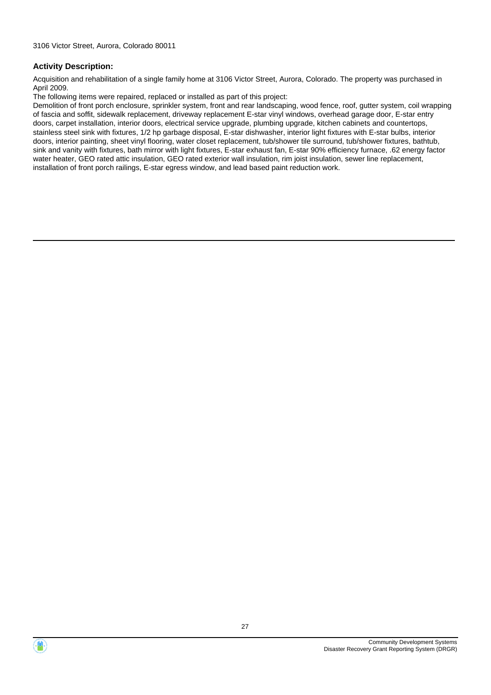Acquisition and rehabilitation of a single family home at 3106 Victor Street, Aurora, Colorado. The property was purchased in April 2009.

The following items were repaired, replaced or installed as part of this project:

Demolition of front porch enclosure, sprinkler system, front and rear landscaping, wood fence, roof, gutter system, coil wrapping of fascia and soffit, sidewalk replacement, driveway replacement E-star vinyl windows, overhead garage door, E-star entry doors, carpet installation, interior doors, electrical service upgrade, plumbing upgrade, kitchen cabinets and countertops, stainless steel sink with fixtures, 1/2 hp garbage disposal, E-star dishwasher, interior light fixtures with E-star bulbs, interior doors, interior painting, sheet vinyl flooring, water closet replacement, tub/shower tile surround, tub/shower fixtures, bathtub, sink and vanity with fixtures, bath mirror with light fixtures, E-star exhaust fan, E-star 90% efficiency furnace, .62 energy factor water heater, GEO rated attic insulation, GEO rated exterior wall insulation, rim joist insulation, sewer line replacement, installation of front porch railings, E-star egress window, and lead based paint reduction work.



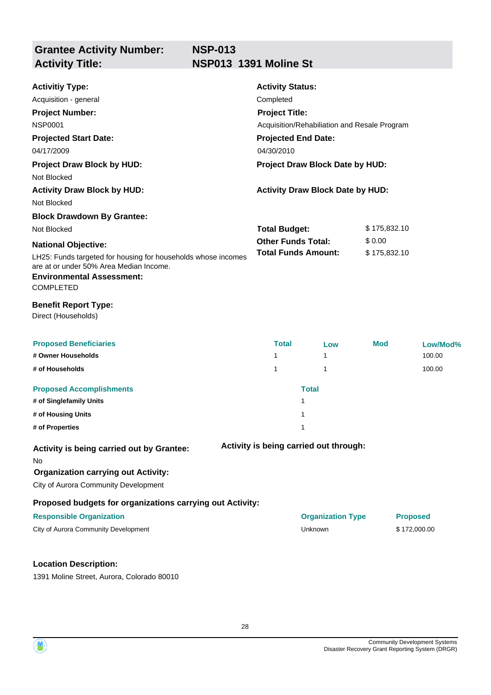| <b>Activitiy Type:</b>                                                                                                                                           | <b>Activity Status:</b>                      |                                         |              |                 |
|------------------------------------------------------------------------------------------------------------------------------------------------------------------|----------------------------------------------|-----------------------------------------|--------------|-----------------|
| Acquisition - general                                                                                                                                            | Completed                                    |                                         |              |                 |
| <b>Project Number:</b>                                                                                                                                           | <b>Project Title:</b>                        |                                         |              |                 |
| <b>NSP0001</b>                                                                                                                                                   | Acquisition/Rehabiliation and Resale Program |                                         |              |                 |
| <b>Projected Start Date:</b>                                                                                                                                     | <b>Projected End Date:</b>                   |                                         |              |                 |
| 04/17/2009                                                                                                                                                       | 04/30/2010                                   |                                         |              |                 |
| <b>Project Draw Block by HUD:</b>                                                                                                                                |                                              | Project Draw Block Date by HUD:         |              |                 |
| Not Blocked                                                                                                                                                      |                                              |                                         |              |                 |
| <b>Activity Draw Block by HUD:</b>                                                                                                                               |                                              | <b>Activity Draw Block Date by HUD:</b> |              |                 |
| Not Blocked                                                                                                                                                      |                                              |                                         |              |                 |
| <b>Block Drawdown By Grantee:</b>                                                                                                                                |                                              |                                         |              |                 |
| Not Blocked                                                                                                                                                      | <b>Total Budget:</b>                         |                                         | \$175,832.10 |                 |
| <b>National Objective:</b>                                                                                                                                       | <b>Other Funds Total:</b>                    |                                         | \$0.00       |                 |
| LH25: Funds targeted for housing for households whose incomes<br>are at or under 50% Area Median Income.<br><b>Environmental Assessment:</b><br><b>COMPLETED</b> | <b>Total Funds Amount:</b><br>\$175,832.10   |                                         |              |                 |
| <b>Benefit Report Type:</b><br>Direct (Households)                                                                                                               |                                              |                                         |              |                 |
| <b>Proposed Beneficiaries</b>                                                                                                                                    | <b>Total</b>                                 | Low                                     | <b>Mod</b>   | Low/Mod%        |
| # Owner Households                                                                                                                                               | 1                                            | 1                                       |              | 100.00          |
| # of Households                                                                                                                                                  | 1                                            | 1                                       |              | 100.00          |
| <b>Proposed Accomplishments</b>                                                                                                                                  |                                              | <b>Total</b>                            |              |                 |
| # of Singlefamily Units                                                                                                                                          |                                              | 1                                       |              |                 |
| # of Housing Units                                                                                                                                               |                                              | 1                                       |              |                 |
| # of Properties                                                                                                                                                  |                                              | 1                                       |              |                 |
| Activity is being carried out by Grantee:<br>No<br><b>Organization carrying out Activity:</b><br>City of Aurora Community Development                            |                                              | Activity is being carried out through:  |              |                 |
| Proposed budgets for organizations carrying out Activity:                                                                                                        |                                              |                                         |              |                 |
| <b>Responsible Organization</b>                                                                                                                                  |                                              | <b>Organization Type</b>                |              | <b>Proposed</b> |
| City of Aurora Community Development                                                                                                                             |                                              | Unknown                                 |              | \$172,000.00    |
|                                                                                                                                                                  |                                              |                                         |              |                 |

## **Location Description:**

1391 Moline Street, Aurora, Colorado 80010



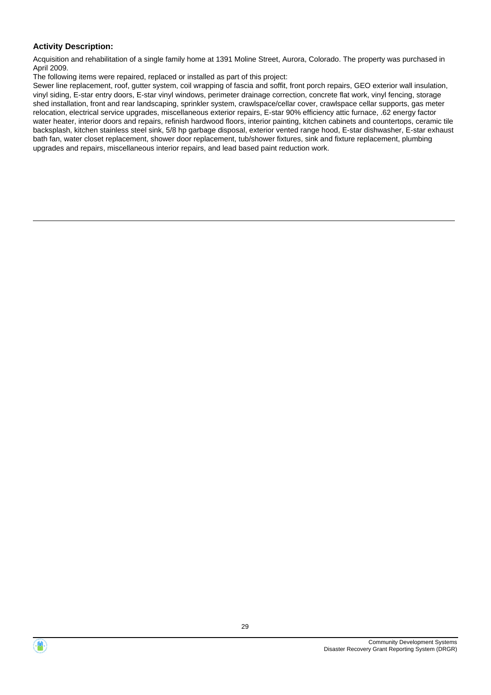Acquisition and rehabilitation of a single family home at 1391 Moline Street, Aurora, Colorado. The property was purchased in April 2009.

The following items were repaired, replaced or installed as part of this project:

Sewer line replacement, roof, gutter system, coil wrapping of fascia and soffit, front porch repairs, GEO exterior wall insulation, vinyl siding, E-star entry doors, E-star vinyl windows, perimeter drainage correction, concrete flat work, vinyl fencing, storage shed installation, front and rear landscaping, sprinkler system, crawlspace/cellar cover, crawlspace cellar supports, gas meter relocation, electrical service upgrades, miscellaneous exterior repairs, E-star 90% efficiency attic furnace, .62 energy factor water heater, interior doors and repairs, refinish hardwood floors, interior painting, kitchen cabinets and countertops, ceramic tile backsplash, kitchen stainless steel sink, 5/8 hp garbage disposal, exterior vented range hood, E-star dishwasher, E-star exhaust bath fan, water closet replacement, shower door replacement, tub/shower fixtures, sink and fixture replacement, plumbing upgrades and repairs, miscellaneous interior repairs, and lead based paint reduction work.

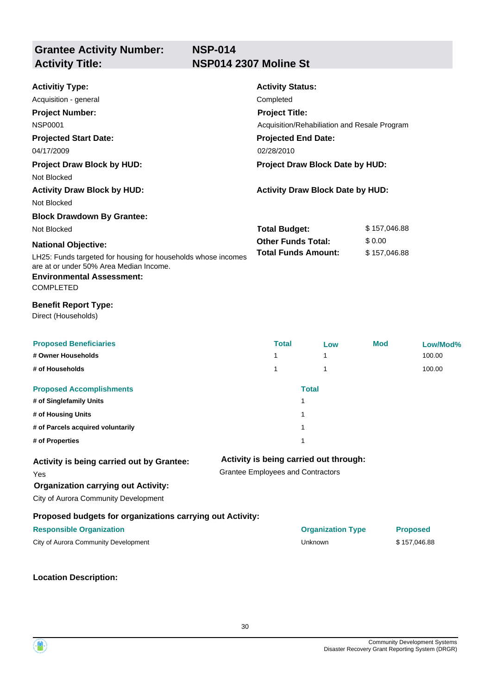| <b>Activitiy Type:</b>                                                                                                                                           | <b>Activity Status:</b>                      |                                         |              |                 |  |
|------------------------------------------------------------------------------------------------------------------------------------------------------------------|----------------------------------------------|-----------------------------------------|--------------|-----------------|--|
| Acquisition - general                                                                                                                                            | Completed                                    |                                         |              |                 |  |
| <b>Project Number:</b>                                                                                                                                           | <b>Project Title:</b>                        |                                         |              |                 |  |
| <b>NSP0001</b>                                                                                                                                                   | Acquisition/Rehabiliation and Resale Program |                                         |              |                 |  |
| <b>Projected Start Date:</b>                                                                                                                                     | <b>Projected End Date:</b>                   |                                         |              |                 |  |
| 04/17/2009                                                                                                                                                       | 02/28/2010                                   |                                         |              |                 |  |
| <b>Project Draw Block by HUD:</b>                                                                                                                                |                                              | Project Draw Block Date by HUD:         |              |                 |  |
| Not Blocked                                                                                                                                                      |                                              |                                         |              |                 |  |
| <b>Activity Draw Block by HUD:</b>                                                                                                                               |                                              | <b>Activity Draw Block Date by HUD:</b> |              |                 |  |
| Not Blocked                                                                                                                                                      |                                              |                                         |              |                 |  |
| <b>Block Drawdown By Grantee:</b>                                                                                                                                |                                              |                                         |              |                 |  |
| Not Blocked                                                                                                                                                      | <b>Total Budget:</b>                         |                                         |              | \$157,046.88    |  |
| <b>National Objective:</b>                                                                                                                                       | <b>Other Funds Total:</b>                    |                                         | \$0.00       |                 |  |
| LH25: Funds targeted for housing for households whose incomes<br>are at or under 50% Area Median Income.<br><b>Environmental Assessment:</b><br><b>COMPLETED</b> |                                              | <b>Total Funds Amount:</b>              | \$157,046.88 |                 |  |
| <b>Benefit Report Type:</b><br>Direct (Households)                                                                                                               |                                              |                                         |              |                 |  |
| <b>Proposed Beneficiaries</b>                                                                                                                                    | <b>Total</b>                                 | Low                                     | <b>Mod</b>   | Low/Mod%        |  |
| # Owner Households                                                                                                                                               | $\mathbf{1}$                                 | $\mathbf{1}$                            |              | 100.00          |  |
| # of Households                                                                                                                                                  | 1                                            | $\mathbf{1}$                            |              | 100.00          |  |
| <b>Proposed Accomplishments</b>                                                                                                                                  |                                              | <b>Total</b>                            |              |                 |  |
| # of Singlefamily Units                                                                                                                                          |                                              | 1                                       |              |                 |  |
| # of Housing Units                                                                                                                                               |                                              | 1                                       |              |                 |  |
| # of Parcels acquired voluntarily                                                                                                                                |                                              | 1                                       |              |                 |  |
| # of Properties                                                                                                                                                  |                                              | 1                                       |              |                 |  |
| Activity is being carried out by Grantee:                                                                                                                        |                                              | Activity is being carried out through:  |              |                 |  |
| Yes                                                                                                                                                              | <b>Grantee Employees and Contractors</b>     |                                         |              |                 |  |
| <b>Organization carrying out Activity:</b>                                                                                                                       |                                              |                                         |              |                 |  |
| City of Aurora Community Development                                                                                                                             |                                              |                                         |              |                 |  |
| Proposed budgets for organizations carrying out Activity:                                                                                                        |                                              |                                         |              |                 |  |
| <b>Responsible Organization</b>                                                                                                                                  |                                              | <b>Organization Type</b>                |              | <b>Proposed</b> |  |
| City of Aurora Community Development                                                                                                                             |                                              | Unknown                                 |              | \$157,046.88    |  |
|                                                                                                                                                                  |                                              |                                         |              |                 |  |



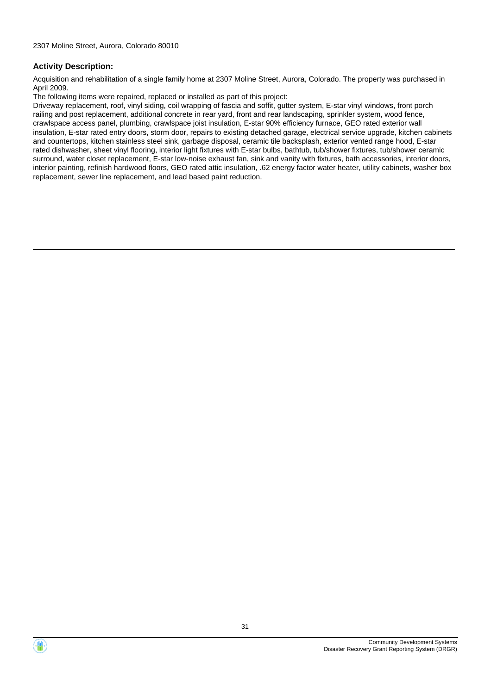Acquisition and rehabilitation of a single family home at 2307 Moline Street, Aurora, Colorado. The property was purchased in April 2009.

The following items were repaired, replaced or installed as part of this project:

Driveway replacement, roof, vinyl siding, coil wrapping of fascia and soffit, gutter system, E-star vinyl windows, front porch railing and post replacement, additional concrete in rear yard, front and rear landscaping, sprinkler system, wood fence, crawlspace access panel, plumbing, crawlspace joist insulation, E-star 90% efficiency furnace, GEO rated exterior wall insulation, E-star rated entry doors, storm door, repairs to existing detached garage, electrical service upgrade, kitchen cabinets and countertops, kitchen stainless steel sink, garbage disposal, ceramic tile backsplash, exterior vented range hood, E-star rated dishwasher, sheet vinyl flooring, interior light fixtures with E-star bulbs, bathtub, tub/shower fixtures, tub/shower ceramic surround, water closet replacement, E-star low-noise exhaust fan, sink and vanity with fixtures, bath accessories, interior doors, interior painting, refinish hardwood floors, GEO rated attic insulation, .62 energy factor water heater, utility cabinets, washer box replacement, sewer line replacement, and lead based paint reduction.

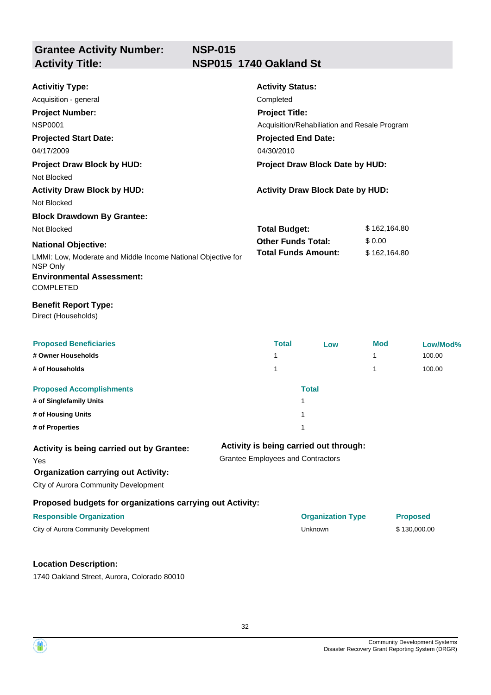# **NSP-015 Activity Title: NSP015 1740 Oakland St**

| <b>Activitiy Type:</b>                                                   | <b>Activity Status:</b>                  |                                              |              |                 |  |  |
|--------------------------------------------------------------------------|------------------------------------------|----------------------------------------------|--------------|-----------------|--|--|
| Acquisition - general                                                    | Completed                                |                                              |              |                 |  |  |
| <b>Project Number:</b>                                                   |                                          | <b>Project Title:</b>                        |              |                 |  |  |
| <b>NSP0001</b>                                                           |                                          | Acquisition/Rehabiliation and Resale Program |              |                 |  |  |
| <b>Projected Start Date:</b>                                             | <b>Projected End Date:</b>               |                                              |              |                 |  |  |
| 04/17/2009                                                               | 04/30/2010                               |                                              |              |                 |  |  |
| <b>Project Draw Block by HUD:</b>                                        |                                          | Project Draw Block Date by HUD:              |              |                 |  |  |
| Not Blocked                                                              |                                          |                                              |              |                 |  |  |
| <b>Activity Draw Block by HUD:</b>                                       |                                          | <b>Activity Draw Block Date by HUD:</b>      |              |                 |  |  |
| Not Blocked                                                              |                                          |                                              |              |                 |  |  |
| <b>Block Drawdown By Grantee:</b>                                        |                                          |                                              |              |                 |  |  |
| Not Blocked                                                              | <b>Total Budget:</b>                     |                                              | \$162,164.80 |                 |  |  |
| <b>National Objective:</b>                                               | <b>Other Funds Total:</b>                |                                              | \$0.00       |                 |  |  |
| LMMI: Low, Moderate and Middle Income National Objective for<br>NSP Only |                                          | <b>Total Funds Amount:</b>                   |              | \$162,164.80    |  |  |
| <b>Environmental Assessment:</b><br><b>COMPLETED</b>                     |                                          |                                              |              |                 |  |  |
| <b>Benefit Report Type:</b><br>Direct (Households)                       |                                          |                                              |              |                 |  |  |
|                                                                          |                                          |                                              |              |                 |  |  |
| <b>Proposed Beneficiaries</b>                                            | <b>Total</b>                             | Low                                          | <b>Mod</b>   | Low/Mod%        |  |  |
| # Owner Households                                                       | 1                                        |                                              | 1            | 100.00          |  |  |
| # of Households                                                          | 1                                        |                                              | 1            | 100.00          |  |  |
| <b>Proposed Accomplishments</b>                                          |                                          | <b>Total</b>                                 |              |                 |  |  |
| # of Singlefamily Units                                                  |                                          | 1                                            |              |                 |  |  |
| # of Housing Units                                                       |                                          | 1                                            |              |                 |  |  |
| # of Properties                                                          |                                          | 1                                            |              |                 |  |  |
| Activity is being carried out by Grantee:                                | Activity is being carried out through:   |                                              |              |                 |  |  |
| Yes                                                                      | <b>Grantee Employees and Contractors</b> |                                              |              |                 |  |  |
| <b>Organization carrying out Activity:</b>                               |                                          |                                              |              |                 |  |  |
| City of Aurora Community Development                                     |                                          |                                              |              |                 |  |  |
| Proposed budgets for organizations carrying out Activity:                |                                          |                                              |              |                 |  |  |
| <b>Responsible Organization</b>                                          |                                          | <b>Organization Type</b>                     |              | <b>Proposed</b> |  |  |
| City of Aurora Community Development                                     |                                          | Unknown                                      |              | \$130,000.00    |  |  |
| <b>Location Description:</b>                                             |                                          |                                              |              |                 |  |  |

1740 Oakland Street, Aurora, Colorado 80010

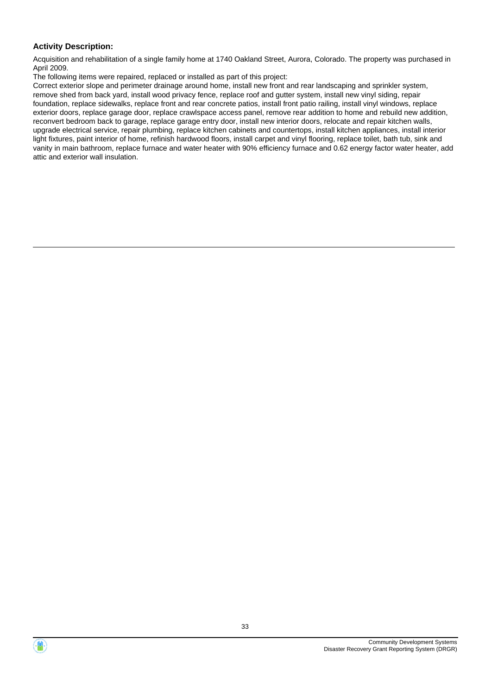Acquisition and rehabilitation of a single family home at 1740 Oakland Street, Aurora, Colorado. The property was purchased in April 2009.

The following items were repaired, replaced or installed as part of this project:

Correct exterior slope and perimeter drainage around home, install new front and rear landscaping and sprinkler system, remove shed from back yard, install wood privacy fence, replace roof and gutter system, install new vinyl siding, repair foundation, replace sidewalks, replace front and rear concrete patios, install front patio railing, install vinyl windows, replace exterior doors, replace garage door, replace crawlspace access panel, remove rear addition to home and rebuild new addition, reconvert bedroom back to garage, replace garage entry door, install new interior doors, relocate and repair kitchen walls, upgrade electrical service, repair plumbing, replace kitchen cabinets and countertops, install kitchen appliances, install interior light fixtures, paint interior of home, refinish hardwood floors, install carpet and vinyl flooring, replace toilet, bath tub, sink and vanity in main bathroom, replace furnace and water heater with 90% efficiency furnace and 0.62 energy factor water heater, add attic and exterior wall insulation.



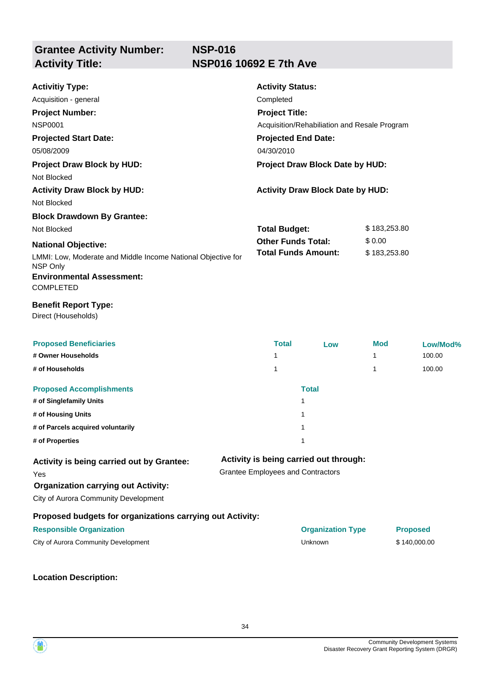## **NSP-016 Activity Title: NSP016 10692 E 7th Ave**

| <b>Activitiy Type:</b>                                                   | <b>Activity Status:</b>                           |                                         |                        |              |
|--------------------------------------------------------------------------|---------------------------------------------------|-----------------------------------------|------------------------|--------------|
| Acquisition - general                                                    | Completed                                         |                                         |                        |              |
| <b>Project Number:</b>                                                   | <b>Project Title:</b>                             |                                         |                        |              |
| <b>NSP0001</b>                                                           | Acquisition/Rehabiliation and Resale Program      |                                         |                        |              |
| <b>Projected Start Date:</b>                                             | <b>Projected End Date:</b>                        |                                         |                        |              |
| 05/08/2009                                                               | 04/30/2010<br>Project Draw Block Date by HUD:     |                                         |                        |              |
| <b>Project Draw Block by HUD:</b>                                        |                                                   |                                         |                        |              |
| Not Blocked                                                              |                                                   |                                         |                        |              |
| <b>Activity Draw Block by HUD:</b><br>Not Blocked                        |                                                   | <b>Activity Draw Block Date by HUD:</b> |                        |              |
|                                                                          |                                                   |                                         |                        |              |
| <b>Block Drawdown By Grantee:</b><br>Not Blocked                         |                                                   |                                         |                        |              |
|                                                                          | <b>Total Budget:</b><br><b>Other Funds Total:</b> |                                         | \$183,253.80<br>\$0.00 |              |
| <b>National Objective:</b>                                               |                                                   | <b>Total Funds Amount:</b>              | \$183,253.80           |              |
| LMMI: Low, Moderate and Middle Income National Objective for<br>NSP Only |                                                   |                                         |                        |              |
| <b>Environmental Assessment:</b><br><b>COMPLETED</b>                     |                                                   |                                         |                        |              |
| <b>Benefit Report Type:</b><br>Direct (Households)                       |                                                   |                                         |                        |              |
| <b>Proposed Beneficiaries</b>                                            | <b>Total</b>                                      | Low                                     | <b>Mod</b>             | Low/Mod%     |
| # Owner Households                                                       | 1                                                 |                                         | 1                      | 100.00       |
| # of Households                                                          | 1                                                 |                                         | 1                      | 100.00       |
| <b>Proposed Accomplishments</b>                                          |                                                   | <b>Total</b>                            |                        |              |
| # of Singlefamily Units                                                  |                                                   | 1                                       |                        |              |
| # of Housing Units                                                       |                                                   | 1                                       |                        |              |
| # of Parcels acquired voluntarily                                        |                                                   | 1                                       |                        |              |
| # of Properties                                                          |                                                   | 1                                       |                        |              |
| Activity is being carried out by Grantee:                                |                                                   | Activity is being carried out through:  |                        |              |
| Yes                                                                      | <b>Grantee Employees and Contractors</b>          |                                         |                        |              |
| <b>Organization carrying out Activity:</b>                               |                                                   |                                         |                        |              |
| City of Aurora Community Development                                     |                                                   |                                         |                        |              |
| Proposed budgets for organizations carrying out Activity:                |                                                   |                                         |                        |              |
| <b>Responsible Organization</b>                                          | <b>Organization Type</b>                          |                                         | <b>Proposed</b>        |              |
| City of Aurora Community Development                                     |                                                   | Unknown                                 |                        | \$140,000.00 |
|                                                                          |                                                   |                                         |                        |              |



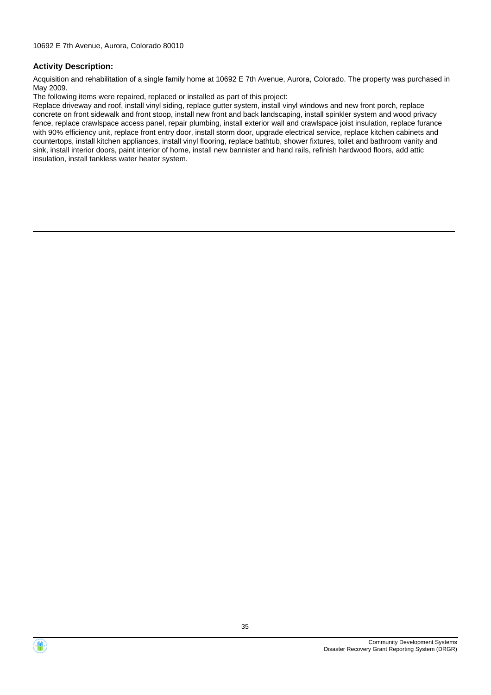Acquisition and rehabilitation of a single family home at 10692 E 7th Avenue, Aurora, Colorado. The property was purchased in May 2009.

The following items were repaired, replaced or installed as part of this project:

Replace driveway and roof, install vinyl siding, replace gutter system, install vinyl windows and new front porch, replace concrete on front sidewalk and front stoop, install new front and back landscaping, install spinkler system and wood privacy fence, replace crawlspace access panel, repair plumbing, install exterior wall and crawlspace joist insulation, replace furance with 90% efficiency unit, replace front entry door, install storm door, upgrade electrical service, replace kitchen cabinets and countertops, install kitchen appliances, install vinyl flooring, replace bathtub, shower fixtures, toilet and bathroom vanity and sink, install interior doors, paint interior of home, install new bannister and hand rails, refinish hardwood floors, add attic insulation, install tankless water heater system.

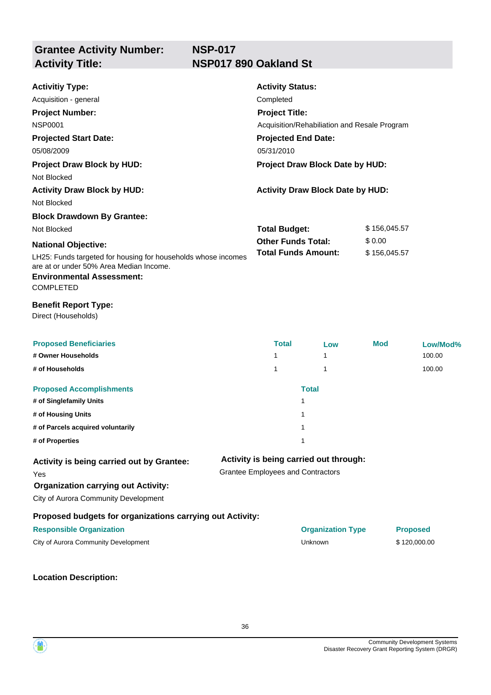| <b>Activitiy Type:</b>                                                                                                                                           |                                                                                    | <b>Activity Status:</b>                      |                                         |        |                 |  |  |
|------------------------------------------------------------------------------------------------------------------------------------------------------------------|------------------------------------------------------------------------------------|----------------------------------------------|-----------------------------------------|--------|-----------------|--|--|
| Acquisition - general                                                                                                                                            |                                                                                    | Completed                                    |                                         |        |                 |  |  |
| <b>Project Number:</b>                                                                                                                                           |                                                                                    | <b>Project Title:</b>                        |                                         |        |                 |  |  |
| <b>NSP0001</b>                                                                                                                                                   |                                                                                    | Acquisition/Rehabiliation and Resale Program |                                         |        |                 |  |  |
| <b>Projected Start Date:</b>                                                                                                                                     |                                                                                    | <b>Projected End Date:</b>                   |                                         |        |                 |  |  |
| 05/08/2009                                                                                                                                                       |                                                                                    | 05/31/2010                                   |                                         |        |                 |  |  |
| <b>Project Draw Block by HUD:</b>                                                                                                                                |                                                                                    |                                              | Project Draw Block Date by HUD:         |        |                 |  |  |
| Not Blocked                                                                                                                                                      |                                                                                    |                                              |                                         |        |                 |  |  |
| <b>Activity Draw Block by HUD:</b>                                                                                                                               |                                                                                    |                                              | <b>Activity Draw Block Date by HUD:</b> |        |                 |  |  |
| Not Blocked                                                                                                                                                      |                                                                                    |                                              |                                         |        |                 |  |  |
| <b>Block Drawdown By Grantee:</b>                                                                                                                                |                                                                                    |                                              |                                         |        |                 |  |  |
| Not Blocked                                                                                                                                                      |                                                                                    | <b>Total Budget:</b>                         |                                         |        | \$156,045.57    |  |  |
| <b>National Objective:</b>                                                                                                                                       |                                                                                    | <b>Other Funds Total:</b>                    |                                         | \$0.00 |                 |  |  |
| LH25: Funds targeted for housing for households whose incomes<br>are at or under 50% Area Median Income.<br><b>Environmental Assessment:</b><br><b>COMPLETED</b> |                                                                                    |                                              | <b>Total Funds Amount:</b>              |        | \$156,045.57    |  |  |
| <b>Benefit Report Type:</b><br>Direct (Households)                                                                                                               |                                                                                    |                                              |                                         |        |                 |  |  |
| <b>Proposed Beneficiaries</b>                                                                                                                                    |                                                                                    | <b>Total</b>                                 | Low                                     | Mod    | Low/Mod%        |  |  |
| # Owner Households                                                                                                                                               |                                                                                    | 1                                            | 1                                       |        | 100.00          |  |  |
| # of Households                                                                                                                                                  |                                                                                    | 1                                            | $\mathbf{1}$                            |        | 100.00          |  |  |
| <b>Proposed Accomplishments</b>                                                                                                                                  |                                                                                    |                                              | <b>Total</b>                            |        |                 |  |  |
| # of Singlefamily Units                                                                                                                                          |                                                                                    |                                              | $\mathbf{1}$                            |        |                 |  |  |
| # of Housing Units                                                                                                                                               |                                                                                    |                                              | $\mathbf{1}$                            |        |                 |  |  |
| # of Parcels acquired voluntarily                                                                                                                                |                                                                                    |                                              | 1                                       |        |                 |  |  |
| # of Properties                                                                                                                                                  |                                                                                    |                                              | 1                                       |        |                 |  |  |
| Activity is being carried out by Grantee:<br>Yes                                                                                                                 | Activity is being carried out through:<br><b>Grantee Employees and Contractors</b> |                                              |                                         |        |                 |  |  |
| <b>Organization carrying out Activity:</b>                                                                                                                       |                                                                                    |                                              |                                         |        |                 |  |  |
| City of Aurora Community Development                                                                                                                             |                                                                                    |                                              |                                         |        |                 |  |  |
| Proposed budgets for organizations carrying out Activity:                                                                                                        |                                                                                    |                                              |                                         |        |                 |  |  |
| <b>Responsible Organization</b>                                                                                                                                  |                                                                                    |                                              | <b>Organization Type</b>                |        | <b>Proposed</b> |  |  |
| City of Aurora Community Development                                                                                                                             |                                                                                    |                                              | Unknown                                 |        | \$120,000.00    |  |  |
|                                                                                                                                                                  |                                                                                    |                                              |                                         |        |                 |  |  |

**Location Description:**

Community Development Systems Disaster Recovery Grant Reporting System (DRGR)

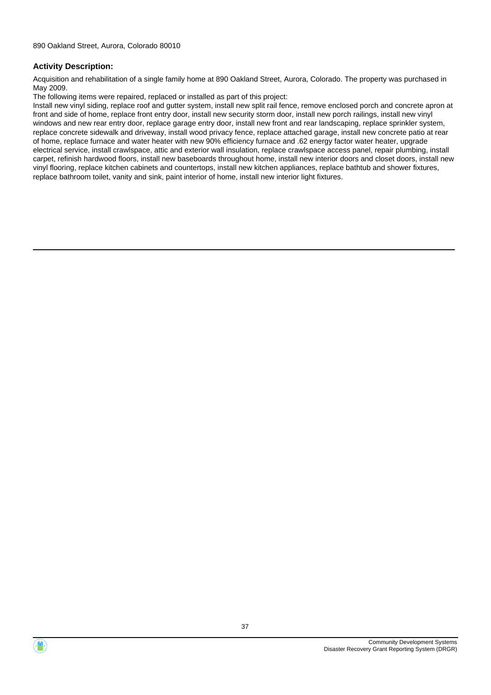Acquisition and rehabilitation of a single family home at 890 Oakland Street, Aurora, Colorado. The property was purchased in May 2009.

The following items were repaired, replaced or installed as part of this project:

Install new vinyl siding, replace roof and gutter system, install new split rail fence, remove enclosed porch and concrete apron at front and side of home, replace front entry door, install new security storm door, install new porch railings, install new vinyl windows and new rear entry door, replace garage entry door, install new front and rear landscaping, replace sprinkler system, replace concrete sidewalk and driveway, install wood privacy fence, replace attached garage, install new concrete patio at rear of home, replace furnace and water heater with new 90% efficiency furnace and .62 energy factor water heater, upgrade electrical service, install crawlspace, attic and exterior wall insulation, replace crawlspace access panel, repair plumbing, install carpet, refinish hardwood floors, install new baseboards throughout home, install new interior doors and closet doors, install new vinyl flooring, replace kitchen cabinets and countertops, install new kitchen appliances, replace bathtub and shower fixtures, replace bathroom toilet, vanity and sink, paint interior of home, install new interior light fixtures.



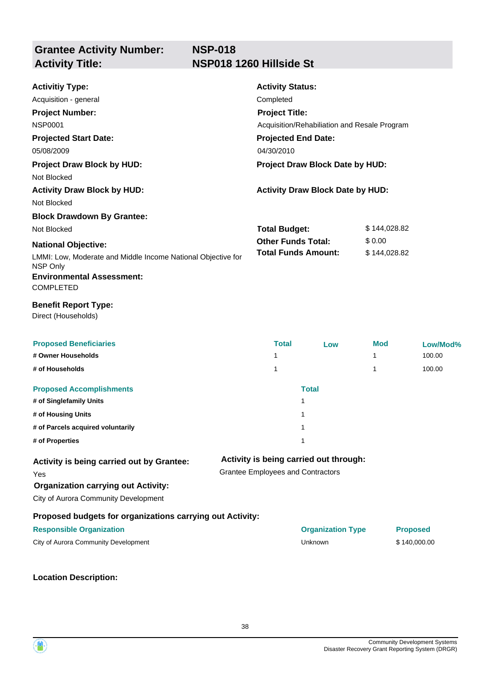## **NSP-018 Activity Title: NSP018 1260 Hillside St**

| <b>Activitiy Type:</b>                                                   |  | <b>Activity Status:</b>                                 |                                              |              |                 |
|--------------------------------------------------------------------------|--|---------------------------------------------------------|----------------------------------------------|--------------|-----------------|
| Acquisition - general                                                    |  | Completed                                               |                                              |              |                 |
| <b>Project Number:</b>                                                   |  | <b>Project Title:</b>                                   |                                              |              |                 |
| <b>NSP0001</b>                                                           |  |                                                         | Acquisition/Rehabiliation and Resale Program |              |                 |
| <b>Projected Start Date:</b>                                             |  | <b>Projected End Date:</b>                              |                                              |              |                 |
| 05/08/2009                                                               |  | 04/30/2010                                              |                                              |              |                 |
| <b>Project Draw Block by HUD:</b>                                        |  |                                                         | Project Draw Block Date by HUD:              |              |                 |
| Not Blocked                                                              |  |                                                         |                                              |              |                 |
| <b>Activity Draw Block by HUD:</b>                                       |  |                                                         | <b>Activity Draw Block Date by HUD:</b>      |              |                 |
| Not Blocked                                                              |  |                                                         |                                              |              |                 |
| <b>Block Drawdown By Grantee:</b>                                        |  |                                                         |                                              |              |                 |
| Not Blocked                                                              |  | <b>Total Budget:</b>                                    |                                              | \$144,028.82 |                 |
| <b>National Objective:</b>                                               |  | <b>Other Funds Total:</b><br><b>Total Funds Amount:</b> |                                              | \$0.00       |                 |
| LMMI: Low, Moderate and Middle Income National Objective for<br>NSP Only |  |                                                         |                                              | \$144,028.82 |                 |
| <b>Environmental Assessment:</b><br><b>COMPLETED</b>                     |  |                                                         |                                              |              |                 |
| <b>Benefit Report Type:</b><br>Direct (Households)                       |  |                                                         |                                              |              |                 |
| <b>Proposed Beneficiaries</b>                                            |  | <b>Total</b>                                            | Low                                          | <b>Mod</b>   | Low/Mod%        |
| # Owner Households                                                       |  | 1                                                       |                                              | 1            | 100.00          |
| # of Households                                                          |  | 1                                                       |                                              | 1            | 100.00          |
| <b>Proposed Accomplishments</b>                                          |  |                                                         | <b>Total</b>                                 |              |                 |
| # of Singlefamily Units                                                  |  |                                                         | 1                                            |              |                 |
| # of Housing Units                                                       |  |                                                         | 1                                            |              |                 |
| # of Parcels acquired voluntarily                                        |  |                                                         | 1                                            |              |                 |
| # of Properties                                                          |  |                                                         | 1                                            |              |                 |
| Activity is being carried out by Grantee:                                |  |                                                         | Activity is being carried out through:       |              |                 |
| Yes                                                                      |  | <b>Grantee Employees and Contractors</b>                |                                              |              |                 |
| <b>Organization carrying out Activity:</b>                               |  |                                                         |                                              |              |                 |
| City of Aurora Community Development                                     |  |                                                         |                                              |              |                 |
| Proposed budgets for organizations carrying out Activity:                |  |                                                         |                                              |              |                 |
| <b>Responsible Organization</b>                                          |  |                                                         | <b>Organization Type</b>                     |              | <b>Proposed</b> |
| City of Aurora Community Development                                     |  |                                                         | Unknown                                      |              | \$140,000.00    |
|                                                                          |  |                                                         |                                              |              |                 |

**Location Description:**

Community Development Systems Disaster Recovery Grant Reporting System (DRGR)

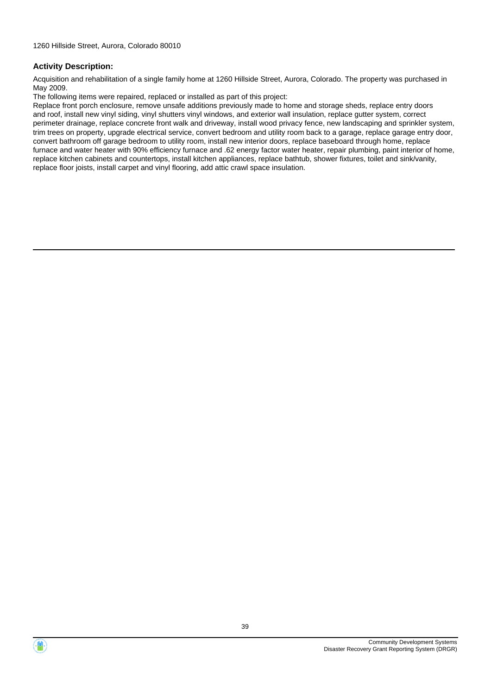Acquisition and rehabilitation of a single family home at 1260 Hillside Street, Aurora, Colorado. The property was purchased in May 2009.

The following items were repaired, replaced or installed as part of this project:

Replace front porch enclosure, remove unsafe additions previously made to home and storage sheds, replace entry doors and roof, install new vinyl siding, vinyl shutters vinyl windows, and exterior wall insulation, replace gutter system, correct perimeter drainage, replace concrete front walk and driveway, install wood privacy fence, new landscaping and sprinkler system, trim trees on property, upgrade electrical service, convert bedroom and utility room back to a garage, replace garage entry door, convert bathroom off garage bedroom to utility room, install new interior doors, replace baseboard through home, replace furnace and water heater with 90% efficiency furnace and .62 energy factor water heater, repair plumbing, paint interior of home, replace kitchen cabinets and countertops, install kitchen appliances, replace bathtub, shower fixtures, toilet and sink/vanity, replace floor joists, install carpet and vinyl flooring, add attic crawl space insulation.



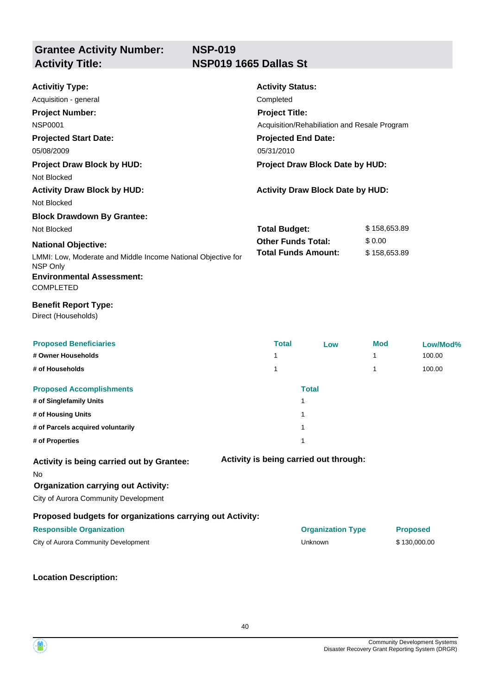## **NSP-019 Activity Title: NSP019 1665 Dallas St**

| <b>Activitiy Type:</b>                                                             | <b>Activity Status:</b>                 |                                              |              |                 |
|------------------------------------------------------------------------------------|-----------------------------------------|----------------------------------------------|--------------|-----------------|
| Acquisition - general                                                              | Completed                               |                                              |              |                 |
| <b>Project Number:</b>                                                             | <b>Project Title:</b>                   |                                              |              |                 |
| <b>NSP0001</b>                                                                     |                                         | Acquisition/Rehabiliation and Resale Program |              |                 |
| <b>Projected Start Date:</b>                                                       | <b>Projected End Date:</b>              |                                              |              |                 |
| 05/08/2009                                                                         | 05/31/2010                              |                                              |              |                 |
| <b>Project Draw Block by HUD:</b>                                                  |                                         | Project Draw Block Date by HUD:              |              |                 |
| Not Blocked                                                                        |                                         |                                              |              |                 |
| <b>Activity Draw Block by HUD:</b>                                                 | <b>Activity Draw Block Date by HUD:</b> |                                              |              |                 |
| Not Blocked                                                                        |                                         |                                              |              |                 |
| <b>Block Drawdown By Grantee:</b>                                                  |                                         |                                              |              |                 |
| Not Blocked                                                                        | <b>Total Budget:</b><br>\$158,653.89    |                                              |              |                 |
| <b>National Objective:</b>                                                         | <b>Other Funds Total:</b>               |                                              | \$0.00       |                 |
| LMMI: Low, Moderate and Middle Income National Objective for<br>NSP Only           | <b>Total Funds Amount:</b>              |                                              | \$158,653.89 |                 |
| <b>Environmental Assessment:</b><br><b>COMPLETED</b>                               |                                         |                                              |              |                 |
| <b>Benefit Report Type:</b><br>Direct (Households)                                 |                                         |                                              |              |                 |
| <b>Proposed Beneficiaries</b>                                                      | <b>Total</b>                            | Low                                          | <b>Mod</b>   | Low/Mod%        |
| # Owner Households                                                                 | 1                                       |                                              | 1            | 100.00          |
| # of Households                                                                    | 1                                       |                                              | 1            | 100.00          |
| <b>Proposed Accomplishments</b>                                                    |                                         | <b>Total</b>                                 |              |                 |
| # of Singlefamily Units                                                            |                                         | 1                                            |              |                 |
| # of Housing Units                                                                 |                                         | 1                                            |              |                 |
| # of Parcels acquired voluntarily                                                  |                                         | 1                                            |              |                 |
| # of Properties                                                                    |                                         | 1                                            |              |                 |
| Activity is being carried out by Grantee:<br>No                                    |                                         | Activity is being carried out through:       |              |                 |
| <b>Organization carrying out Activity:</b><br>City of Aurora Community Development |                                         |                                              |              |                 |
| Proposed budgets for organizations carrying out Activity:                          |                                         |                                              |              |                 |
| <b>Responsible Organization</b>                                                    |                                         | <b>Organization Type</b>                     |              | <b>Proposed</b> |
| City of Aurora Community Development                                               |                                         | Unknown                                      |              | \$130,000.00    |
|                                                                                    |                                         |                                              |              |                 |

**Location Description:**

Community Development Systems Disaster Recovery Grant Reporting System (DRGR)

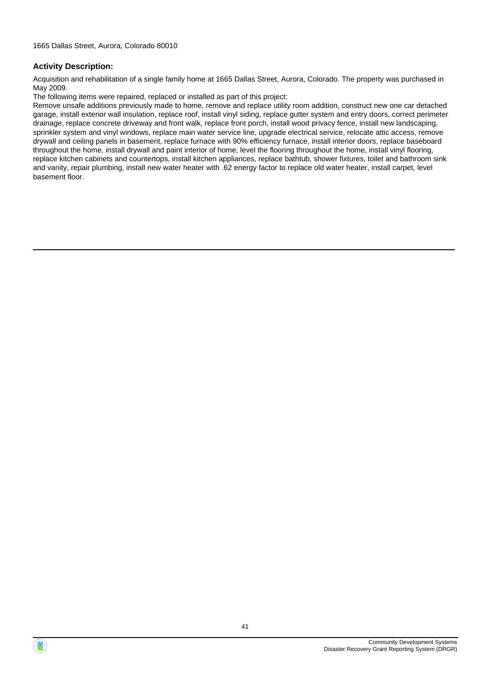Acquisition and rehabilitation of a single family home at 1665 Dallas Street, Aurora, Colorado. The property was purchased in May 2009.

The following items were repaired, replaced or installed as part of this project:

Remove unsafe additions previously made to home, remove and replace utility room addition, construct new one car detached garage, install exterior wall insulation, replace roof, install vinyl siding, replace gutter system and entry doors, correct perimeter drainage, replace concrete driveway and front walk, replace front porch, install wood privacy fence, install new landscaping, sprinkler system and vinyl windows, replace main water service line, upgrade electrical service, relocate attic access, remove drywall and ceiling panels in basement, replace furnace with 90% efficiency furnace, install interior doors, replace baseboard throughout the home, install drywall and paint interior of home, level the flooring throughout the home, install vinyl flooring, replace kitchen cabinets and countertops, install kitchen appliances, replace bathtub, shower fixtures, toilet and bathroom sink and vanity, repair plumbing, install new water heater with .62 energy factor to replace old water heater, install carpet, level basement floor.

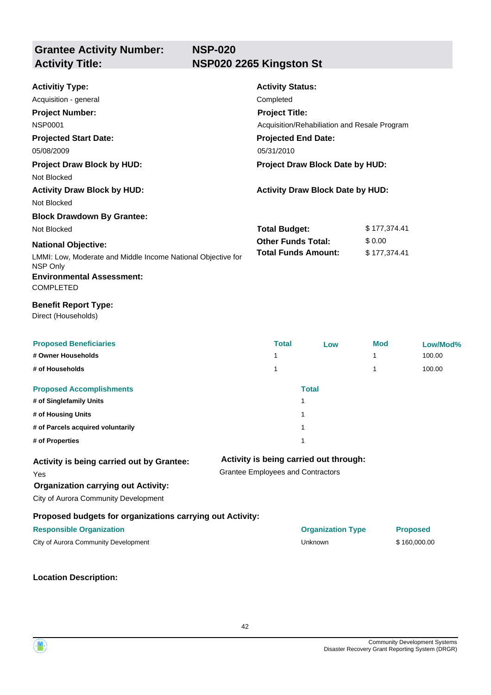## **NSP-020 Activity Title: NSP020 2265 Kingston St**

| <b>Activitiy Type:</b>                                                   |  | <b>Activity Status:</b>                                 |                                              |              |                 |
|--------------------------------------------------------------------------|--|---------------------------------------------------------|----------------------------------------------|--------------|-----------------|
| Acquisition - general                                                    |  | Completed                                               |                                              |              |                 |
| <b>Project Number:</b>                                                   |  | <b>Project Title:</b>                                   |                                              |              |                 |
| <b>NSP0001</b>                                                           |  |                                                         | Acquisition/Rehabiliation and Resale Program |              |                 |
| <b>Projected Start Date:</b>                                             |  | <b>Projected End Date:</b>                              |                                              |              |                 |
| 05/08/2009                                                               |  | 05/31/2010                                              |                                              |              |                 |
| <b>Project Draw Block by HUD:</b>                                        |  |                                                         | Project Draw Block Date by HUD:              |              |                 |
| Not Blocked                                                              |  |                                                         |                                              |              |                 |
| <b>Activity Draw Block by HUD:</b>                                       |  |                                                         | <b>Activity Draw Block Date by HUD:</b>      |              |                 |
| Not Blocked                                                              |  |                                                         |                                              |              |                 |
| <b>Block Drawdown By Grantee:</b>                                        |  |                                                         |                                              |              |                 |
| Not Blocked                                                              |  | <b>Total Budget:</b>                                    |                                              | \$177,374.41 |                 |
| <b>National Objective:</b>                                               |  | <b>Other Funds Total:</b><br><b>Total Funds Amount:</b> |                                              | \$0.00       |                 |
| LMMI: Low, Moderate and Middle Income National Objective for<br>NSP Only |  |                                                         |                                              | \$177,374.41 |                 |
| <b>Environmental Assessment:</b><br><b>COMPLETED</b>                     |  |                                                         |                                              |              |                 |
| <b>Benefit Report Type:</b><br>Direct (Households)                       |  |                                                         |                                              |              |                 |
| <b>Proposed Beneficiaries</b>                                            |  | <b>Total</b>                                            | Low                                          | <b>Mod</b>   | Low/Mod%        |
| # Owner Households                                                       |  | 1                                                       |                                              | 1            | 100.00          |
| # of Households                                                          |  | 1                                                       |                                              | 1            | 100.00          |
| <b>Proposed Accomplishments</b>                                          |  |                                                         | <b>Total</b>                                 |              |                 |
| # of Singlefamily Units                                                  |  |                                                         | 1                                            |              |                 |
| # of Housing Units                                                       |  |                                                         | $\mathbf{1}$                                 |              |                 |
| # of Parcels acquired voluntarily                                        |  |                                                         | 1                                            |              |                 |
| # of Properties                                                          |  |                                                         | 1                                            |              |                 |
| Activity is being carried out by Grantee:                                |  |                                                         | Activity is being carried out through:       |              |                 |
| Yes                                                                      |  | <b>Grantee Employees and Contractors</b>                |                                              |              |                 |
| <b>Organization carrying out Activity:</b>                               |  |                                                         |                                              |              |                 |
| City of Aurora Community Development                                     |  |                                                         |                                              |              |                 |
| Proposed budgets for organizations carrying out Activity:                |  |                                                         |                                              |              |                 |
| <b>Responsible Organization</b>                                          |  |                                                         | <b>Organization Type</b>                     |              | <b>Proposed</b> |
| City of Aurora Community Development                                     |  |                                                         | Unknown                                      |              | \$160,000.00    |
|                                                                          |  |                                                         |                                              |              |                 |

**Location Description:**



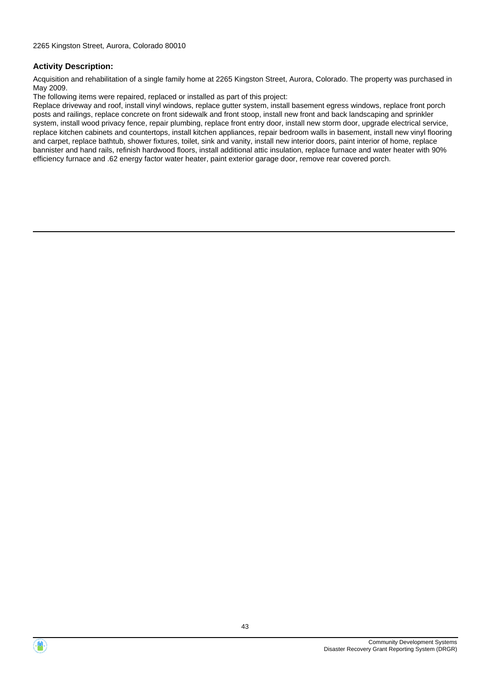Acquisition and rehabilitation of a single family home at 2265 Kingston Street, Aurora, Colorado. The property was purchased in May 2009.

The following items were repaired, replaced or installed as part of this project:

Replace driveway and roof, install vinyl windows, replace gutter system, install basement egress windows, replace front porch posts and railings, replace concrete on front sidewalk and front stoop, install new front and back landscaping and sprinkler system, install wood privacy fence, repair plumbing, replace front entry door, install new storm door, upgrade electrical service, replace kitchen cabinets and countertops, install kitchen appliances, repair bedroom walls in basement, install new vinyl flooring and carpet, replace bathtub, shower fixtures, toilet, sink and vanity, install new interior doors, paint interior of home, replace bannister and hand rails, refinish hardwood floors, install additional attic insulation, replace furnace and water heater with 90% efficiency furnace and .62 energy factor water heater, paint exterior garage door, remove rear covered porch.



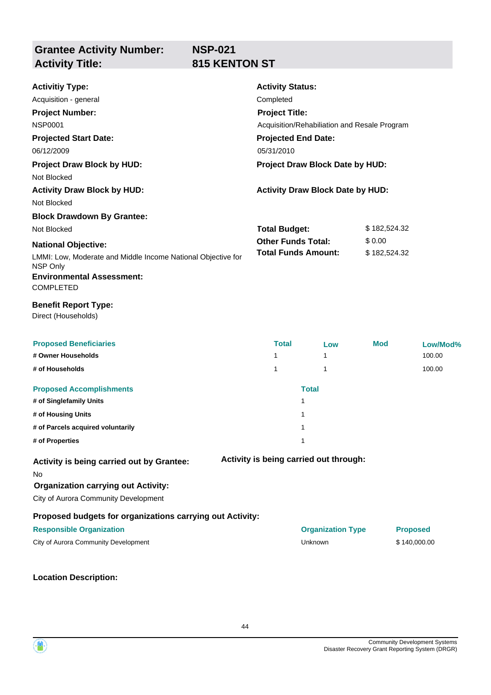**Grantee Activity Number: Activity Title: 815 KENTON ST**

| <b>NSP-021</b> |  |
|----------------|--|
| 815 KENTON :   |  |

| <b>Activitiy Type:</b>                                                   | <b>Activity Status:</b>    |                                              |              |                 |  |  |
|--------------------------------------------------------------------------|----------------------------|----------------------------------------------|--------------|-----------------|--|--|
| Acquisition - general                                                    | Completed                  |                                              |              |                 |  |  |
| <b>Project Number:</b>                                                   | <b>Project Title:</b>      |                                              |              |                 |  |  |
| <b>NSP0001</b>                                                           |                            | Acquisition/Rehabiliation and Resale Program |              |                 |  |  |
| <b>Projected Start Date:</b>                                             | <b>Projected End Date:</b> |                                              |              |                 |  |  |
| 06/12/2009                                                               | 05/31/2010                 |                                              |              |                 |  |  |
| <b>Project Draw Block by HUD:</b>                                        |                            | Project Draw Block Date by HUD:              |              |                 |  |  |
| Not Blocked                                                              |                            |                                              |              |                 |  |  |
| <b>Activity Draw Block by HUD:</b>                                       |                            | <b>Activity Draw Block Date by HUD:</b>      |              |                 |  |  |
| Not Blocked                                                              |                            |                                              |              |                 |  |  |
| <b>Block Drawdown By Grantee:</b>                                        |                            |                                              |              |                 |  |  |
| Not Blocked                                                              | <b>Total Budget:</b>       |                                              | \$182,524.32 |                 |  |  |
| <b>National Objective:</b>                                               | <b>Other Funds Total:</b>  |                                              |              | \$0.00          |  |  |
| LMMI: Low, Moderate and Middle Income National Objective for<br>NSP Only | <b>Total Funds Amount:</b> |                                              |              | \$182,524.32    |  |  |
| <b>Environmental Assessment:</b><br><b>COMPLETED</b>                     |                            |                                              |              |                 |  |  |
| <b>Benefit Report Type:</b><br>Direct (Households)                       |                            |                                              |              |                 |  |  |
| <b>Proposed Beneficiaries</b>                                            | <b>Total</b>               | Low                                          | Mod          | Low/Mod%        |  |  |
| # Owner Households                                                       | 1                          | 1                                            |              | 100.00          |  |  |
| # of Households                                                          | 1                          | 1                                            |              | 100.00          |  |  |
| <b>Proposed Accomplishments</b>                                          |                            | <b>Total</b>                                 |              |                 |  |  |
| # of Singlefamily Units                                                  |                            | 1                                            |              |                 |  |  |
| # of Housing Units                                                       |                            | 1                                            |              |                 |  |  |
| # of Parcels acquired voluntarily                                        |                            | 1                                            |              |                 |  |  |
| # of Properties                                                          |                            | 1                                            |              |                 |  |  |
| Activity is being carried out by Grantee:<br>No                          |                            | Activity is being carried out through:       |              |                 |  |  |
| <b>Organization carrying out Activity:</b>                               |                            |                                              |              |                 |  |  |
| City of Aurora Community Development                                     |                            |                                              |              |                 |  |  |
| Proposed budgets for organizations carrying out Activity:                |                            |                                              |              |                 |  |  |
| <b>Responsible Organization</b>                                          |                            | <b>Organization Type</b>                     |              | <b>Proposed</b> |  |  |
| City of Aurora Community Development                                     |                            | Unknown                                      |              | \$140,000.00    |  |  |
|                                                                          |                            |                                              |              |                 |  |  |

**Location Description:**

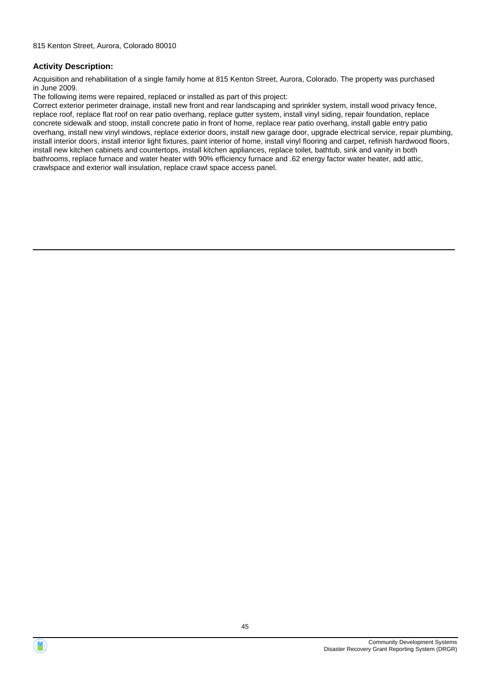Acquisition and rehabilitation of a single family home at 815 Kenton Street, Aurora, Colorado. The property was purchased in June 2009.

The following items were repaired, replaced or installed as part of this project:

Correct exterior perimeter drainage, install new front and rear landscaping and sprinkler system, install wood privacy fence, replace roof, replace flat roof on rear patio overhang, replace gutter system, install vinyl siding, repair foundation, replace concrete sidewalk and stoop, install concrete patio in front of home, replace rear patio overhang, install gable entry patio overhang, install new vinyl windows, replace exterior doors, install new garage door, upgrade electrical service, repair plumbing, install interior doors, install interior light fixtures, paint interior of home, install vinyl flooring and carpet, refinish hardwood floors, install new kitchen cabinets and countertops, install kitchen appliances, replace toilet, bathtub, sink and vanity in both bathrooms, replace furnace and water heater with 90% efficiency furnace and .62 energy factor water heater, add attic, crawlspace and exterior wall insulation, replace crawl space access panel.



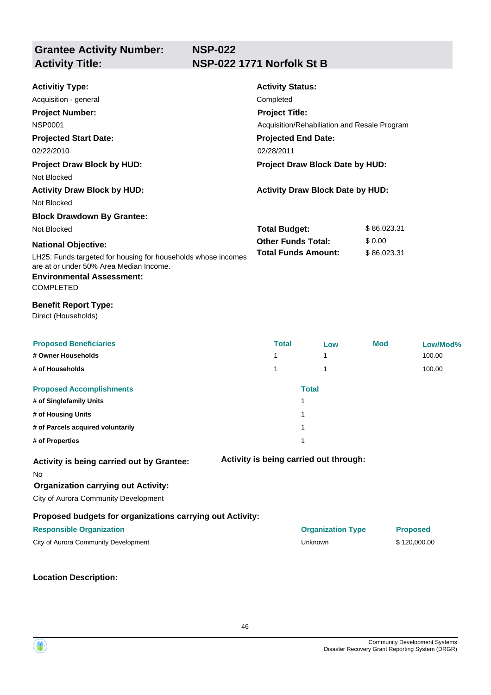## **Activity Title: NSP-022 1771 Norfolk St B**

| <b>Activitiy Type:</b><br>Acquisition - general<br><b>Project Number:</b><br><b>NSP0001</b><br><b>Projected Start Date:</b><br>02/22/2010<br><b>Project Draw Block by HUD:</b><br>Not Blocked<br><b>Activity Draw Block by HUD:</b> | <b>Activity Status:</b><br>Completed<br><b>Project Title:</b><br>Acquisition/Rehabiliation and Resale Program<br><b>Projected End Date:</b><br>02/28/2011<br>Project Draw Block Date by HUD:<br><b>Activity Draw Block Date by HUD:</b> |                                        |                       |                 |  |  |
|-------------------------------------------------------------------------------------------------------------------------------------------------------------------------------------------------------------------------------------|-----------------------------------------------------------------------------------------------------------------------------------------------------------------------------------------------------------------------------------------|----------------------------------------|-----------------------|-----------------|--|--|
| Not Blocked                                                                                                                                                                                                                         |                                                                                                                                                                                                                                         |                                        |                       |                 |  |  |
| <b>Block Drawdown By Grantee:</b>                                                                                                                                                                                                   |                                                                                                                                                                                                                                         |                                        |                       |                 |  |  |
| Not Blocked                                                                                                                                                                                                                         | <b>Total Budget:</b>                                                                                                                                                                                                                    |                                        |                       | \$86,023.31     |  |  |
| <b>National Objective:</b><br>LH25: Funds targeted for housing for households whose incomes<br>are at or under 50% Area Median Income.<br><b>Environmental Assessment:</b><br><b>COMPLETED</b>                                      | <b>Other Funds Total:</b><br><b>Total Funds Amount:</b>                                                                                                                                                                                 |                                        | \$0.00<br>\$86,023.31 |                 |  |  |
| <b>Benefit Report Type:</b><br>Direct (Households)                                                                                                                                                                                  |                                                                                                                                                                                                                                         |                                        |                       |                 |  |  |
| <b>Proposed Beneficiaries</b>                                                                                                                                                                                                       | <b>Total</b>                                                                                                                                                                                                                            | Low                                    | Mod                   | Low/Mod%        |  |  |
| # Owner Households                                                                                                                                                                                                                  | 1                                                                                                                                                                                                                                       | 1                                      |                       | 100.00          |  |  |
| # of Households                                                                                                                                                                                                                     | 1                                                                                                                                                                                                                                       | 1                                      |                       | 100.00          |  |  |
| <b>Proposed Accomplishments</b>                                                                                                                                                                                                     |                                                                                                                                                                                                                                         | <b>Total</b>                           |                       |                 |  |  |
| # of Singlefamily Units<br># of Housing Units                                                                                                                                                                                       |                                                                                                                                                                                                                                         | 1<br>1                                 |                       |                 |  |  |
| # of Parcels acquired voluntarily                                                                                                                                                                                                   |                                                                                                                                                                                                                                         | 1                                      |                       |                 |  |  |
| # of Properties                                                                                                                                                                                                                     |                                                                                                                                                                                                                                         | 1                                      |                       |                 |  |  |
| Activity is being carried out by Grantee:<br>No<br><b>Organization carrying out Activity:</b><br>City of Aurora Community Development                                                                                               |                                                                                                                                                                                                                                         | Activity is being carried out through: |                       |                 |  |  |
| Proposed budgets for organizations carrying out Activity:                                                                                                                                                                           |                                                                                                                                                                                                                                         |                                        |                       |                 |  |  |
| <b>Responsible Organization</b>                                                                                                                                                                                                     |                                                                                                                                                                                                                                         | <b>Organization Type</b>               |                       | <b>Proposed</b> |  |  |
| City of Aurora Community Development                                                                                                                                                                                                |                                                                                                                                                                                                                                         | Unknown                                |                       | \$120,000.00    |  |  |
|                                                                                                                                                                                                                                     |                                                                                                                                                                                                                                         |                                        |                       |                 |  |  |

**Location Description:**

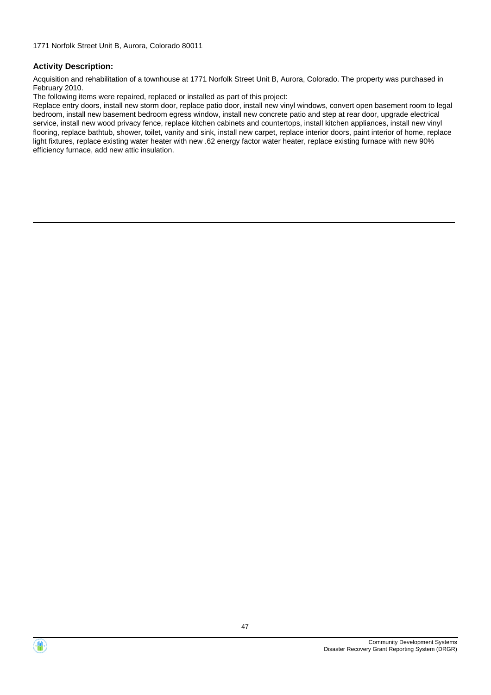Acquisition and rehabilitation of a townhouse at 1771 Norfolk Street Unit B, Aurora, Colorado. The property was purchased in February 2010.

The following items were repaired, replaced or installed as part of this project:

Replace entry doors, install new storm door, replace patio door, install new vinyl windows, convert open basement room to legal bedroom, install new basement bedroom egress window, install new concrete patio and step at rear door, upgrade electrical service, install new wood privacy fence, replace kitchen cabinets and countertops, install kitchen appliances, install new vinyl flooring, replace bathtub, shower, toilet, vanity and sink, install new carpet, replace interior doors, paint interior of home, replace light fixtures, replace existing water heater with new .62 energy factor water heater, replace existing furnace with new 90% efficiency furnace, add new attic insulation.



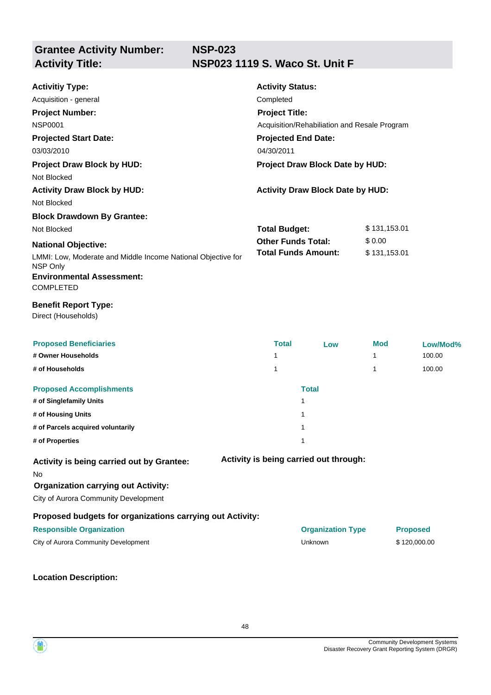**Grantee Activity Number: NSP-023 Activity Title: NSP023 1119 S. Waco St. Unit F**

| <b>Activitiy Type:</b><br>Acquisition - general<br><b>Project Number:</b><br><b>NSP0001</b><br><b>Projected Start Date:</b><br>03/03/2010<br><b>Project Draw Block by HUD:</b><br>Not Blocked<br><b>Activity Draw Block by HUD:</b> | <b>Activity Status:</b><br>Completed<br><b>Project Title:</b><br>Acquisition/Rehabiliation and Resale Program<br><b>Projected End Date:</b><br>04/30/2011<br>Project Draw Block Date by HUD:<br><b>Activity Draw Block Date by HUD:</b> |                                        |                        |                                 |  |
|-------------------------------------------------------------------------------------------------------------------------------------------------------------------------------------------------------------------------------------|-----------------------------------------------------------------------------------------------------------------------------------------------------------------------------------------------------------------------------------------|----------------------------------------|------------------------|---------------------------------|--|
| Not Blocked                                                                                                                                                                                                                         |                                                                                                                                                                                                                                         |                                        |                        |                                 |  |
| <b>Block Drawdown By Grantee:</b>                                                                                                                                                                                                   |                                                                                                                                                                                                                                         |                                        |                        |                                 |  |
| Not Blocked                                                                                                                                                                                                                         | <b>Total Budget:</b>                                                                                                                                                                                                                    |                                        | \$131,153.01<br>\$0.00 |                                 |  |
| <b>National Objective:</b><br>LMMI: Low, Moderate and Middle Income National Objective for<br>NSP Only<br><b>Environmental Assessment:</b><br><b>COMPLETED</b>                                                                      | <b>Other Funds Total:</b><br><b>Total Funds Amount:</b>                                                                                                                                                                                 |                                        | \$131,153.01           |                                 |  |
| <b>Benefit Report Type:</b><br>Direct (Households)                                                                                                                                                                                  |                                                                                                                                                                                                                                         |                                        |                        |                                 |  |
| <b>Proposed Beneficiaries</b><br># Owner Households                                                                                                                                                                                 | <b>Total</b><br>1                                                                                                                                                                                                                       | Low                                    | <b>Mod</b><br>1        | Low/Mod%<br>100.00              |  |
| # of Households                                                                                                                                                                                                                     | 1                                                                                                                                                                                                                                       |                                        | 1                      | 100.00                          |  |
| <b>Proposed Accomplishments</b><br># of Singlefamily Units<br># of Housing Units<br># of Parcels acquired voluntarily<br># of Properties                                                                                            |                                                                                                                                                                                                                                         | <b>Total</b><br>1<br>1<br>1<br>1       |                        |                                 |  |
| Activity is being carried out by Grantee:<br>No<br><b>Organization carrying out Activity:</b><br>City of Aurora Community Development                                                                                               |                                                                                                                                                                                                                                         | Activity is being carried out through: |                        |                                 |  |
| Proposed budgets for organizations carrying out Activity:<br><b>Responsible Organization</b><br>City of Aurora Community Development                                                                                                |                                                                                                                                                                                                                                         | <b>Organization Type</b><br>Unknown    |                        | <b>Proposed</b><br>\$120,000.00 |  |

**Location Description:**



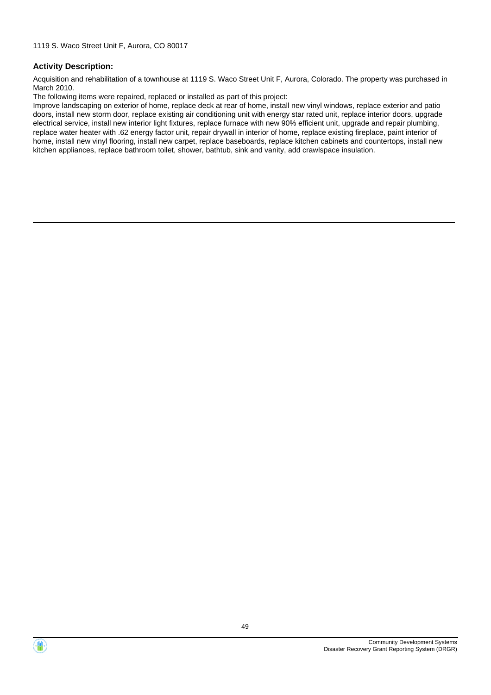Acquisition and rehabilitation of a townhouse at 1119 S. Waco Street Unit F, Aurora, Colorado. The property was purchased in March 2010.

The following items were repaired, replaced or installed as part of this project:

Improve landscaping on exterior of home, replace deck at rear of home, install new vinyl windows, replace exterior and patio doors, install new storm door, replace existing air conditioning unit with energy star rated unit, replace interior doors, upgrade electrical service, install new interior light fixtures, replace furnace with new 90% efficient unit, upgrade and repair plumbing, replace water heater with .62 energy factor unit, repair drywall in interior of home, replace existing fireplace, paint interior of home, install new vinyl flooring, install new carpet, replace baseboards, replace kitchen cabinets and countertops, install new kitchen appliances, replace bathroom toilet, shower, bathtub, sink and vanity, add crawlspace insulation.



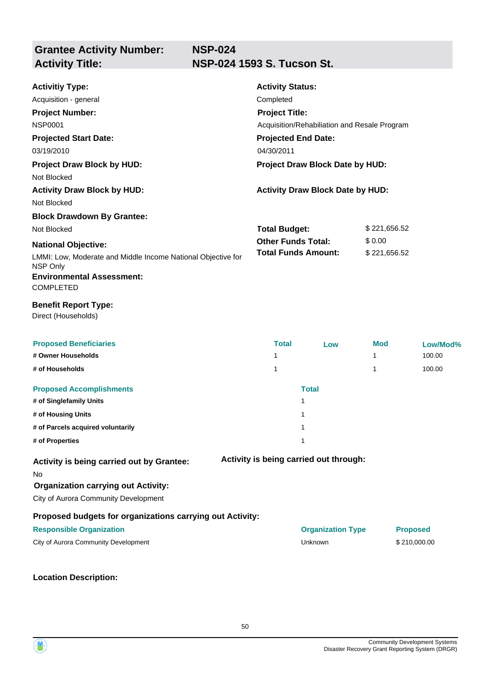**NSP-024**

# **Grantee Activity Number:**

**Activity Title: NSP-024 1593 S. Tucson St.**

| <b>Activitiy Type:</b><br>Acquisition - general<br><b>Project Number:</b><br><b>NSP0001</b><br><b>Projected Start Date:</b><br>03/19/2010<br><b>Project Draw Block by HUD:</b><br>Not Blocked | <b>Activity Status:</b><br>Completed<br><b>Project Title:</b><br>Acquisition/Rehabiliation and Resale Program<br><b>Projected End Date:</b><br>04/30/2011<br>Project Draw Block Date by HUD: |                                         |              |                 |
|-----------------------------------------------------------------------------------------------------------------------------------------------------------------------------------------------|----------------------------------------------------------------------------------------------------------------------------------------------------------------------------------------------|-----------------------------------------|--------------|-----------------|
| <b>Activity Draw Block by HUD:</b><br>Not Blocked                                                                                                                                             |                                                                                                                                                                                              | <b>Activity Draw Block Date by HUD:</b> |              |                 |
| <b>Block Drawdown By Grantee:</b>                                                                                                                                                             |                                                                                                                                                                                              |                                         |              |                 |
| Not Blocked                                                                                                                                                                                   | <b>Total Budget:</b>                                                                                                                                                                         |                                         | \$221,656.52 |                 |
| <b>National Objective:</b>                                                                                                                                                                    | <b>Other Funds Total:</b>                                                                                                                                                                    |                                         | \$0.00       |                 |
| LMMI: Low, Moderate and Middle Income National Objective for<br>NSP Only<br><b>Environmental Assessment:</b><br><b>COMPLETED</b>                                                              | <b>Total Funds Amount:</b>                                                                                                                                                                   |                                         | \$221,656.52 |                 |
| <b>Benefit Report Type:</b><br>Direct (Households)                                                                                                                                            |                                                                                                                                                                                              |                                         |              |                 |
| <b>Proposed Beneficiaries</b>                                                                                                                                                                 | <b>Total</b>                                                                                                                                                                                 | Low                                     | Mod          | Low/Mod%        |
| # Owner Households                                                                                                                                                                            | 1                                                                                                                                                                                            |                                         | 1            | 100.00          |
| # of Households                                                                                                                                                                               | 1                                                                                                                                                                                            |                                         | 1            | 100.00          |
| <b>Proposed Accomplishments</b>                                                                                                                                                               |                                                                                                                                                                                              | <b>Total</b>                            |              |                 |
| # of Singlefamily Units                                                                                                                                                                       |                                                                                                                                                                                              | 1                                       |              |                 |
| # of Housing Units                                                                                                                                                                            |                                                                                                                                                                                              | 1                                       |              |                 |
| # of Parcels acquired voluntarily                                                                                                                                                             |                                                                                                                                                                                              | $\mathbf{1}$                            |              |                 |
| # of Properties                                                                                                                                                                               |                                                                                                                                                                                              | 1                                       |              |                 |
| Activity is being carried out by Grantee:<br>No<br><b>Organization carrying out Activity:</b><br>City of Aurora Community Development                                                         |                                                                                                                                                                                              | Activity is being carried out through:  |              |                 |
| Proposed budgets for organizations carrying out Activity:                                                                                                                                     |                                                                                                                                                                                              |                                         |              |                 |
| <b>Responsible Organization</b>                                                                                                                                                               |                                                                                                                                                                                              | <b>Organization Type</b>                |              | <b>Proposed</b> |
| City of Aurora Community Development                                                                                                                                                          |                                                                                                                                                                                              | Unknown                                 |              | \$210,000.00    |
|                                                                                                                                                                                               |                                                                                                                                                                                              |                                         |              |                 |

**Location Description:**

Community Development Systems Disaster Recovery Grant Reporting System (DRGR)

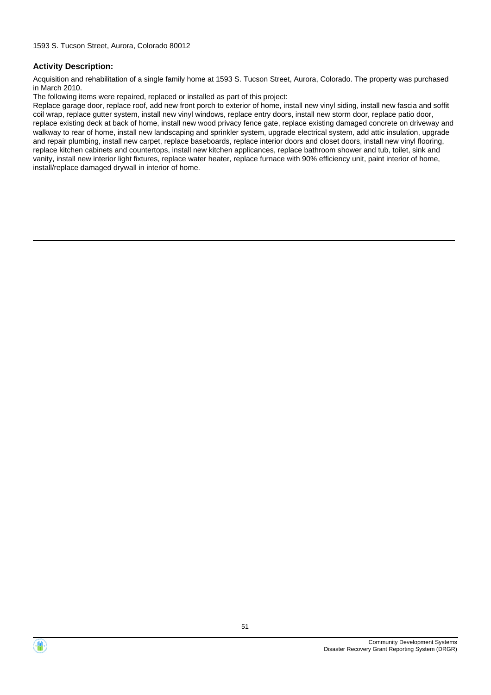Acquisition and rehabilitation of a single family home at 1593 S. Tucson Street, Aurora, Colorado. The property was purchased in March 2010.

The following items were repaired, replaced or installed as part of this project:

Replace garage door, replace roof, add new front porch to exterior of home, install new vinyl siding, install new fascia and soffit coil wrap, replace gutter system, install new vinyl windows, replace entry doors, install new storm door, replace patio door, replace existing deck at back of home, install new wood privacy fence gate, replace existing damaged concrete on driveway and walkway to rear of home, install new landscaping and sprinkler system, upgrade electrical system, add attic insulation, upgrade and repair plumbing, install new carpet, replace baseboards, replace interior doors and closet doors, install new vinyl flooring, replace kitchen cabinets and countertops, install new kitchen applicances, replace bathroom shower and tub, toilet, sink and vanity, install new interior light fixtures, replace water heater, replace furnace with 90% efficiency unit, paint interior of home, install/replace damaged drywall in interior of home.



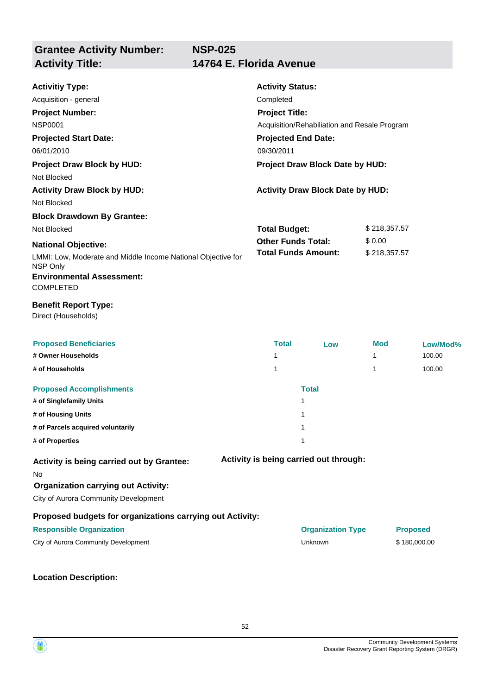| <b>Activitiy Type:</b>                                                             | <b>Activity Status:</b>              |                                              |              |                 |
|------------------------------------------------------------------------------------|--------------------------------------|----------------------------------------------|--------------|-----------------|
| Acquisition - general                                                              | Completed                            |                                              |              |                 |
| <b>Project Number:</b>                                                             | <b>Project Title:</b>                |                                              |              |                 |
| <b>NSP0001</b>                                                                     |                                      | Acquisition/Rehabiliation and Resale Program |              |                 |
| <b>Projected Start Date:</b>                                                       | <b>Projected End Date:</b>           |                                              |              |                 |
| 06/01/2010                                                                         | 09/30/2011                           |                                              |              |                 |
| <b>Project Draw Block by HUD:</b>                                                  |                                      | Project Draw Block Date by HUD:              |              |                 |
| Not Blocked                                                                        |                                      |                                              |              |                 |
| <b>Activity Draw Block by HUD:</b>                                                 |                                      | <b>Activity Draw Block Date by HUD:</b>      |              |                 |
| Not Blocked                                                                        |                                      |                                              |              |                 |
| <b>Block Drawdown By Grantee:</b>                                                  |                                      |                                              |              |                 |
| Not Blocked                                                                        | \$218,357.57<br><b>Total Budget:</b> |                                              |              |                 |
| <b>National Objective:</b>                                                         | <b>Other Funds Total:</b>            |                                              | \$0.00       |                 |
| LMMI: Low, Moderate and Middle Income National Objective for<br>NSP Only           | <b>Total Funds Amount:</b>           |                                              | \$218,357.57 |                 |
| <b>Environmental Assessment:</b>                                                   |                                      |                                              |              |                 |
| <b>COMPLETED</b>                                                                   |                                      |                                              |              |                 |
| <b>Benefit Report Type:</b><br>Direct (Households)                                 |                                      |                                              |              |                 |
| <b>Proposed Beneficiaries</b>                                                      | <b>Total</b>                         | Low                                          | <b>Mod</b>   | Low/Mod%        |
| # Owner Households                                                                 | 1                                    |                                              | 1            | 100.00          |
| # of Households                                                                    | 1                                    |                                              | 1            | 100.00          |
| <b>Proposed Accomplishments</b>                                                    |                                      | <b>Total</b>                                 |              |                 |
| # of Singlefamily Units                                                            |                                      | 1                                            |              |                 |
| # of Housing Units                                                                 |                                      | 1                                            |              |                 |
| # of Parcels acquired voluntarily                                                  |                                      | 1                                            |              |                 |
| # of Properties                                                                    |                                      | 1                                            |              |                 |
| Activity is being carried out by Grantee:                                          |                                      | Activity is being carried out through:       |              |                 |
| No                                                                                 |                                      |                                              |              |                 |
| <b>Organization carrying out Activity:</b><br>City of Aurora Community Development |                                      |                                              |              |                 |
| Proposed budgets for organizations carrying out Activity:                          |                                      |                                              |              |                 |
| <b>Responsible Organization</b>                                                    |                                      | <b>Organization Type</b>                     |              | <b>Proposed</b> |
| City of Aurora Community Development                                               |                                      | Unknown                                      |              | \$180,000.00    |
|                                                                                    |                                      |                                              |              |                 |

**Location Description:**

Community Development Systems Disaster Recovery Grant Reporting System (DRGR)

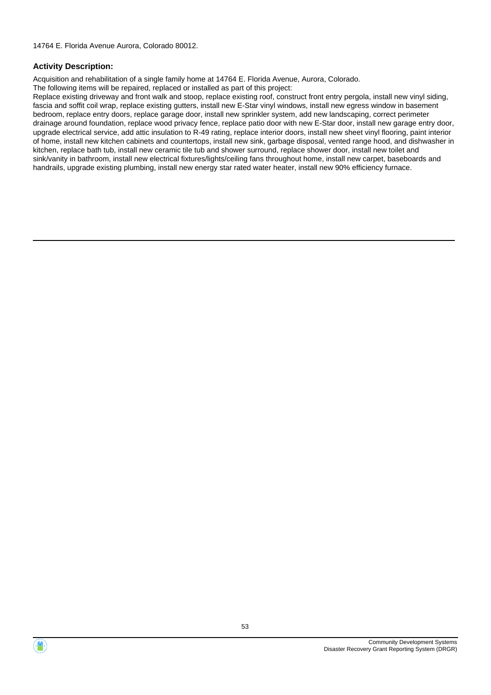Acquisition and rehabilitation of a single family home at 14764 E. Florida Avenue, Aurora, Colorado. The following items will be repaired, replaced or installed as part of this project:

Replace existing driveway and front walk and stoop, replace existing roof, construct front entry pergola, install new vinyl siding, fascia and soffit coil wrap, replace existing gutters, install new E-Star vinyl windows, install new egress window in basement bedroom, replace entry doors, replace garage door, install new sprinkler system, add new landscaping, correct perimeter drainage around foundation, replace wood privacy fence, replace patio door with new E-Star door, install new garage entry door, upgrade electrical service, add attic insulation to R-49 rating, replace interior doors, install new sheet vinyl flooring, paint interior of home, install new kitchen cabinets and countertops, install new sink, garbage disposal, vented range hood, and dishwasher in kitchen, replace bath tub, install new ceramic tile tub and shower surround, replace shower door, install new toilet and sink/vanity in bathroom, install new electrical fixtures/lights/ceiling fans throughout home, install new carpet, baseboards and handrails, upgrade existing plumbing, install new energy star rated water heater, install new 90% efficiency furnace.



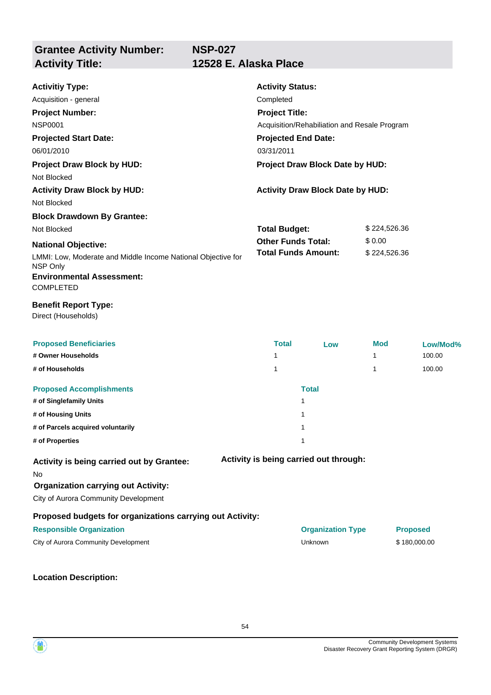| <b>Activitiy Type:</b><br>Acquisition - general<br><b>Project Number:</b><br><b>NSP0001</b><br><b>Projected Start Date:</b><br>06/01/2010 | <b>Activity Status:</b><br>Completed<br><b>Project Title:</b><br>Acquisition/Rehabiliation and Resale Program<br><b>Projected End Date:</b><br>03/31/2011 |                                         |              |                 |
|-------------------------------------------------------------------------------------------------------------------------------------------|-----------------------------------------------------------------------------------------------------------------------------------------------------------|-----------------------------------------|--------------|-----------------|
| <b>Project Draw Block by HUD:</b>                                                                                                         |                                                                                                                                                           | Project Draw Block Date by HUD:         |              |                 |
| Not Blocked                                                                                                                               |                                                                                                                                                           |                                         |              |                 |
| <b>Activity Draw Block by HUD:</b><br>Not Blocked                                                                                         |                                                                                                                                                           | <b>Activity Draw Block Date by HUD:</b> |              |                 |
| <b>Block Drawdown By Grantee:</b>                                                                                                         |                                                                                                                                                           |                                         |              |                 |
| Not Blocked                                                                                                                               | <b>Total Budget:</b><br>\$224,526.36                                                                                                                      |                                         |              |                 |
| <b>National Objective:</b>                                                                                                                | <b>Other Funds Total:</b><br><b>Total Funds Amount:</b>                                                                                                   |                                         | \$0.00       |                 |
| LMMI: Low, Moderate and Middle Income National Objective for<br>NSP Only<br><b>Environmental Assessment:</b><br><b>COMPLETED</b>          |                                                                                                                                                           |                                         | \$224,526.36 |                 |
| <b>Benefit Report Type:</b><br>Direct (Households)                                                                                        |                                                                                                                                                           |                                         |              |                 |
| <b>Proposed Beneficiaries</b>                                                                                                             | <b>Total</b>                                                                                                                                              | Low                                     | <b>Mod</b>   | Low/Mod%        |
| # Owner Households                                                                                                                        | 1                                                                                                                                                         |                                         | 1            | 100.00          |
| # of Households                                                                                                                           | 1                                                                                                                                                         |                                         | 1            | 100.00          |
| <b>Proposed Accomplishments</b><br># of Singlefamily Units                                                                                |                                                                                                                                                           | <b>Total</b><br>1                       |              |                 |
| # of Housing Units                                                                                                                        |                                                                                                                                                           | 1                                       |              |                 |
| # of Parcels acquired voluntarily                                                                                                         |                                                                                                                                                           | 1                                       |              |                 |
| # of Properties                                                                                                                           |                                                                                                                                                           | 1                                       |              |                 |
| Activity is being carried out by Grantee:<br>No<br><b>Organization carrying out Activity:</b><br>City of Aurora Community Development     |                                                                                                                                                           | Activity is being carried out through:  |              |                 |
| Proposed budgets for organizations carrying out Activity:                                                                                 |                                                                                                                                                           |                                         |              |                 |
| <b>Responsible Organization</b>                                                                                                           |                                                                                                                                                           | <b>Organization Type</b>                |              | <b>Proposed</b> |
| City of Aurora Community Development                                                                                                      |                                                                                                                                                           | Unknown                                 |              | \$180,000.00    |
|                                                                                                                                           |                                                                                                                                                           |                                         |              |                 |

**Location Description:**



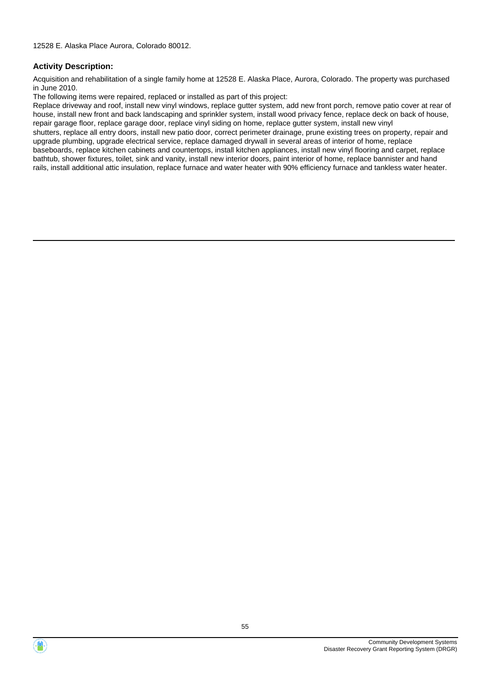Acquisition and rehabilitation of a single family home at 12528 E. Alaska Place, Aurora, Colorado. The property was purchased in June 2010.

The following items were repaired, replaced or installed as part of this project:

Replace driveway and roof, install new vinyl windows, replace gutter system, add new front porch, remove patio cover at rear of house, install new front and back landscaping and sprinkler system, install wood privacy fence, replace deck on back of house, repair garage floor, replace garage door, replace vinyl siding on home, replace gutter system, install new vinyl shutters, replace all entry doors, install new patio door, correct perimeter drainage, prune existing trees on property, repair and upgrade plumbing, upgrade electrical service, replace damaged drywall in several areas of interior of home, replace baseboards, replace kitchen cabinets and countertops, install kitchen appliances, install new vinyl flooring and carpet, replace bathtub, shower fixtures, toilet, sink and vanity, install new interior doors, paint interior of home, replace bannister and hand rails, install additional attic insulation, replace furnace and water heater with 90% efficiency furnace and tankless water heater.



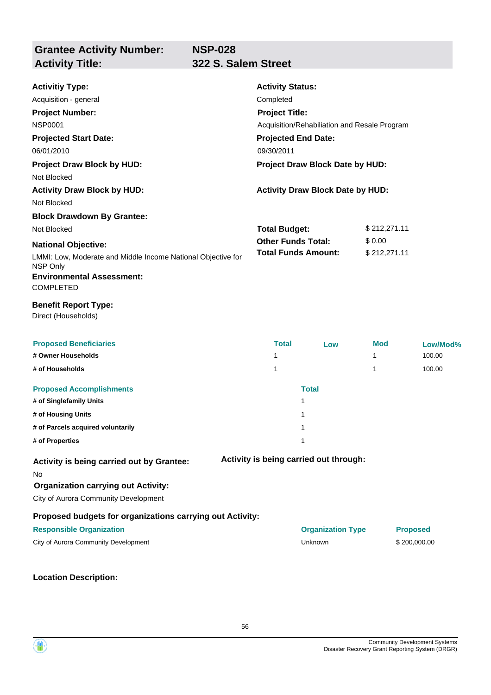**NSP-028**

**Grantee Activity Number:**

## **Activity Title: 322 S. Salem Street**

| <b>Activitiy Type:</b><br>Acquisition - general<br><b>Project Number:</b><br><b>NSP0001</b><br><b>Projected Start Date:</b><br>06/01/2010<br><b>Project Draw Block by HUD:</b><br>Not Blocked | <b>Activity Status:</b><br>Completed<br><b>Project Title:</b><br>Acquisition/Rehabiliation and Resale Program<br><b>Projected End Date:</b><br>09/30/2011<br>Project Draw Block Date by HUD: |                                         |              |                 |
|-----------------------------------------------------------------------------------------------------------------------------------------------------------------------------------------------|----------------------------------------------------------------------------------------------------------------------------------------------------------------------------------------------|-----------------------------------------|--------------|-----------------|
| <b>Activity Draw Block by HUD:</b><br>Not Blocked                                                                                                                                             |                                                                                                                                                                                              | <b>Activity Draw Block Date by HUD:</b> |              |                 |
| <b>Block Drawdown By Grantee:</b>                                                                                                                                                             |                                                                                                                                                                                              |                                         |              |                 |
| Not Blocked                                                                                                                                                                                   | <b>Total Budget:</b>                                                                                                                                                                         |                                         | \$212,271.11 |                 |
| <b>National Objective:</b>                                                                                                                                                                    | <b>Other Funds Total:</b>                                                                                                                                                                    |                                         | \$0.00       |                 |
| LMMI: Low, Moderate and Middle Income National Objective for<br>NSP Only                                                                                                                      | <b>Total Funds Amount:</b>                                                                                                                                                                   |                                         | \$212,271.11 |                 |
| <b>Environmental Assessment:</b><br><b>COMPLETED</b>                                                                                                                                          |                                                                                                                                                                                              |                                         |              |                 |
| <b>Benefit Report Type:</b><br>Direct (Households)                                                                                                                                            |                                                                                                                                                                                              |                                         |              |                 |
| <b>Proposed Beneficiaries</b>                                                                                                                                                                 | <b>Total</b>                                                                                                                                                                                 | Low                                     | Mod          | Low/Mod%        |
| # Owner Households                                                                                                                                                                            | 1                                                                                                                                                                                            |                                         | 1            | 100.00          |
| # of Households                                                                                                                                                                               | 1                                                                                                                                                                                            |                                         | 1            | 100.00          |
| <b>Proposed Accomplishments</b>                                                                                                                                                               |                                                                                                                                                                                              | <b>Total</b>                            |              |                 |
| # of Singlefamily Units                                                                                                                                                                       |                                                                                                                                                                                              | 1                                       |              |                 |
| # of Housing Units                                                                                                                                                                            |                                                                                                                                                                                              | 1                                       |              |                 |
| # of Parcels acquired voluntarily                                                                                                                                                             |                                                                                                                                                                                              | 1                                       |              |                 |
| # of Properties                                                                                                                                                                               |                                                                                                                                                                                              | 1                                       |              |                 |
| Activity is being carried out by Grantee:<br><b>No</b><br><b>Organization carrying out Activity:</b><br>City of Aurora Community Development                                                  |                                                                                                                                                                                              | Activity is being carried out through:  |              |                 |
| Proposed budgets for organizations carrying out Activity:                                                                                                                                     |                                                                                                                                                                                              |                                         |              |                 |
| <b>Responsible Organization</b>                                                                                                                                                               |                                                                                                                                                                                              | <b>Organization Type</b>                |              | <b>Proposed</b> |
| City of Aurora Community Development                                                                                                                                                          |                                                                                                                                                                                              | Unknown                                 |              | \$200,000.00    |
|                                                                                                                                                                                               |                                                                                                                                                                                              |                                         |              |                 |

**Location Description:**

Community Development Systems Disaster Recovery Grant Reporting System (DRGR)

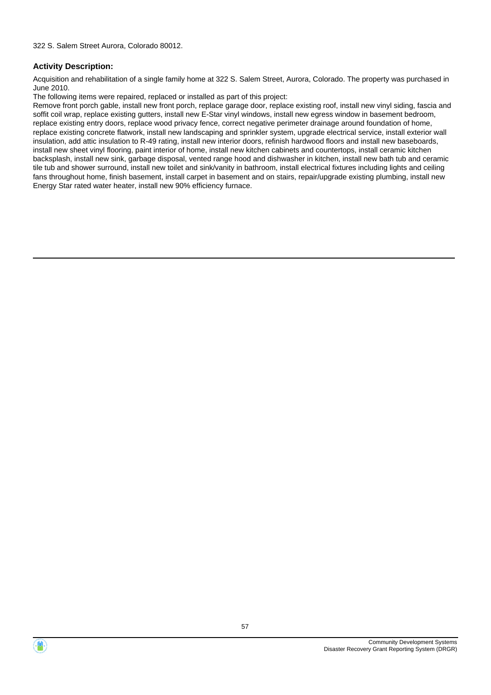Acquisition and rehabilitation of a single family home at 322 S. Salem Street, Aurora, Colorado. The property was purchased in June 2010.

The following items were repaired, replaced or installed as part of this project:

Remove front porch gable, install new front porch, replace garage door, replace existing roof, install new vinyl siding, fascia and soffit coil wrap, replace existing gutters, install new E-Star vinyl windows, install new egress window in basement bedroom, replace existing entry doors, replace wood privacy fence, correct negative perimeter drainage around foundation of home, replace existing concrete flatwork, install new landscaping and sprinkler system, upgrade electrical service, install exterior wall insulation, add attic insulation to R-49 rating, install new interior doors, refinish hardwood floors and install new baseboards, install new sheet vinyl flooring, paint interior of home, install new kitchen cabinets and countertops, install ceramic kitchen backsplash, install new sink, garbage disposal, vented range hood and dishwasher in kitchen, install new bath tub and ceramic tile tub and shower surround, install new toilet and sink/vanity in bathroom, install electrical fixtures including lights and ceiling fans throughout home, finish basement, install carpet in basement and on stairs, repair/upgrade existing plumbing, install new Energy Star rated water heater, install new 90% efficiency furnace.



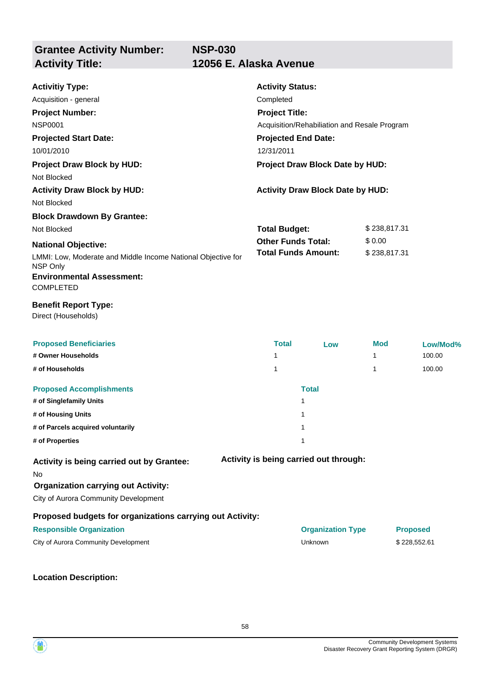| <b>Activitiy Type:</b><br>Acquisition - general<br><b>Project Number:</b><br><b>NSP0001</b><br><b>Projected Start Date:</b><br>10/01/2010<br><b>Project Draw Block by HUD:</b><br>Not Blocked | <b>Activity Status:</b><br>Completed<br><b>Project Title:</b><br>Acquisition/Rehabiliation and Resale Program<br><b>Projected End Date:</b><br>12/31/2011<br>Project Draw Block Date by HUD: |                                         |              |                 |  |
|-----------------------------------------------------------------------------------------------------------------------------------------------------------------------------------------------|----------------------------------------------------------------------------------------------------------------------------------------------------------------------------------------------|-----------------------------------------|--------------|-----------------|--|
| <b>Activity Draw Block by HUD:</b><br>Not Blocked                                                                                                                                             |                                                                                                                                                                                              | <b>Activity Draw Block Date by HUD:</b> |              |                 |  |
| <b>Block Drawdown By Grantee:</b>                                                                                                                                                             |                                                                                                                                                                                              |                                         |              |                 |  |
| Not Blocked                                                                                                                                                                                   | \$238,817.31<br><b>Total Budget:</b>                                                                                                                                                         |                                         |              |                 |  |
| <b>National Objective:</b>                                                                                                                                                                    | <b>Other Funds Total:</b>                                                                                                                                                                    |                                         | \$0.00       |                 |  |
| LMMI: Low, Moderate and Middle Income National Objective for<br>NSP Only                                                                                                                      | <b>Total Funds Amount:</b>                                                                                                                                                                   |                                         | \$238,817.31 |                 |  |
| <b>Environmental Assessment:</b><br><b>COMPLETED</b>                                                                                                                                          |                                                                                                                                                                                              |                                         |              |                 |  |
| <b>Benefit Report Type:</b><br>Direct (Households)                                                                                                                                            |                                                                                                                                                                                              |                                         |              |                 |  |
| <b>Proposed Beneficiaries</b>                                                                                                                                                                 | <b>Total</b>                                                                                                                                                                                 | Low                                     | Mod          | Low/Mod%        |  |
| # Owner Households                                                                                                                                                                            | $\mathbf{1}$                                                                                                                                                                                 |                                         | 1            | 100.00          |  |
| # of Households                                                                                                                                                                               | $\mathbf 1$                                                                                                                                                                                  |                                         | 1            | 100.00          |  |
| <b>Proposed Accomplishments</b>                                                                                                                                                               |                                                                                                                                                                                              | <b>Total</b>                            |              |                 |  |
| # of Singlefamily Units                                                                                                                                                                       |                                                                                                                                                                                              | 1                                       |              |                 |  |
| # of Housing Units                                                                                                                                                                            |                                                                                                                                                                                              | 1                                       |              |                 |  |
| # of Parcels acquired voluntarily                                                                                                                                                             |                                                                                                                                                                                              | $\mathbf{1}$                            |              |                 |  |
| # of Properties                                                                                                                                                                               |                                                                                                                                                                                              | $\mathbf{1}$                            |              |                 |  |
| Activity is being carried out by Grantee:<br>No<br><b>Organization carrying out Activity:</b><br>City of Aurora Community Development                                                         |                                                                                                                                                                                              | Activity is being carried out through:  |              |                 |  |
| Proposed budgets for organizations carrying out Activity:                                                                                                                                     |                                                                                                                                                                                              |                                         |              |                 |  |
| <b>Responsible Organization</b>                                                                                                                                                               |                                                                                                                                                                                              | <b>Organization Type</b>                |              | <b>Proposed</b> |  |
| City of Aurora Community Development                                                                                                                                                          |                                                                                                                                                                                              | Unknown                                 |              | \$228,552.61    |  |
|                                                                                                                                                                                               |                                                                                                                                                                                              |                                         |              |                 |  |

**Location Description:**



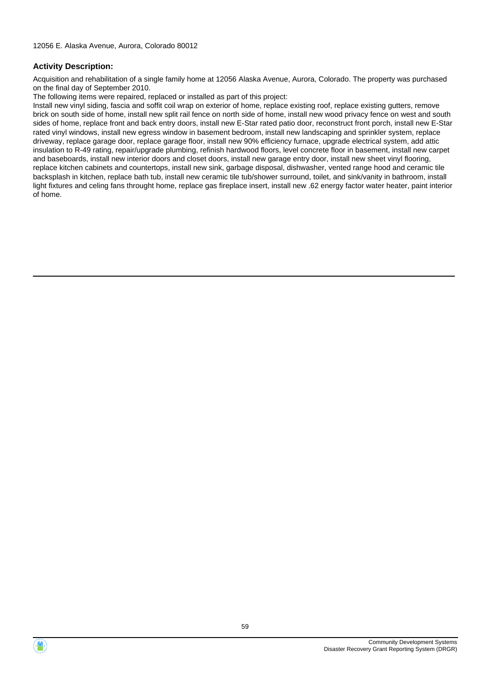Acquisition and rehabilitation of a single family home at 12056 Alaska Avenue, Aurora, Colorado. The property was purchased on the final day of September 2010.

The following items were repaired, replaced or installed as part of this project:

Install new vinyl siding, fascia and soffit coil wrap on exterior of home, replace existing roof, replace existing gutters, remove brick on south side of home, install new split rail fence on north side of home, install new wood privacy fence on west and south sides of home, replace front and back entry doors, install new E-Star rated patio door, reconstruct front porch, install new E-Star rated vinyl windows, install new egress window in basement bedroom, install new landscaping and sprinkler system, replace driveway, replace garage door, replace garage floor, install new 90% efficiency furnace, upgrade electrical system, add attic insulation to R-49 rating, repair/upgrade plumbing, refinish hardwood floors, level concrete floor in basement, install new carpet and baseboards, install new interior doors and closet doors, install new garage entry door, install new sheet vinyl flooring, replace kitchen cabinets and countertops, install new sink, garbage disposal, dishwasher, vented range hood and ceramic tile backsplash in kitchen, replace bath tub, install new ceramic tile tub/shower surround, toilet, and sink/vanity in bathroom, install light fixtures and celing fans throught home, replace gas fireplace insert, install new .62 energy factor water heater, paint interior of home.

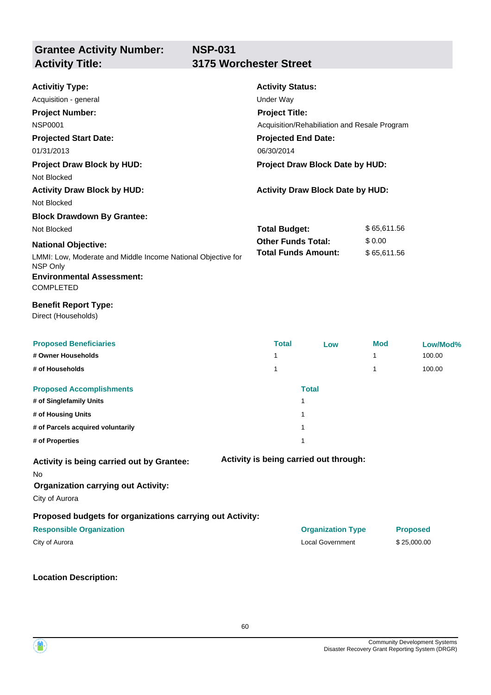### **NSP-031 Activity Title: 3175 Worchester Street**

| <b>Activitiy Type:</b>                                                   | <b>Activity Status:</b>    |                                              |             |                 |
|--------------------------------------------------------------------------|----------------------------|----------------------------------------------|-------------|-----------------|
| Acquisition - general                                                    | <b>Under Way</b>           |                                              |             |                 |
| <b>Project Number:</b>                                                   | <b>Project Title:</b>      |                                              |             |                 |
| <b>NSP0001</b>                                                           |                            | Acquisition/Rehabiliation and Resale Program |             |                 |
| <b>Projected Start Date:</b>                                             | <b>Projected End Date:</b> |                                              |             |                 |
| 01/31/2013                                                               | 06/30/2014                 |                                              |             |                 |
| <b>Project Draw Block by HUD:</b>                                        |                            | Project Draw Block Date by HUD:              |             |                 |
| Not Blocked                                                              |                            |                                              |             |                 |
| <b>Activity Draw Block by HUD:</b>                                       |                            | <b>Activity Draw Block Date by HUD:</b>      |             |                 |
| Not Blocked                                                              |                            |                                              |             |                 |
| <b>Block Drawdown By Grantee:</b>                                        |                            |                                              |             |                 |
| Not Blocked                                                              | <b>Total Budget:</b>       |                                              | \$65,611.56 |                 |
| <b>National Objective:</b>                                               | <b>Other Funds Total:</b>  |                                              | \$0.00      |                 |
| LMMI: Low, Moderate and Middle Income National Objective for<br>NSP Only |                            | <b>Total Funds Amount:</b>                   | \$65,611.56 |                 |
| <b>Environmental Assessment:</b><br><b>COMPLETED</b>                     |                            |                                              |             |                 |
| <b>Benefit Report Type:</b><br>Direct (Households)                       |                            |                                              |             |                 |
| <b>Proposed Beneficiaries</b>                                            | <b>Total</b>               | Low                                          | Mod         | Low/Mod%        |
| # Owner Households                                                       | 1                          |                                              | 1           | 100.00          |
| # of Households                                                          | 1                          |                                              | 1           | 100.00          |
| <b>Proposed Accomplishments</b>                                          |                            | <b>Total</b>                                 |             |                 |
| # of Singlefamily Units                                                  |                            | 1                                            |             |                 |
| # of Housing Units                                                       |                            | 1                                            |             |                 |
| # of Parcels acquired voluntarily                                        |                            | 1                                            |             |                 |
| # of Properties                                                          |                            | 1                                            |             |                 |
| Activity is being carried out by Grantee:                                |                            | Activity is being carried out through:       |             |                 |
| No                                                                       |                            |                                              |             |                 |
| <b>Organization carrying out Activity:</b><br>City of Aurora             |                            |                                              |             |                 |
| Proposed budgets for organizations carrying out Activity:                |                            |                                              |             |                 |
| <b>Responsible Organization</b>                                          |                            | <b>Organization Type</b>                     |             | <b>Proposed</b> |
| City of Aurora                                                           |                            | <b>Local Government</b>                      |             | \$25,000.00     |
|                                                                          |                            |                                              |             |                 |

**Location Description:**

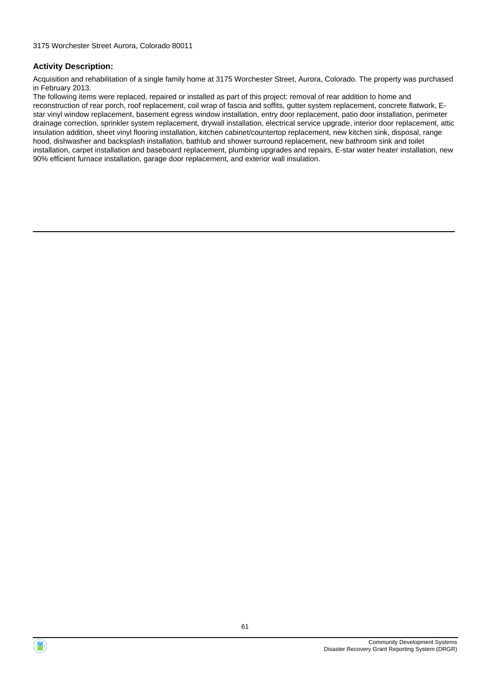Acquisition and rehabilitation of a single family home at 3175 Worchester Street, Aurora, Colorado. The property was purchased in February 2013.

The following items were replaced, repaired or installed as part of this project: removal of rear addition to home and reconstruction of rear porch, roof replacement, coil wrap of fascia and soffits, gutter system replacement, concrete flatwork, Estar vinyl window replacement, basement egress window installation, entry door replacement, patio door installation, perimeter drainage correction, sprinkler system replacement, drywall installation, electrical service upgrade, interior door replacement, attic insulation addition, sheet vinyl flooring installation, kitchen cabinet/countertop replacement, new kitchen sink, disposal, range hood, dishwasher and backsplash installation, bathtub and shower surround replacement, new bathroom sink and toilet installation, carpet installation and baseboard replacement, plumbing upgrades and repairs, E-star water heater installation, new 90% efficient furnace installation, garage door replacement, and exterior wall insulation.



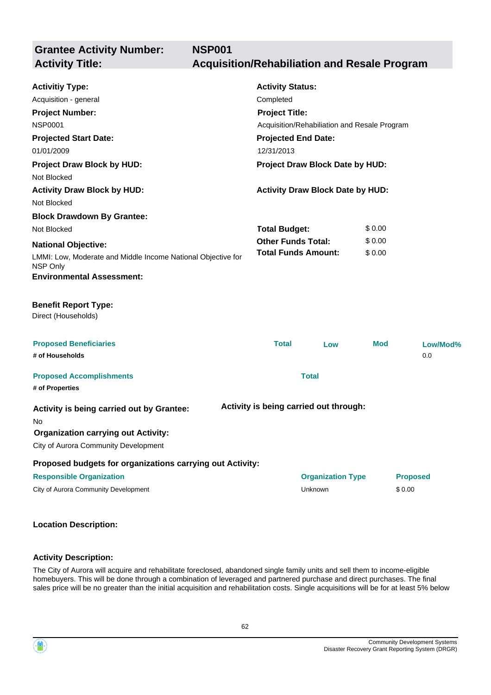**Grantee Activity Number: NSP001 Activity Title: Acquisition/Rehabiliation and Resale Program**

| <b>Activitiy Type:</b><br>Acquisition - general<br><b>Project Number:</b><br><b>NSP0001</b><br><b>Projected Start Date:</b><br>01/01/2009<br><b>Project Draw Block by HUD:</b><br>Not Blocked | <b>Activity Status:</b><br>Completed<br><b>Project Title:</b><br><b>Projected End Date:</b><br>12/31/2013 | Acquisition/Rehabiliation and Resale Program<br>Project Draw Block Date by HUD: |            |                 |
|-----------------------------------------------------------------------------------------------------------------------------------------------------------------------------------------------|-----------------------------------------------------------------------------------------------------------|---------------------------------------------------------------------------------|------------|-----------------|
| <b>Activity Draw Block by HUD:</b><br>Not Blocked                                                                                                                                             |                                                                                                           | <b>Activity Draw Block Date by HUD:</b>                                         |            |                 |
| <b>Block Drawdown By Grantee:</b>                                                                                                                                                             |                                                                                                           |                                                                                 |            |                 |
| Not Blocked                                                                                                                                                                                   | <b>Total Budget:</b>                                                                                      |                                                                                 | \$0.00     |                 |
| <b>National Objective:</b>                                                                                                                                                                    | <b>Other Funds Total:</b>                                                                                 |                                                                                 | \$0.00     |                 |
| LMMI: Low, Moderate and Middle Income National Objective for<br>NSP Only                                                                                                                      |                                                                                                           | <b>Total Funds Amount:</b>                                                      | \$0.00     |                 |
| <b>Environmental Assessment:</b>                                                                                                                                                              |                                                                                                           |                                                                                 |            |                 |
| <b>Benefit Report Type:</b><br>Direct (Households)                                                                                                                                            |                                                                                                           |                                                                                 |            |                 |
| <b>Proposed Beneficiaries</b><br># of Households                                                                                                                                              | <b>Total</b>                                                                                              | Low                                                                             | <b>Mod</b> | Low/Mod%<br>0.0 |
| <b>Proposed Accomplishments</b><br># of Properties                                                                                                                                            |                                                                                                           | <b>Total</b>                                                                    |            |                 |
| Activity is being carried out by Grantee:<br>No.<br><b>Organization carrying out Activity:</b><br>City of Aurora Community Development                                                        |                                                                                                           | Activity is being carried out through:                                          |            |                 |
| Proposed budgets for organizations carrying out Activity:                                                                                                                                     |                                                                                                           |                                                                                 |            |                 |
| <b>Responsible Organization</b>                                                                                                                                                               |                                                                                                           | <b>Organization Type</b>                                                        |            | <b>Proposed</b> |
| City of Aurora Community Development                                                                                                                                                          |                                                                                                           | Unknown                                                                         |            | \$0.00          |
|                                                                                                                                                                                               |                                                                                                           |                                                                                 |            |                 |

# **Location Description:**

#### **Activity Description:**

The City of Aurora will acquire and rehabilitate foreclosed, abandoned single family units and sell them to income-eligible homebuyers. This will be done through a combination of leveraged and partnered purchase and direct purchases. The final sales price will be no greater than the initial acquisition and rehabilitation costs. Single acquisitions will be for at least 5% below

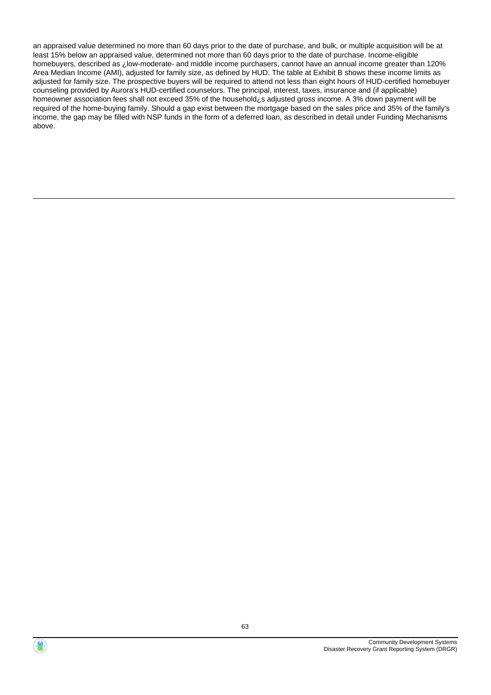an appraised value determined no more than 60 days prior to the date of purchase, and bulk, or multiple acquisition will be at least 15% below an appraised value, determined not more than 60 days prior to the date of purchase. Income-eligible homebuyers, described as ¿low-moderate- and middle income purchasers, cannot have an annual income greater than 120% Area Median Income (AMI), adjusted for family size, as defined by HUD. The table at Exhibit B shows these income limits as adjusted for family size. The prospective buyers will be required to attend not less than eight hours of HUD-certified homebuyer counseling provided by Aurora's HUD-certified counselors. The principal, interest, taxes, insurance and (if applicable) homeowner association fees shall not exceed 35% of the household¿s adjusted gross income. A 3% down payment will be required of the home-buying family. Should a gap exist between the mortgage based on the sales price and 35% of the family's income, the gap may be filled with NSP funds in the form of a deferred loan, as described in detail under Funding Mechanisms above.

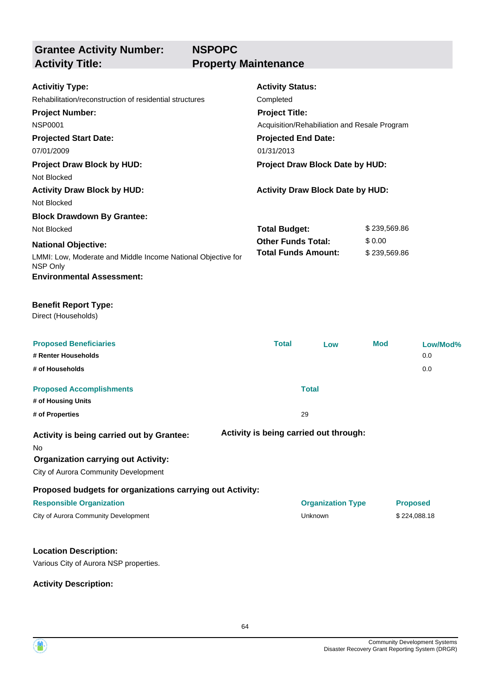**Grantee Activity Number: Activity Title: Property Maintenance**

|                                                                                    | <b>Activity Status:</b>                                               |                        |          |  |
|------------------------------------------------------------------------------------|-----------------------------------------------------------------------|------------------------|----------|--|
| <b>Activitiy Type:</b><br>Rehabilitation/reconstruction of residential structures  | Completed                                                             |                        |          |  |
|                                                                                    |                                                                       |                        |          |  |
| <b>Project Number:</b><br><b>NSP0001</b>                                           | <b>Project Title:</b><br>Acquisition/Rehabiliation and Resale Program |                        |          |  |
| <b>Projected Start Date:</b>                                                       | <b>Projected End Date:</b>                                            |                        |          |  |
| 07/01/2009                                                                         | 01/31/2013                                                            |                        |          |  |
|                                                                                    |                                                                       |                        |          |  |
| <b>Project Draw Block by HUD:</b>                                                  | Project Draw Block Date by HUD:                                       |                        |          |  |
| Not Blocked                                                                        |                                                                       |                        |          |  |
| <b>Activity Draw Block by HUD:</b>                                                 | <b>Activity Draw Block Date by HUD:</b>                               |                        |          |  |
| Not Blocked                                                                        |                                                                       |                        |          |  |
| <b>Block Drawdown By Grantee:</b>                                                  |                                                                       |                        |          |  |
| Not Blocked                                                                        | <b>Total Budget:</b><br><b>Other Funds Total:</b>                     | \$239,569.86           |          |  |
| <b>National Objective:</b>                                                         | <b>Total Funds Amount:</b>                                            | \$0.00<br>\$239,569.86 |          |  |
| LMMI: Low, Moderate and Middle Income National Objective for<br>NSP Only           |                                                                       |                        |          |  |
| <b>Environmental Assessment:</b>                                                   |                                                                       |                        |          |  |
| <b>Benefit Report Type:</b><br>Direct (Households)                                 |                                                                       |                        |          |  |
| <b>Proposed Beneficiaries</b>                                                      | <b>Total</b><br>Low                                                   | <b>Mod</b>             | Low/Mod% |  |
| # Renter Households                                                                |                                                                       |                        | 0.0      |  |
| # of Households                                                                    |                                                                       |                        | 0.0      |  |
| <b>Proposed Accomplishments</b>                                                    | <b>Total</b>                                                          |                        |          |  |
| # of Housing Units                                                                 |                                                                       |                        |          |  |
| # of Properties                                                                    | 29                                                                    |                        |          |  |
| Activity is being carried out by Grantee:<br>No.                                   | Activity is being carried out through:                                |                        |          |  |
| <b>Organization carrying out Activity:</b><br>City of Aurora Community Development |                                                                       |                        |          |  |

**Proposed budgets for organizations carrying out Activity:**

#### **Responsible Organization Organization Type Proposed**

City of Aurora Community Development City of Aurora Community Development City of Aurora Community Development

#### **Location Description:**

Various City of Aurora NSP properties.

**Activity Description:**

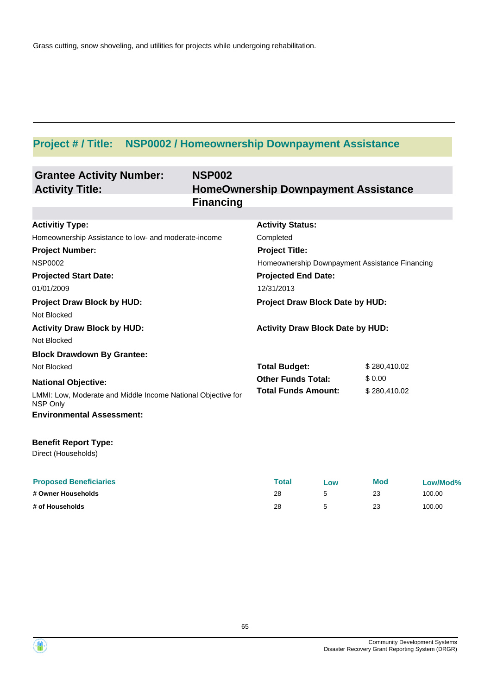# **Project # / Title: NSP0002 / Homeownership Downpayment Assistance**

| <b>Grantee Activity Number:</b><br><b>Activity Title:</b>                                                                                                                                                                    | <b>NSP002</b><br><b>Financing</b> | <b>HomeOwnership Downpayment Assistance</b>                                                                                                                                                    |                                        |
|------------------------------------------------------------------------------------------------------------------------------------------------------------------------------------------------------------------------------|-----------------------------------|------------------------------------------------------------------------------------------------------------------------------------------------------------------------------------------------|----------------------------------------|
| <b>Activitiy Type:</b><br>Homeownership Assistance to low- and moderate-income<br><b>Project Number:</b><br><b>NSP0002</b><br><b>Projected Start Date:</b><br>01/01/2009<br><b>Project Draw Block by HUD:</b><br>Not Blocked |                                   | <b>Activity Status:</b><br>Completed<br><b>Project Title:</b><br>Homeownership Downpayment Assistance Financing<br><b>Projected End Date:</b><br>12/31/2013<br>Project Draw Block Date by HUD: |                                        |
| <b>Activity Draw Block by HUD:</b><br>Not Blocked                                                                                                                                                                            |                                   | <b>Activity Draw Block Date by HUD:</b>                                                                                                                                                        |                                        |
| <b>Block Drawdown By Grantee:</b><br>Not Blocked<br><b>National Objective:</b><br>LMMI: Low, Moderate and Middle Income National Objective for<br>NSP Only<br><b>Environmental Assessment:</b>                               |                                   | <b>Total Budget:</b><br><b>Other Funds Total:</b><br><b>Total Funds Amount:</b>                                                                                                                | \$280,410.02<br>\$0.00<br>\$280,410.02 |
| <b>Benefit Report Type:</b><br>Direct (Households)                                                                                                                                                                           |                                   |                                                                                                                                                                                                |                                        |

| <b>Proposed Beneficiaries</b> | Total | Low | <b>Mod</b> | Low/Mod% |
|-------------------------------|-------|-----|------------|----------|
| # Owner Households            | 28    |     |            | 100.00   |
| # of Households               | 28    |     | 23         | 100.00   |

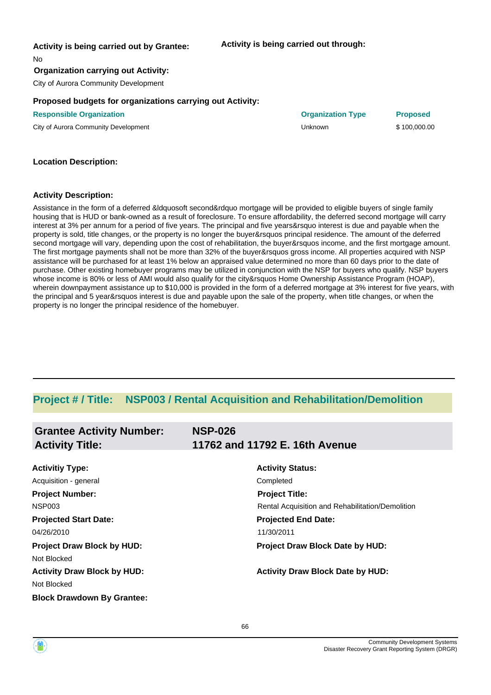#### **Activity is being carried out by Grantee:**

**Activity is being carried out through:**

No

#### **Organization carrying out Activity:**

City of Aurora Community Development

#### **Proposed budgets for organizations carrying out Activity:**

**Responsible Organization Organization Type Proposed**

City of Aurora Community Development **Automatic City of Aurora Community Development** City of Aurora Community Development

#### **Location Description:**

#### **Activity Description:**

Assistance in the form of a deferred &ldquosoft second&rdquo mortgage will be provided to eligible buyers of single family housing that is HUD or bank-owned as a result of foreclosure. To ensure affordability, the deferred second mortgage will carry interest at 3% per annum for a period of five years. The principal and five years&rsquo interest is due and payable when the property is sold, title changes, or the property is no longer the buyer&rsquos principal residence. The amount of the deferred second mortgage will vary, depending upon the cost of rehabilitation, the buyer&rsquos income, and the first mortgage amount. The first mortgage payments shall not be more than 32% of the buyer&rsquos gross income. All properties acquired with NSP assistance will be purchased for at least 1% below an appraised value determined no more than 60 days prior to the date of purchase. Other existing homebuyer programs may be utilized in conjunction with the NSP for buyers who qualify. NSP buyers whose income is 80% or less of AMI would also qualify for the city&rsquos Home Ownership Assistance Program (HOAP), wherein downpayment assistance up to \$10,000 is provided in the form of a deferred mortgage at 3% interest for five years, with the principal and 5 year&rsquos interest is due and payable upon the sale of the property, when title changes, or when the property is no longer the principal residence of the homebuyer.

## **Project # / Title: NSP003 / Rental Acquisition and Rehabilitation/Demolition**

| <b>Grantee Activity Number:</b>    | <b>NSP-026</b>                                   |
|------------------------------------|--------------------------------------------------|
| <b>Activity Title:</b>             | 11762 and 11792 E. 16th Avenue                   |
|                                    |                                                  |
| <b>Activitiy Type:</b>             | <b>Activity Status:</b>                          |
| Acquisition - general              | Completed                                        |
| <b>Project Number:</b>             | <b>Project Title:</b>                            |
| NSP003                             | Rental Acquisition and Rehabilitation/Demolition |
| <b>Projected Start Date:</b>       | <b>Projected End Date:</b>                       |
| 04/26/2010                         | 11/30/2011                                       |
| <b>Project Draw Block by HUD:</b>  | Project Draw Block Date by HUD:                  |
| Not Blocked                        |                                                  |
| <b>Activity Draw Block by HUD:</b> | <b>Activity Draw Block Date by HUD:</b>          |
| Not Blocked                        |                                                  |
| <b>Block Drawdown By Grantee:</b>  |                                                  |

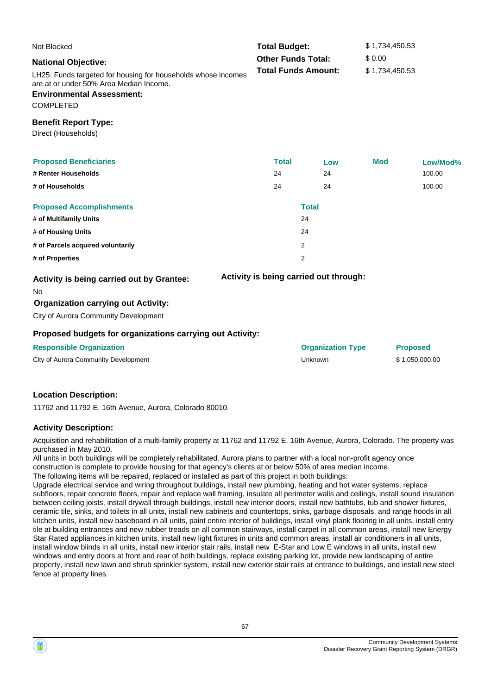| Not Blocked                                                                                                                                                      | <b>Total Budget:</b>       |                                        | \$1,734,450.53  |          |  |
|------------------------------------------------------------------------------------------------------------------------------------------------------------------|----------------------------|----------------------------------------|-----------------|----------|--|
| <b>National Objective:</b>                                                                                                                                       | <b>Other Funds Total:</b>  |                                        | \$0.00          |          |  |
| LH25: Funds targeted for housing for households whose incomes<br>are at or under 50% Area Median Income.<br><b>Environmental Assessment:</b><br><b>COMPLETED</b> | <b>Total Funds Amount:</b> |                                        | \$1,734,450.53  |          |  |
| <b>Benefit Report Type:</b><br>Direct (Households)                                                                                                               |                            |                                        |                 |          |  |
| <b>Proposed Beneficiaries</b>                                                                                                                                    | <b>Total</b>               | Low                                    | <b>Mod</b>      | Low/Mod% |  |
| # Renter Households                                                                                                                                              | 24                         | 24                                     |                 | 100.00   |  |
| # of Households                                                                                                                                                  | 24                         | 24                                     |                 | 100.00   |  |
| <b>Proposed Accomplishments</b>                                                                                                                                  |                            | <b>Total</b>                           |                 |          |  |
| # of Multifamily Units                                                                                                                                           |                            | 24                                     |                 |          |  |
| # of Housing Units                                                                                                                                               |                            | 24                                     |                 |          |  |
| # of Parcels acquired voluntarily                                                                                                                                |                            | 2                                      |                 |          |  |
| # of Properties                                                                                                                                                  |                            | $\overline{2}$                         |                 |          |  |
| Activity is being carried out by Grantee:<br>No.<br><b>Organization carrying out Activity:</b><br>City of Aurora Community Development                           |                            | Activity is being carried out through: |                 |          |  |
| Proposed budgets for organizations carrying out Activity:                                                                                                        |                            |                                        |                 |          |  |
| <b>Responsible Organization</b>                                                                                                                                  |                            | <b>Organization Type</b>               | <b>Proposed</b> |          |  |

City of Aurora Community Development Unknown \$ 1,050,000.00

#### **Location Description:**

11762 and 11792 E. 16th Avenue, Aurora, Colorado 80010.

#### **Activity Description:**

Acquisition and rehabilitation of a multi-family property at 11762 and 11792 E. 16th Avenue, Aurora, Colorado. The property was purchased in May 2010.

All units in both buildings will be completely rehabilitated. Aurora plans to partner with a local non-profit agency once construction is complete to provide housing for that agency's clients at or below 50% of area median income.

The following items will be repaired, replaced or installed as part of this project in both buildings:

Upgrade electrical service and wiring throughout buildings, install new plumbing, heating and hot water systems, replace subfloors, repair concrete floors, repair and replace wall framing, insulate all perimeter walls and ceilings, install sound insulation between ceiling joists, install drywall through buildings, install new interior doors, install new bathtubs, tub and shower fixtures, ceramic tile, sinks, and toilets in all units, install new cabinets and countertops, sinks, garbage disposals, and range hoods in all kitchen units, install new baseboard in all units, paint entire interior of buildings, install vinyl plank flooring in all units, install entry tile at building entrances and new rubber treads on all common stairways, install carpet in all common areas, install new Energy Star Rated appliances in kitchen units, install new light fixtures in units and common areas, install air conditioners in all units, install window blinds in all units, install new interior stair rails, install new E-Star and Low E windows in all units, install new windows and entry doors at front and rear of both buildings, replace existing parking lot, provide new landscaping of entire property, install new lawn and shrub sprinkler system, install new exterior stair rails at entrance to buildings, and install new steel fence at property lines.

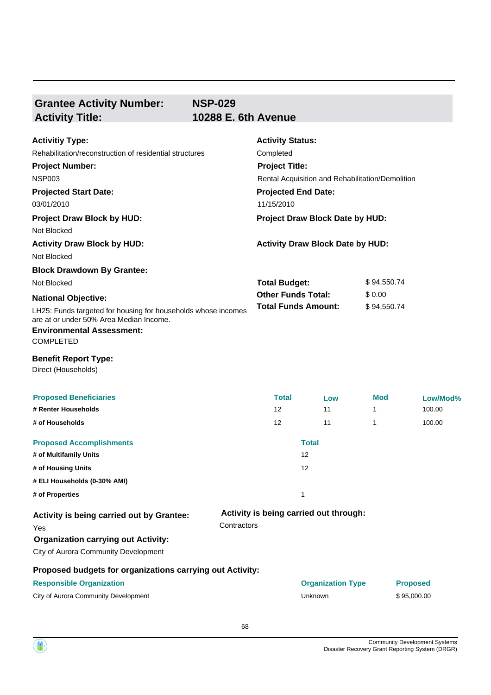## **Grantee Activity Number: Activity Title: 10288 E. 6th Avenue**

**NSP-029**

| <b>Activitiy Type:</b>                                                                                   | <b>Activity Status:</b>                          |             |  |  |
|----------------------------------------------------------------------------------------------------------|--------------------------------------------------|-------------|--|--|
| Rehabilitation/reconstruction of residential structures                                                  | Completed                                        |             |  |  |
| <b>Project Number:</b>                                                                                   | <b>Project Title:</b>                            |             |  |  |
| <b>NSP003</b>                                                                                            | Rental Acquisition and Rehabilitation/Demolition |             |  |  |
| <b>Projected Start Date:</b>                                                                             | <b>Projected End Date:</b>                       |             |  |  |
| 03/01/2010                                                                                               | 11/15/2010                                       |             |  |  |
| <b>Project Draw Block by HUD:</b>                                                                        | Project Draw Block Date by HUD:                  |             |  |  |
| Not Blocked                                                                                              |                                                  |             |  |  |
| <b>Activity Draw Block by HUD:</b>                                                                       | <b>Activity Draw Block Date by HUD:</b>          |             |  |  |
| Not Blocked                                                                                              |                                                  |             |  |  |
| <b>Block Drawdown By Grantee:</b>                                                                        |                                                  |             |  |  |
| Not Blocked                                                                                              | <b>Total Budget:</b>                             | \$94,550.74 |  |  |
| <b>National Objective:</b>                                                                               | <b>Other Funds Total:</b>                        | \$0.00      |  |  |
| LH25: Funds targeted for housing for households whose incomes<br>are at or under 50% Area Median Income. | <b>Total Funds Amount:</b>                       | \$94,550.74 |  |  |
| <b>Environmental Assessment:</b>                                                                         |                                                  |             |  |  |
| <b>COMPLETED</b>                                                                                         |                                                  |             |  |  |

#### **Benefit Report Type:**

Direct (Households)

| <b>Proposed Beneficiaries</b>                             |             | <b>Total</b>      | Low                                    | <b>Mod</b> | Low/Mod%        |
|-----------------------------------------------------------|-------------|-------------------|----------------------------------------|------------|-----------------|
| # Renter Households                                       |             | 12                | 11                                     | 1          | 100.00          |
| # of Households                                           |             | 12                | 11                                     | 1          | 100.00          |
| <b>Proposed Accomplishments</b>                           |             |                   | <b>Total</b>                           |            |                 |
| # of Multifamily Units                                    |             | 12                |                                        |            |                 |
| # of Housing Units                                        |             | $12 \overline{ }$ |                                        |            |                 |
| # ELI Households (0-30% AMI)                              |             |                   |                                        |            |                 |
| # of Properties                                           |             |                   |                                        |            |                 |
| Activity is being carried out by Grantee:                 |             |                   | Activity is being carried out through: |            |                 |
| <b>Yes</b>                                                | Contractors |                   |                                        |            |                 |
| <b>Organization carrying out Activity:</b>                |             |                   |                                        |            |                 |
| City of Aurora Community Development                      |             |                   |                                        |            |                 |
| Proposed budgets for organizations carrying out Activity: |             |                   |                                        |            |                 |
| <b>Responsible Organization</b>                           |             |                   | <b>Organization Type</b>               |            | <b>Proposed</b> |
| City of Aurora Community Development                      |             |                   | <b>Unknown</b>                         |            | \$95,000.00     |

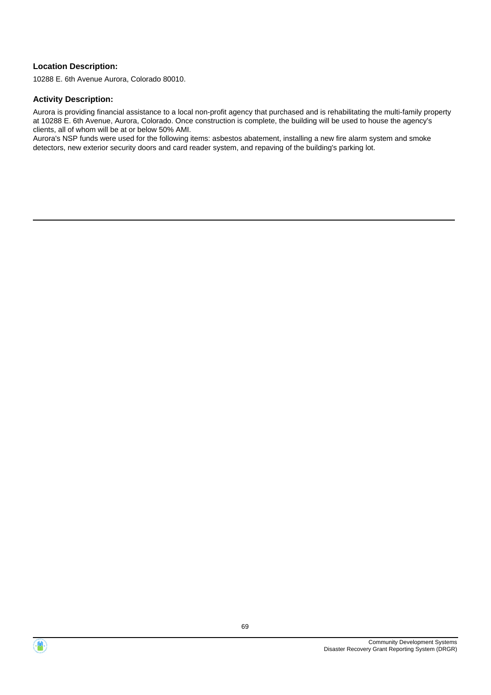#### **Location Description:**

10288 E. 6th Avenue Aurora, Colorado 80010.

#### **Activity Description:**

Aurora is providing financial assistance to a local non-profit agency that purchased and is rehabilitating the multi-family property at 10288 E. 6th Avenue, Aurora, Colorado. Once construction is complete, the building will be used to house the agency's clients, all of whom will be at or below 50% AMI.

Aurora's NSP funds were used for the following items: asbestos abatement, installing a new fire alarm system and smoke detectors, new exterior security doors and card reader system, and repaving of the building's parking lot.



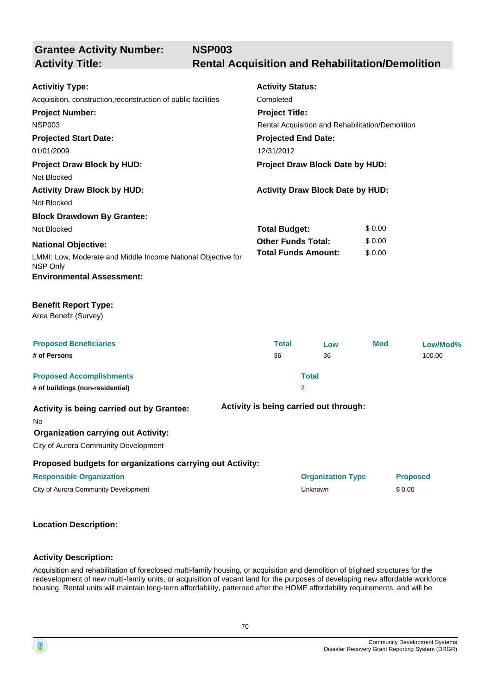**NSP003**

**Activity Title: Rental Acquisition and Rehabilitation/Demolition**

| <b>Activitiy Type:</b><br>Acquisition, construction, reconstruction of public facilities<br><b>Project Number:</b><br><b>NSP003</b><br><b>Projected Start Date:</b><br>01/01/2009<br><b>Project Draw Block by HUD:</b><br>Not Blocked | <b>Activity Status:</b><br>Completed<br><b>Project Title:</b><br><b>Projected End Date:</b><br>12/31/2012 | Rental Acquisition and Rehabilitation/Demolition<br>Project Draw Block Date by HUD: |            |                 |
|---------------------------------------------------------------------------------------------------------------------------------------------------------------------------------------------------------------------------------------|-----------------------------------------------------------------------------------------------------------|-------------------------------------------------------------------------------------|------------|-----------------|
| <b>Activity Draw Block by HUD:</b>                                                                                                                                                                                                    |                                                                                                           | <b>Activity Draw Block Date by HUD:</b>                                             |            |                 |
| Not Blocked                                                                                                                                                                                                                           |                                                                                                           |                                                                                     |            |                 |
| <b>Block Drawdown By Grantee:</b>                                                                                                                                                                                                     |                                                                                                           |                                                                                     | \$0.00     |                 |
| Not Blocked                                                                                                                                                                                                                           | <b>Total Budget:</b><br><b>Other Funds Total:</b>                                                         |                                                                                     | \$0.00     |                 |
| <b>National Objective:</b><br>LMMI: Low, Moderate and Middle Income National Objective for<br>NSP Only<br><b>Environmental Assessment:</b>                                                                                            |                                                                                                           | <b>Total Funds Amount:</b>                                                          | \$0.00     |                 |
| <b>Benefit Report Type:</b><br>Area Benefit (Survey)                                                                                                                                                                                  |                                                                                                           |                                                                                     |            |                 |
| <b>Proposed Beneficiaries</b>                                                                                                                                                                                                         | <b>Total</b>                                                                                              | Low                                                                                 | <b>Mod</b> | Low/Mod%        |
| # of Persons                                                                                                                                                                                                                          | 36                                                                                                        | 36                                                                                  |            | 100.00          |
| <b>Proposed Accomplishments</b>                                                                                                                                                                                                       |                                                                                                           | <b>Total</b>                                                                        |            |                 |
| # of buildings (non-residential)                                                                                                                                                                                                      |                                                                                                           | 2                                                                                   |            |                 |
| Activity is being carried out by Grantee:<br>No<br><b>Organization carrying out Activity:</b><br>City of Aurora Community Development                                                                                                 |                                                                                                           | Activity is being carried out through:                                              |            |                 |
| Proposed budgets for organizations carrying out Activity:                                                                                                                                                                             |                                                                                                           |                                                                                     |            |                 |
| <b>Responsible Organization</b>                                                                                                                                                                                                       |                                                                                                           | <b>Organization Type</b>                                                            |            | <b>Proposed</b> |
| City of Aurora Community Development                                                                                                                                                                                                  |                                                                                                           | Unknown                                                                             |            | \$0.00          |
|                                                                                                                                                                                                                                       |                                                                                                           |                                                                                     |            |                 |

## **Location Description:**

#### **Activity Description:**

Acquisition and rehabilitation of foreclosed multi-family housing, or acquisition and demolition of blighted structures for the redevelopment of new multi-family units, or acquisition of vacant land for the purposes of developing new affordable workforce housing. Rental units will maintain long-term affordability, patterned after the HOME affordability requirements, and will be

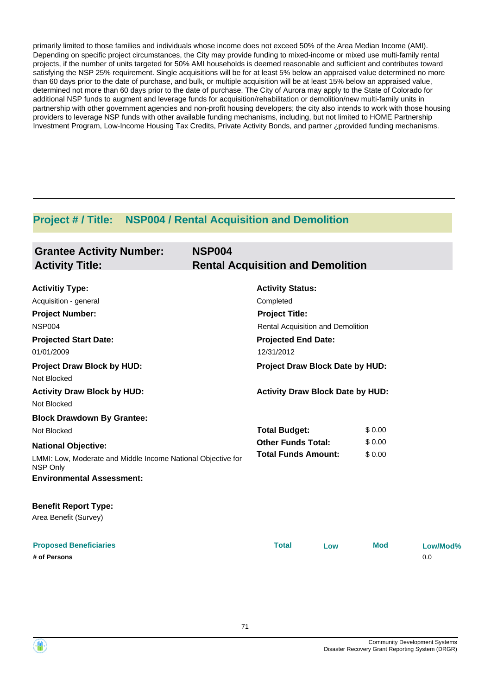primarily limited to those families and individuals whose income does not exceed 50% of the Area Median Income (AMI). Depending on specific project circumstances, the City may provide funding to mixed-income or mixed use multi-family rental projects, if the number of units targeted for 50% AMI households is deemed reasonable and sufficient and contributes toward satisfying the NSP 25% requirement. Single acquisitions will be for at least 5% below an appraised value determined no more than 60 days prior to the date of purchase, and bulk, or multiple acquisition will be at least 15% below an appraised value, determined not more than 60 days prior to the date of purchase. The City of Aurora may apply to the State of Colorado for additional NSP funds to augment and leverage funds for acquisition/rehabilitation or demolition/new multi-family units in partnership with other government agencies and non-profit housing developers; the city also intends to work with those housing providers to leverage NSP funds with other available funding mechanisms, including, but not limited to HOME Partnership Investment Program, Low-Income Housing Tax Credits, Private Activity Bonds, and partner ¿provided funding mechanisms.

## **Project # / Title: NSP004 / Rental Acquisition and Demolition**

| <b>Grantee Activity Number:</b><br><b>Activity Title:</b>                | <b>NSP004</b><br><b>Rental Acquisition and Demolition</b> |        |
|--------------------------------------------------------------------------|-----------------------------------------------------------|--------|
| <b>Activitiy Type:</b>                                                   | <b>Activity Status:</b>                                   |        |
| Acquisition - general                                                    | Completed                                                 |        |
| <b>Project Number:</b>                                                   | <b>Project Title:</b>                                     |        |
| <b>NSP004</b>                                                            | Rental Acquisition and Demolition                         |        |
| <b>Projected Start Date:</b>                                             | <b>Projected End Date:</b>                                |        |
| 01/01/2009                                                               | 12/31/2012                                                |        |
| <b>Project Draw Block by HUD:</b>                                        | Project Draw Block Date by HUD:                           |        |
| Not Blocked                                                              |                                                           |        |
| <b>Activity Draw Block by HUD:</b>                                       | <b>Activity Draw Block Date by HUD:</b>                   |        |
| Not Blocked                                                              |                                                           |        |
| <b>Block Drawdown By Grantee:</b>                                        |                                                           |        |
| Not Blocked                                                              | <b>Total Budget:</b>                                      | \$0.00 |
| <b>National Objective:</b>                                               | <b>Other Funds Total:</b>                                 | \$0.00 |
| LMMI: Low, Moderate and Middle Income National Objective for<br>NSP Only | <b>Total Funds Amount:</b>                                | \$0.00 |
| <b>Environmental Assessment:</b>                                         |                                                           |        |
| <b>Benefit Report Type:</b>                                              |                                                           |        |
| Area Benefit (Survey)                                                    |                                                           |        |
|                                                                          |                                                           |        |

| <b>Proposed Beneficiaries</b> | <b>Total</b> | Low | Mod | Low/Mod% |
|-------------------------------|--------------|-----|-----|----------|
| # of Persons                  |              |     |     | 0.0      |

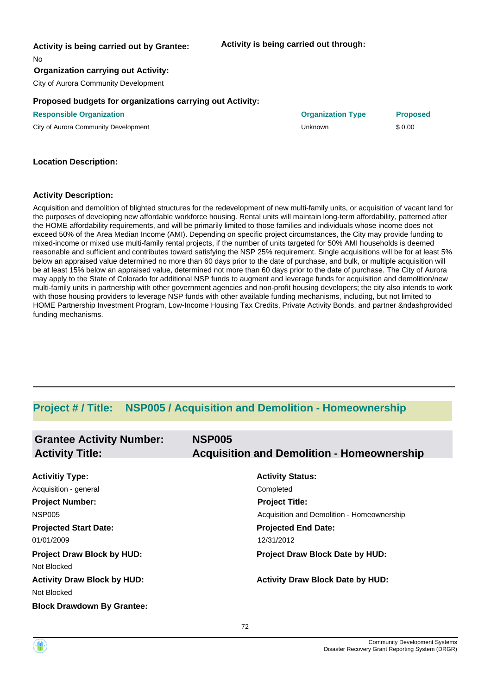#### **Activity is being carried out by Grantee:**

#### **Activity is being carried out through:**

No

#### **Organization carrying out Activity:**

City of Aurora Community Development

#### **Proposed budgets for organizations carrying out Activity:**

**Responsible Organization Organization Type Proposed**

City of Aurora Community Development **City of Aurora Community Development** Superior City of Aurora Community Development

| <b>Organization Type</b> |  |
|--------------------------|--|
|--------------------------|--|

#### **Location Description:**

#### **Activity Description:**

Acquisition and demolition of blighted structures for the redevelopment of new multi-family units, or acquisition of vacant land for the purposes of developing new affordable workforce housing. Rental units will maintain long-term affordability, patterned after the HOME affordability requirements, and will be primarily limited to those families and individuals whose income does not exceed 50% of the Area Median Income (AMI). Depending on specific project circumstances, the City may provide funding to mixed-income or mixed use multi-family rental projects, if the number of units targeted for 50% AMI households is deemed reasonable and sufficient and contributes toward satisfying the NSP 25% requirement. Single acquisitions will be for at least 5% below an appraised value determined no more than 60 days prior to the date of purchase, and bulk, or multiple acquisition will be at least 15% below an appraised value, determined not more than 60 days prior to the date of purchase. The City of Aurora may apply to the State of Colorado for additional NSP funds to augment and leverage funds for acquisition and demolition/new multi-family units in partnership with other government agencies and non-profit housing developers; the city also intends to work with those housing providers to leverage NSP funds with other available funding mechanisms, including, but not limited to HOME Partnership Investment Program, Low-Income Housing Tax Credits, Private Activity Bonds, and partner &ndashprovided funding mechanisms.

## **Project # / Title: NSP005 / Acquisition and Demolition - Homeownership**

| <b>Grantee Activity Number:</b><br><b>Activity Title:</b> | <b>NSP005</b><br><b>Acquisition and Demolition - Homeownership</b> |
|-----------------------------------------------------------|--------------------------------------------------------------------|
| <b>Activitiy Type:</b>                                    | <b>Activity Status:</b>                                            |
| Acquisition - general                                     | Completed                                                          |
| <b>Project Number:</b>                                    | <b>Project Title:</b>                                              |
| <b>NSP005</b>                                             | Acquisition and Demolition - Homeownership                         |
| <b>Projected Start Date:</b>                              | <b>Projected End Date:</b>                                         |
| 01/01/2009                                                | 12/31/2012                                                         |
| <b>Project Draw Block by HUD:</b>                         | Project Draw Block Date by HUD:                                    |
| Not Blocked                                               |                                                                    |
| <b>Activity Draw Block by HUD:</b>                        | <b>Activity Draw Block Date by HUD:</b>                            |
| Not Blocked                                               |                                                                    |
| <b>Block Drawdown By Grantee:</b>                         |                                                                    |

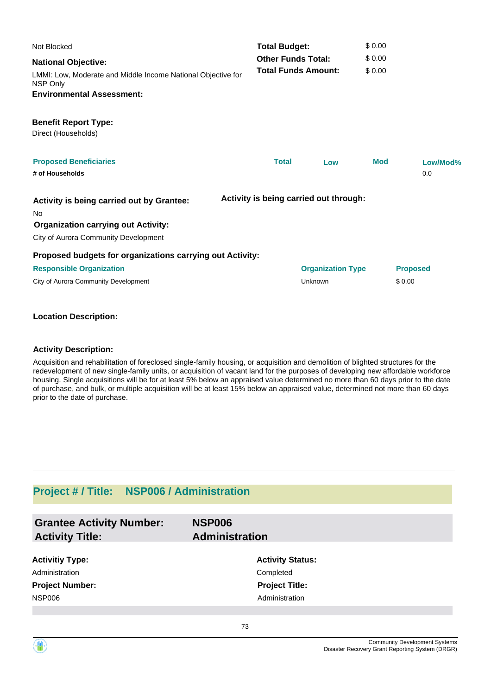| Not Blocked                                                              |                                                         | <b>Total Budget:</b>     |            | \$0.00          |  |
|--------------------------------------------------------------------------|---------------------------------------------------------|--------------------------|------------|-----------------|--|
| <b>National Objective:</b>                                               | <b>Other Funds Total:</b><br><b>Total Funds Amount:</b> |                          | \$0.00     |                 |  |
| LMMI: Low, Moderate and Middle Income National Objective for<br>NSP Only |                                                         |                          | \$0.00     |                 |  |
| <b>Environmental Assessment:</b>                                         |                                                         |                          |            |                 |  |
| <b>Benefit Report Type:</b>                                              |                                                         |                          |            |                 |  |
| Direct (Households)                                                      |                                                         |                          |            |                 |  |
| <b>Proposed Beneficiaries</b>                                            | <b>Total</b>                                            | Low                      | <b>Mod</b> | Low/Mod%        |  |
| # of Households                                                          |                                                         |                          |            | 0.0             |  |
| Activity is being carried out by Grantee:<br><b>No</b>                   | Activity is being carried out through:                  |                          |            |                 |  |
| <b>Organization carrying out Activity:</b>                               |                                                         |                          |            |                 |  |
| City of Aurora Community Development                                     |                                                         |                          |            |                 |  |
| Proposed budgets for organizations carrying out Activity:                |                                                         |                          |            |                 |  |
| <b>Responsible Organization</b>                                          |                                                         | <b>Organization Type</b> |            | <b>Proposed</b> |  |
| City of Aurora Community Development                                     |                                                         | Unknown                  |            | \$0.00          |  |

### **Location Description:**

#### **Activity Description:**

Acquisition and rehabilitation of foreclosed single-family housing, or acquisition and demolition of blighted structures for the redevelopment of new single-family units, or acquisition of vacant land for the purposes of developing new affordable workforce housing. Single acquisitions will be for at least 5% below an appraised value determined no more than 60 days prior to the date of purchase, and bulk, or multiple acquisition will be at least 15% below an appraised value, determined not more than 60 days prior to the date of purchase.

# **Project # / Title: NSP006 / Administration**

| <b>Grantee Activity Number:</b><br><b>Activity Title:</b> | <b>NSP006</b><br><b>Administration</b> |
|-----------------------------------------------------------|----------------------------------------|
| <b>Activitiy Type:</b>                                    | <b>Activity Status:</b>                |
| Administration                                            | Completed                              |
| <b>Project Number:</b>                                    | <b>Project Title:</b>                  |
| <b>NSP006</b>                                             | Administration                         |
|                                                           |                                        |
|                                                           | 73                                     |

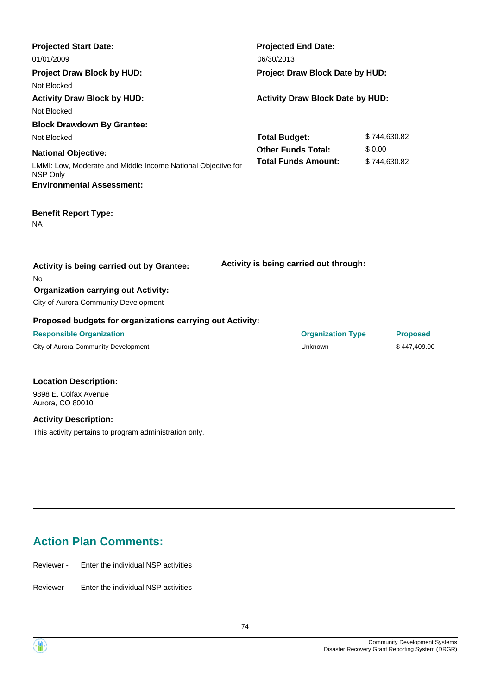| <b>Projected Start Date:</b><br>01/01/2009                               | <b>Projected End Date:</b><br>06/30/2013 |              |                 |  |
|--------------------------------------------------------------------------|------------------------------------------|--------------|-----------------|--|
| <b>Project Draw Block by HUD:</b>                                        | Project Draw Block Date by HUD:          |              |                 |  |
| Not Blocked                                                              |                                          |              |                 |  |
| <b>Activity Draw Block by HUD:</b>                                       | <b>Activity Draw Block Date by HUD:</b>  |              |                 |  |
| Not Blocked                                                              |                                          |              |                 |  |
| <b>Block Drawdown By Grantee:</b>                                        |                                          |              |                 |  |
| Not Blocked                                                              | <b>Total Budget:</b>                     | \$744,630.82 |                 |  |
| <b>National Objective:</b>                                               | <b>Other Funds Total:</b>                | \$0.00       |                 |  |
| LMMI: Low, Moderate and Middle Income National Objective for<br>NSP Only | <b>Total Funds Amount:</b>               | \$744,630.82 |                 |  |
| <b>Environmental Assessment:</b>                                         |                                          |              |                 |  |
| <b>Benefit Report Type:</b><br><b>NA</b>                                 |                                          |              |                 |  |
| Activity is being carried out by Grantee:<br>No                          | Activity is being carried out through:   |              |                 |  |
| <b>Organization carrying out Activity:</b>                               |                                          |              |                 |  |
| City of Aurora Community Development                                     |                                          |              |                 |  |
| Proposed budgets for organizations carrying out Activity:                |                                          |              |                 |  |
| <b>Responsible Organization</b>                                          | <b>Organization Type</b>                 |              | <b>Proposed</b> |  |
| City of Aurora Community Development                                     | Unknown                                  |              | \$447,409.00    |  |

## **Location Description:**

9898 E. Colfax Avenue Aurora, CO 80010

#### **Activity Description:**

This activity pertains to program administration only.

# **Action Plan Comments:**

Reviewer - Enter the individual NSP activities

Reviewer - Enter the individual NSP activities

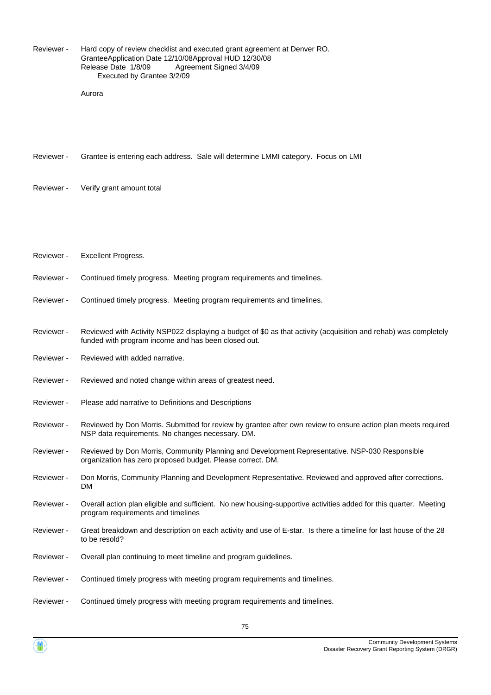Hard copy of review checklist and executed grant agreement at Denver RO. Grantee Application Date 12/10/08 Approval HUD 12/30/08 Release Date 1/8/09 Agreement Signed 3/4/09 Executed by Grantee 3/2/09 Reviewer -

Aurora

Reviewer - Grantee is entering each address. Sale will determine LMMI category. Focus on LMI

- Reviewer Verify grant amount total
- Reviewer Excellent Progress.
- Reviewer Continued timely progress. Meeting program requirements and timelines.
- Reviewer Continued timely progress. Meeting program requirements and timelines.
- Reviewed with Activity NSP022 displaying a budget of \$0 as that activity (acquisition and rehab) was completely funded with program income and has been closed out. Reviewer -
- Reviewer Reviewed with added narrative.
- Reviewer Reviewed and noted change within areas of greatest need.
- Reviewer Please add narrative to Definitions and Descriptions
- Reviewed by Don Morris. Submitted for review by grantee after own review to ensure action plan meets required NSP data requirements. No changes necessary. DM. Reviewer -
- Reviewed by Don Morris, Community Planning and Development Representative. NSP-030 Responsible organization has zero proposed budget. Please correct. DM. Reviewer -
- Don Morris, Community Planning and Development Representative. Reviewed and approved after corrections. DM Reviewer -
- Overall action plan eligible and sufficient. No new housing-supportive activities added for this quarter. Meeting program requirements and timelines Reviewer -
- Great breakdown and description on each activity and use of E-star. Is there a timeline for last house of the 28 to be resold? Reviewer -
- Reviewer Overall plan continuing to meet timeline and program guidelines.
- Reviewer Continued timely progress with meeting program requirements and timelines.
- Reviewer Continued timely progress with meeting program requirements and timelines.